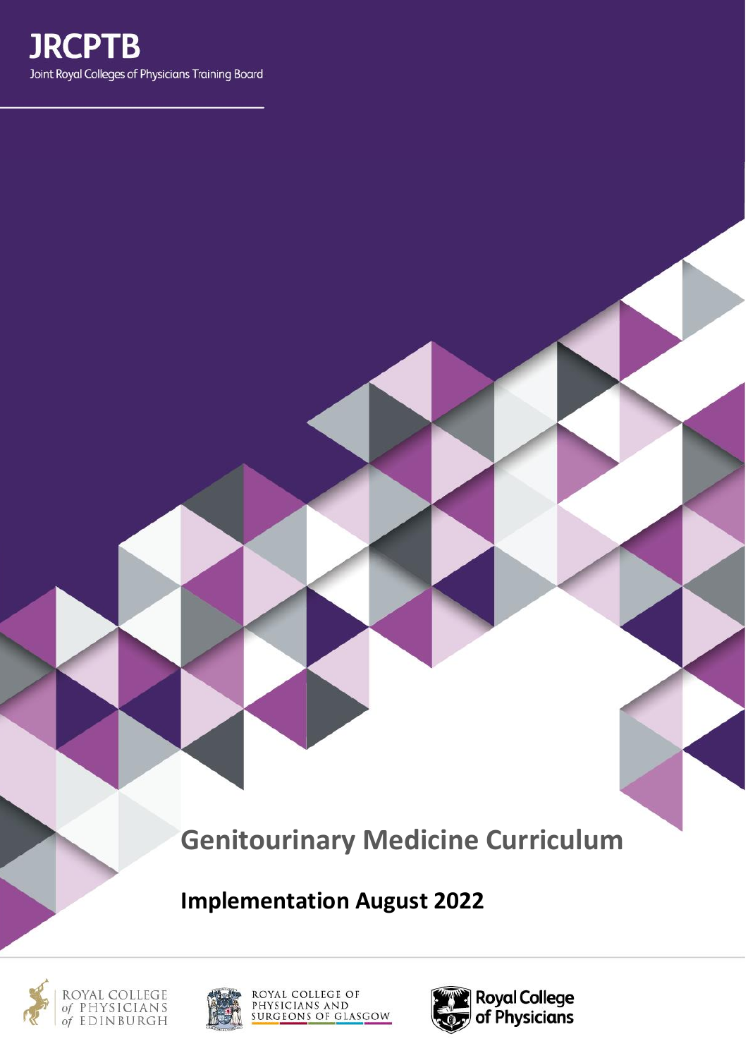# **Genitourinary Medicine Curriculum**

**Implementation August 2022**





ROYAL COLLEGE OF PHYSICIANS AND<br>SURGEONS OF GLASGOW

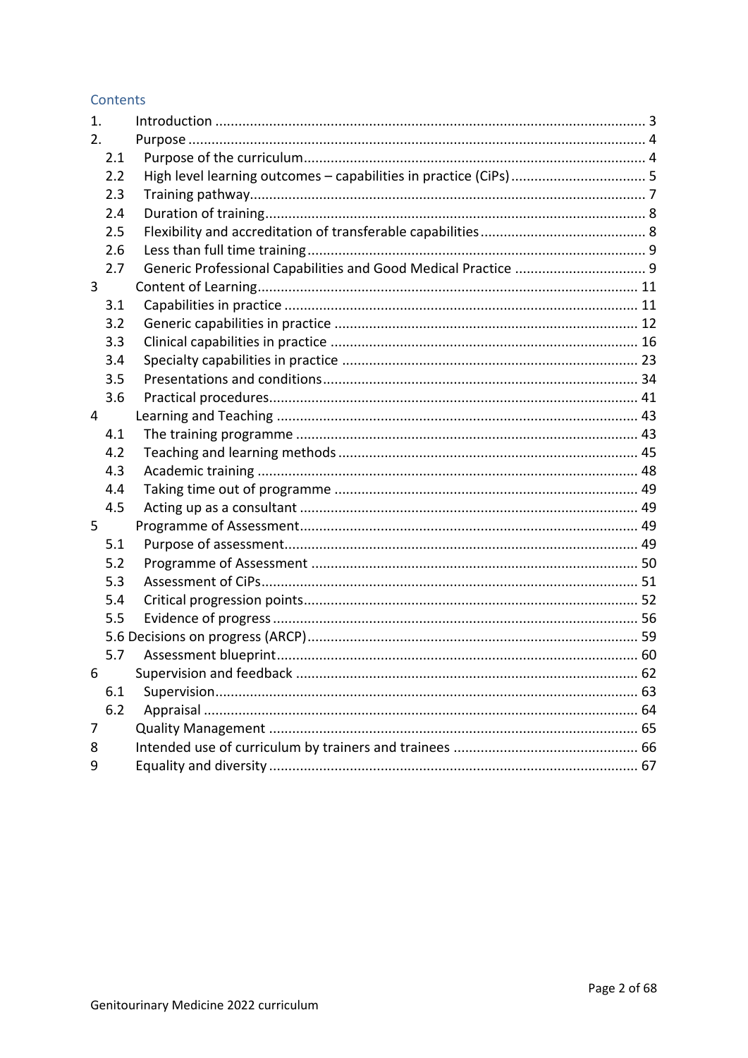#### Contents

| 1. |     |                                                                   |
|----|-----|-------------------------------------------------------------------|
| 2. |     |                                                                   |
|    | 2.1 |                                                                   |
|    | 2.2 | High level learning outcomes - capabilities in practice (CiPs)  5 |
|    | 2.3 |                                                                   |
|    | 2.4 |                                                                   |
|    | 2.5 |                                                                   |
|    | 2.6 |                                                                   |
|    | 2.7 |                                                                   |
| 3  |     |                                                                   |
|    | 3.1 |                                                                   |
|    | 3.2 |                                                                   |
|    | 3.3 |                                                                   |
|    | 3.4 |                                                                   |
|    | 3.5 |                                                                   |
|    | 3.6 |                                                                   |
| 4  |     |                                                                   |
|    | 4.1 |                                                                   |
|    | 4.2 |                                                                   |
|    | 4.3 |                                                                   |
|    | 4.4 |                                                                   |
|    | 4.5 |                                                                   |
| 5  |     |                                                                   |
|    | 5.1 |                                                                   |
|    | 5.2 |                                                                   |
|    | 5.3 |                                                                   |
|    | 5.4 |                                                                   |
|    | 5.5 |                                                                   |
|    |     |                                                                   |
|    | 5.7 |                                                                   |
| 6  |     |                                                                   |
|    | 6.1 |                                                                   |
|    | 6.2 |                                                                   |
| 7  |     |                                                                   |
| 8  |     |                                                                   |
| 9  |     |                                                                   |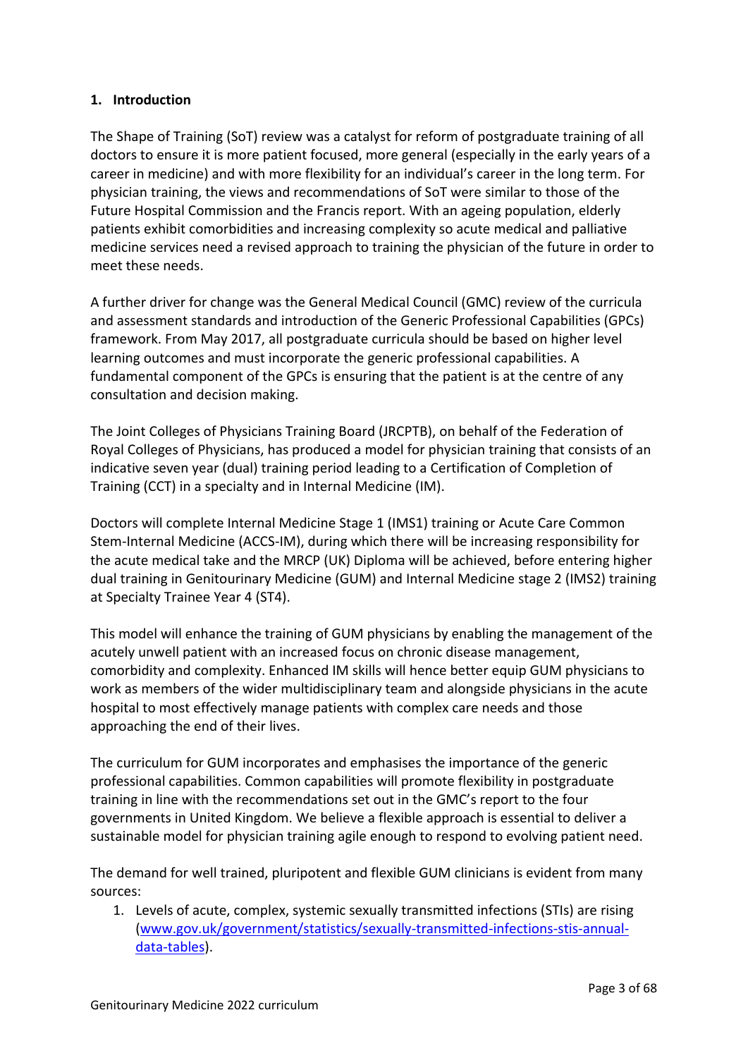## <span id="page-2-0"></span>**1. Introduction**

The Shape of Training (SoT) review was a catalyst for reform of postgraduate training of all doctors to ensure it is more patient focused, more general (especially in the early years of a career in medicine) and with more flexibility for an individual's career in the long term. For physician training, the views and recommendations of SoT were similar to those of the Future Hospital Commission and the Francis report. With an ageing population, elderly patients exhibit comorbidities and increasing complexity so acute medical and palliative medicine services need a revised approach to training the physician of the future in order to meet these needs.

A further driver for change was the General Medical Council (GMC) review of the curricula and assessment standards and introduction of the Generic Professional Capabilities (GPCs) framework. From May 2017, all postgraduate curricula should be based on higher level learning outcomes and must incorporate the generic professional capabilities. A fundamental component of the GPCs is ensuring that the patient is at the centre of any consultation and decision making.

The Joint Colleges of Physicians Training Board (JRCPTB), on behalf of the Federation of Royal Colleges of Physicians, has produced a model for physician training that consists of an indicative seven year (dual) training period leading to a Certification of Completion of Training (CCT) in a specialty and in Internal Medicine (IM).

Doctors will complete Internal Medicine Stage 1 (IMS1) training or Acute Care Common Stem-Internal Medicine (ACCS-IM), during which there will be increasing responsibility for the acute medical take and the MRCP (UK) Diploma will be achieved, before entering higher dual training in Genitourinary Medicine (GUM) and Internal Medicine stage 2 (IMS2) training at Specialty Trainee Year 4 (ST4).

This model will enhance the training of GUM physicians by enabling the management of the acutely unwell patient with an increased focus on chronic disease management, comorbidity and complexity. Enhanced IM skills will hence better equip GUM physicians to work as members of the wider multidisciplinary team and alongside physicians in the acute hospital to most effectively manage patients with complex care needs and those approaching the end of their lives.

The curriculum for GUM incorporates and emphasises the importance of the generic professional capabilities. Common capabilities will promote flexibility in postgraduate training in line with the recommendations set out in the GMC's report to the four governments in United Kingdom. We believe a flexible approach is essential to deliver a sustainable model for physician training agile enough to respond to evolving patient need.

The demand for well trained, pluripotent and flexible GUM clinicians is evident from many sources:

1. Levels of acute, complex, systemic sexually transmitted infections (STIs) are rising [\(www.gov.uk/government/statistics/sexually-transmitted-infections-stis-annual](https://www.gov.uk/government/statistics/sexually-transmitted-infections-stis-annual-data-tables)[data-tables\)](https://www.gov.uk/government/statistics/sexually-transmitted-infections-stis-annual-data-tables).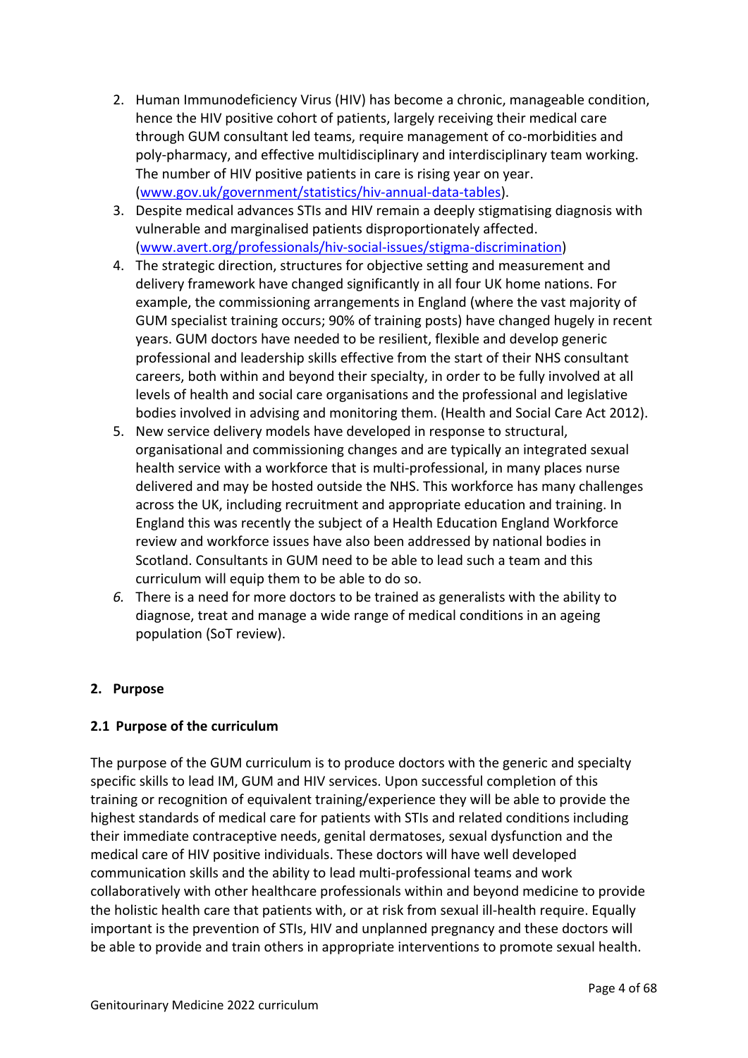- 2. Human Immunodeficiency Virus (HIV) has become a chronic, manageable condition, hence the HIV positive cohort of patients, largely receiving their medical care through GUM consultant led teams, require management of co-morbidities and poly-pharmacy, and effective multidisciplinary and interdisciplinary team working. The number of HIV positive patients in care is rising year on year. [\(www.gov.uk/government/statistics/hiv-annual-data-tables\)](https://www.gov.uk/government/statistics/hiv-annual-data-tables).
- 3. Despite medical advances STIs and HIV remain a deeply stigmatising diagnosis with vulnerable and marginalised patients disproportionately affected. [\(www.avert.org/professionals/hiv-social-issues/stigma-discrimination\)](https://www.avert.org/professionals/hiv-social-issues/stigma-discrimination)
- 4. The strategic direction, structures for objective setting and measurement and delivery framework have changed significantly in all four UK home nations. For example, the commissioning arrangements in England (where the vast majority of GUM specialist training occurs; 90% of training posts) have changed hugely in recent years. GUM doctors have needed to be resilient, flexible and develop generic professional and leadership skills effective from the start of their NHS consultant careers, both within and beyond their specialty, in order to be fully involved at all levels of health and social care organisations and the professional and legislative bodies involved in advising and monitoring them. (Health and Social Care Act 2012).
- 5. New service delivery models have developed in response to structural, organisational and commissioning changes and are typically an integrated sexual health service with a workforce that is multi-professional, in many places nurse delivered and may be hosted outside the NHS. This workforce has many challenges across the UK, including recruitment and appropriate education and training. In England this was recently the subject of a Health Education England Workforce review and workforce issues have also been addressed by national bodies in Scotland. Consultants in GUM need to be able to lead such a team and this curriculum will equip them to be able to do so.
- *6.* There is a need for more doctors to be trained as generalists with the ability to diagnose, treat and manage a wide range of medical conditions in an ageing population (SoT review).

## <span id="page-3-0"></span>**2. Purpose**

## <span id="page-3-1"></span>**2.1 Purpose of the curriculum**

The purpose of the GUM curriculum is to produce doctors with the generic and specialty specific skills to lead IM, GUM and HIV services. Upon successful completion of this training or recognition of equivalent training/experience they will be able to provide the highest standards of medical care for patients with STIs and related conditions including their immediate contraceptive needs, genital dermatoses, sexual dysfunction and the medical care of HIV positive individuals. These doctors will have well developed communication skills and the ability to lead multi-professional teams and work collaboratively with other healthcare professionals within and beyond medicine to provide the holistic health care that patients with, or at risk from sexual ill-health require. Equally important is the prevention of STIs, HIV and unplanned pregnancy and these doctors will be able to provide and train others in appropriate interventions to promote sexual health.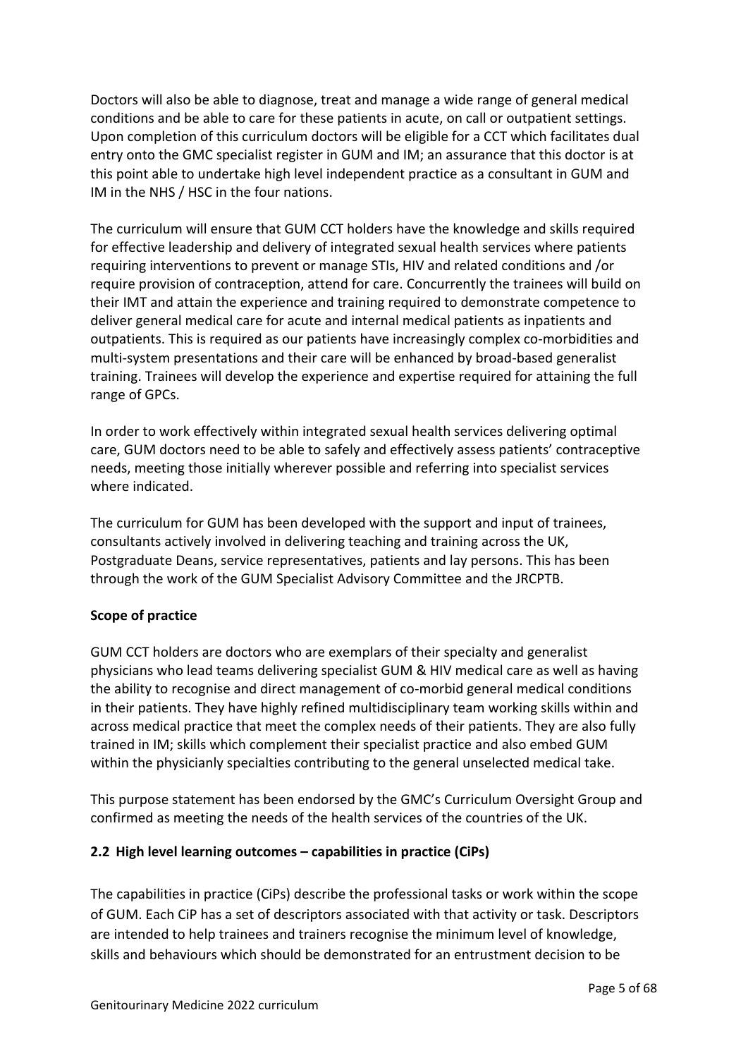Doctors will also be able to diagnose, treat and manage a wide range of general medical conditions and be able to care for these patients in acute, on call or outpatient settings. Upon completion of this curriculum doctors will be eligible for a CCT which facilitates dual entry onto the GMC specialist register in GUM and IM; an assurance that this doctor is at this point able to undertake high level independent practice as a consultant in GUM and IM in the NHS / HSC in the four nations.

The curriculum will ensure that GUM CCT holders have the knowledge and skills required for effective leadership and delivery of integrated sexual health services where patients requiring interventions to prevent or manage STIs, HIV and related conditions and /or require provision of contraception, attend for care. Concurrently the trainees will build on their IMT and attain the experience and training required to demonstrate competence to deliver general medical care for acute and internal medical patients as inpatients and outpatients. This is required as our patients have increasingly complex co-morbidities and multi-system presentations and their care will be enhanced by broad-based generalist training. Trainees will develop the experience and expertise required for attaining the full range of GPCs.

In order to work effectively within integrated sexual health services delivering optimal care, GUM doctors need to be able to safely and effectively assess patients' contraceptive needs, meeting those initially wherever possible and referring into specialist services where indicated.

The curriculum for GUM has been developed with the support and input of trainees, consultants actively involved in delivering teaching and training across the UK, Postgraduate Deans, service representatives, patients and lay persons. This has been through the work of the GUM Specialist Advisory Committee and the JRCPTB.

## **Scope of practice**

GUM CCT holders are doctors who are exemplars of their specialty and generalist physicians who lead teams delivering specialist GUM & HIV medical care as well as having the ability to recognise and direct management of co-morbid general medical conditions in their patients. They have highly refined multidisciplinary team working skills within and across medical practice that meet the complex needs of their patients. They are also fully trained in IM; skills which complement their specialist practice and also embed GUM within the physicianly specialties contributing to the general unselected medical take.

This purpose statement has been endorsed by the GMC's Curriculum Oversight Group and confirmed as meeting the needs of the health services of the countries of the UK.

#### <span id="page-4-0"></span>**2.2 High level learning outcomes – capabilities in practice (CiPs)**

The capabilities in practice (CiPs) describe the professional tasks or work within the scope of GUM. Each CiP has a set of descriptors associated with that activity or task. Descriptors are intended to help trainees and trainers recognise the minimum level of knowledge, skills and behaviours which should be demonstrated for an entrustment decision to be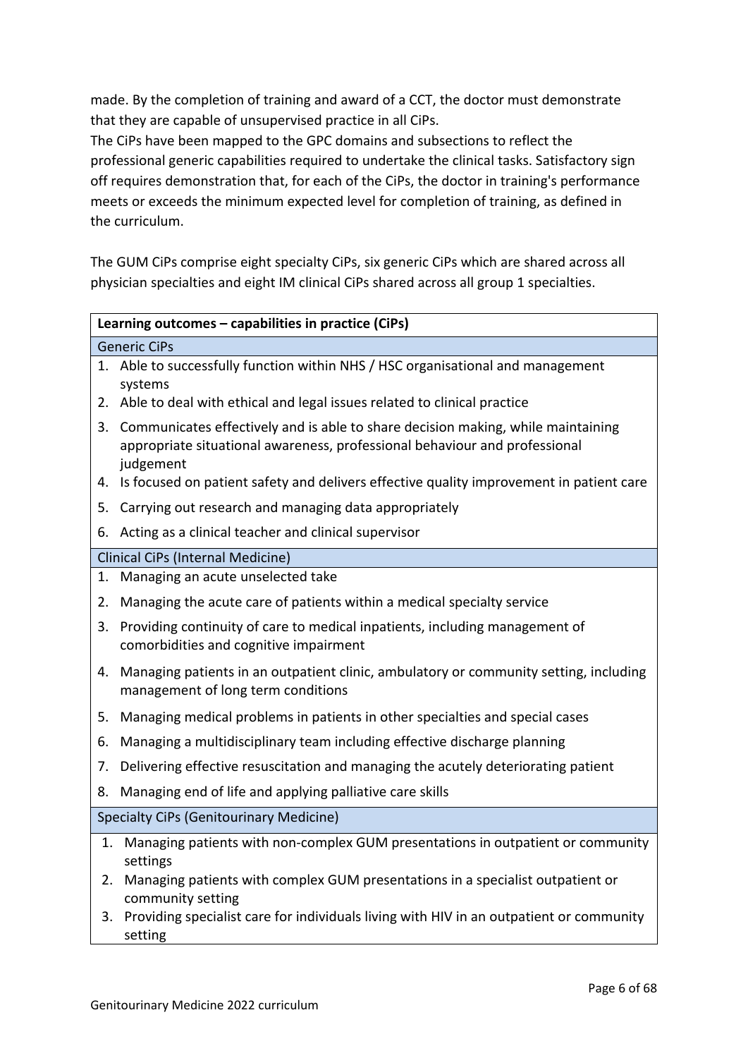made. By the completion of training and award of a CCT, the doctor must demonstrate that they are capable of unsupervised practice in all CiPs.

The CiPs have been mapped to the GPC domains and subsections to reflect the professional generic capabilities required to undertake the clinical tasks. Satisfactory sign off requires demonstration that, for each of the CiPs, the doctor in training's performance meets or exceeds the minimum expected level for completion of training, as defined in the curriculum.

The GUM CiPs comprise eight specialty CiPs, six generic CiPs which are shared across all physician specialties and eight IM clinical CiPs shared across all group 1 specialties.

|                                                | Learning outcomes - capabilities in practice (CiPs)                                                                                                                         |  |  |
|------------------------------------------------|-----------------------------------------------------------------------------------------------------------------------------------------------------------------------------|--|--|
|                                                | <b>Generic CiPs</b>                                                                                                                                                         |  |  |
|                                                | 1. Able to successfully function within NHS / HSC organisational and management<br>systems                                                                                  |  |  |
| 2.                                             | Able to deal with ethical and legal issues related to clinical practice                                                                                                     |  |  |
| 3.                                             | Communicates effectively and is able to share decision making, while maintaining<br>appropriate situational awareness, professional behaviour and professional<br>judgement |  |  |
| 4.                                             | Is focused on patient safety and delivers effective quality improvement in patient care                                                                                     |  |  |
| 5.                                             | Carrying out research and managing data appropriately                                                                                                                       |  |  |
| 6.                                             | Acting as a clinical teacher and clinical supervisor                                                                                                                        |  |  |
|                                                | Clinical CiPs (Internal Medicine)                                                                                                                                           |  |  |
| 1.                                             | Managing an acute unselected take                                                                                                                                           |  |  |
| 2.                                             | Managing the acute care of patients within a medical specialty service                                                                                                      |  |  |
| 3.                                             | Providing continuity of care to medical inpatients, including management of<br>comorbidities and cognitive impairment                                                       |  |  |
| 4.                                             | Managing patients in an outpatient clinic, ambulatory or community setting, including<br>management of long term conditions                                                 |  |  |
| 5.                                             | Managing medical problems in patients in other specialties and special cases                                                                                                |  |  |
| 6.                                             | Managing a multidisciplinary team including effective discharge planning                                                                                                    |  |  |
| 7.                                             | Delivering effective resuscitation and managing the acutely deteriorating patient                                                                                           |  |  |
| 8.                                             | Managing end of life and applying palliative care skills                                                                                                                    |  |  |
| <b>Specialty CiPs (Genitourinary Medicine)</b> |                                                                                                                                                                             |  |  |
| 1.                                             | Managing patients with non-complex GUM presentations in outpatient or community<br>settings                                                                                 |  |  |
| 2.                                             | Managing patients with complex GUM presentations in a specialist outpatient or<br>community setting                                                                         |  |  |
| 3.                                             | Providing specialist care for individuals living with HIV in an outpatient or community<br>setting                                                                          |  |  |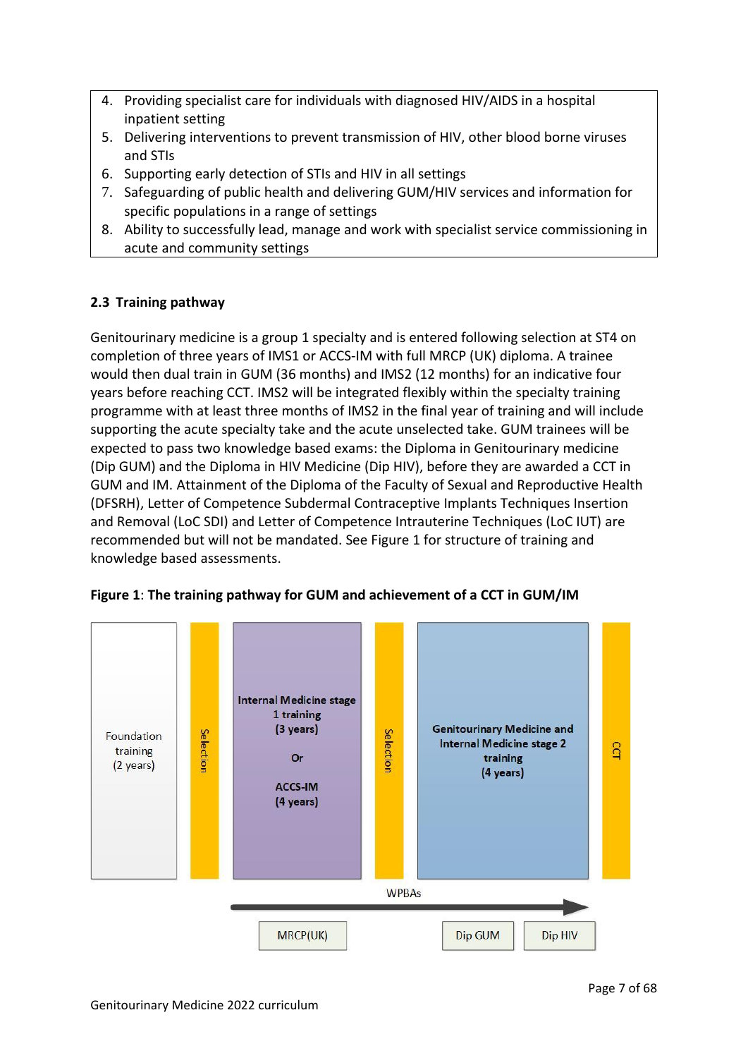- 4. Providing specialist care for individuals with diagnosed HIV/AIDS in a hospital inpatient setting
- 5. Delivering interventions to prevent transmission of HIV, other blood borne viruses and STIs
- 6. Supporting early detection of STIs and HIV in all settings
- 7. Safeguarding of public health and delivering GUM/HIV services and information for specific populations in a range of settings
- 8. Ability to successfully lead, manage and work with specialist service commissioning in acute and community settings

## <span id="page-6-0"></span>**2.3 Training pathway**

Genitourinary medicine is a group 1 specialty and is entered following selection at ST4 on completion of three years of IMS1 or ACCS-IM with full MRCP (UK) diploma. A trainee would then dual train in GUM (36 months) and IMS2 (12 months) for an indicative four years before reaching CCT. IMS2 will be integrated flexibly within the specialty training programme with at least three months of IMS2 in the final year of training and will include supporting the acute specialty take and the acute unselected take. GUM trainees will be expected to pass two knowledge based exams: the Diploma in Genitourinary medicine (Dip GUM) and the Diploma in HIV Medicine (Dip HIV), before they are awarded a CCT in GUM and IM. Attainment of the Diploma of the Faculty of Sexual and Reproductive Health (DFSRH), Letter of Competence Subdermal Contraceptive Implants Techniques Insertion and Removal (LoC SDI) and Letter of Competence Intrauterine Techniques (LoC IUT) are recommended but will not be mandated. See Figure 1 for structure of training and knowledge based assessments.



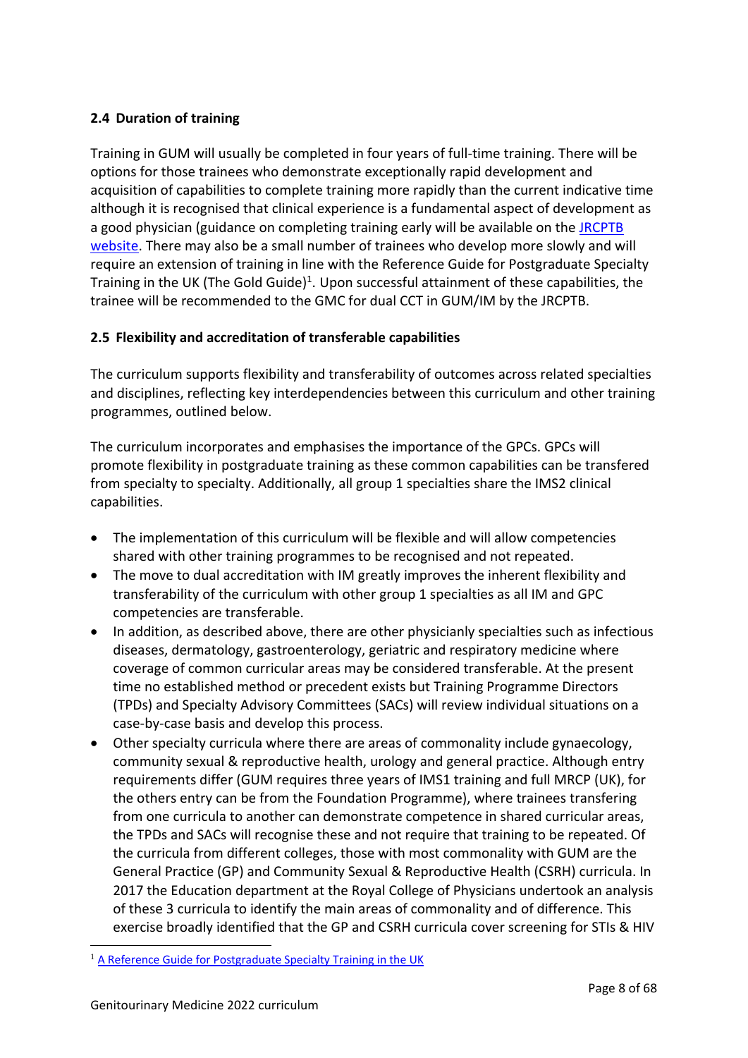## <span id="page-7-0"></span>**2.4 Duration of training**

Training in GUM will usually be completed in four years of full-time training. There will be options for those trainees who demonstrate exceptionally rapid development and acquisition of capabilities to complete training more rapidly than the current indicative time although it is recognised that clinical experience is a fundamental aspect of development as a good physician (guidance on completing training early will be available on the JRCPTB [website.](http://www.jrcptb.org.uk/) There may also be a small number of trainees who develop more slowly and will require an extension of training in line with the Reference Guide for Postgraduate Specialty Training in the UK (The Gold Guide)<sup>1</sup>. Upon successful attainment of these capabilities, the trainee will be recommended to the GMC for dual CCT in GUM/IM by the JRCPTB.

## <span id="page-7-1"></span>**2.5 Flexibility and accreditation of transferable capabilities**

The curriculum supports flexibility and transferability of outcomes across related specialties and disciplines, reflecting key interdependencies between this curriculum and other training programmes, outlined below.

The curriculum incorporates and emphasises the importance of the GPCs. GPCs will promote flexibility in postgraduate training as these common capabilities can be transfered from specialty to specialty. Additionally, all group 1 specialties share the IMS2 clinical capabilities.

- The implementation of this curriculum will be flexible and will allow competencies shared with other training programmes to be recognised and not repeated.
- The move to dual accreditation with IM greatly improves the inherent flexibility and transferability of the curriculum with other group 1 specialties as all IM and GPC competencies are transferable.
- In addition, as described above, there are other physicianly specialties such as infectious diseases, dermatology, gastroenterology, geriatric and respiratory medicine where coverage of common curricular areas may be considered transferable. At the present time no established method or precedent exists but Training Programme Directors (TPDs) and Specialty Advisory Committees (SACs) will review individual situations on a case-by-case basis and develop this process.
- Other specialty curricula where there are areas of commonality include gynaecology, community sexual & reproductive health, urology and general practice. Although entry requirements differ (GUM requires three years of IMS1 training and full MRCP (UK), for the others entry can be from the Foundation Programme), where trainees transfering from one curricula to another can demonstrate competence in shared curricular areas, the TPDs and SACs will recognise these and not require that training to be repeated. Of the curricula from different colleges, those with most commonality with GUM are the General Practice (GP) and Community Sexual & Reproductive Health (CSRH) curricula. In 2017 the Education department at the Royal College of Physicians undertook an analysis of these 3 curricula to identify the main areas of commonality and of difference. This exercise broadly identified that the GP and CSRH curricula cover screening for STIs & HIV

<sup>&</sup>lt;sup>1</sup> [A Reference Guide for Postgraduate Specialty Training in the UK](https://www.copmed.org.uk/publications/the-gold-guide)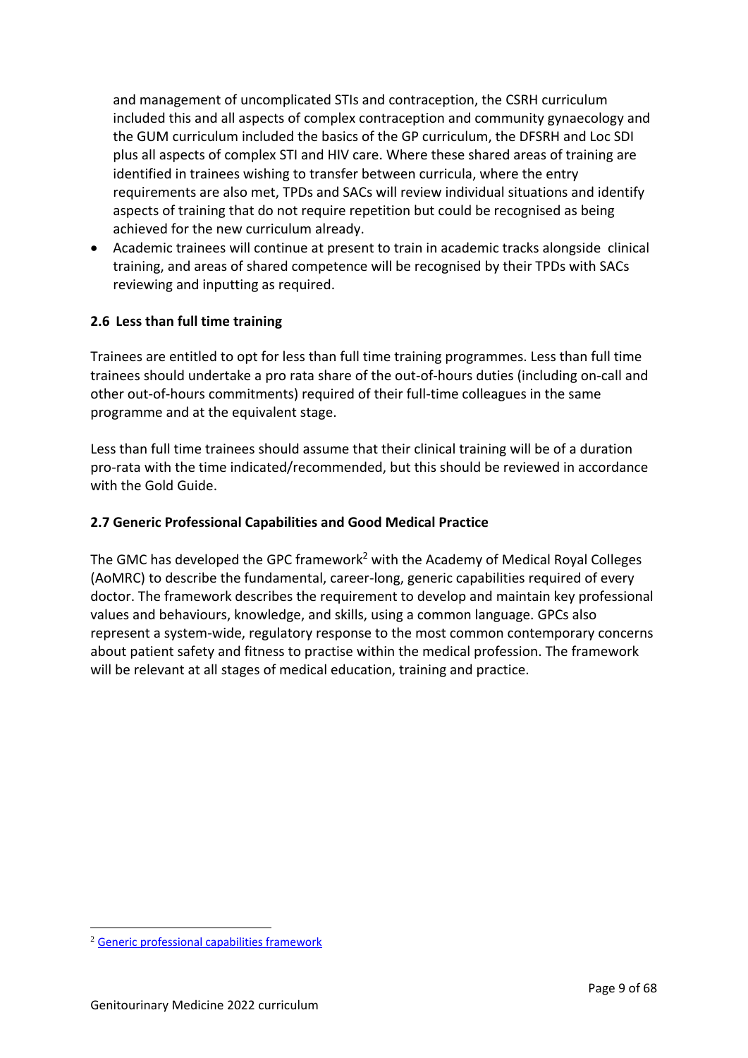and management of uncomplicated STIs and contraception, the CSRH curriculum included this and all aspects of complex contraception and community gynaecology and the GUM curriculum included the basics of the GP curriculum, the DFSRH and Loc SDI plus all aspects of complex STI and HIV care. Where these shared areas of training are identified in trainees wishing to transfer between curricula, where the entry requirements are also met, TPDs and SACs will review individual situations and identify aspects of training that do not require repetition but could be recognised as being achieved for the new curriculum already.

• Academic trainees will continue at present to train in academic tracks alongside clinical training, and areas of shared competence will be recognised by their TPDs with SACs reviewing and inputting as required.

## <span id="page-8-0"></span>**2.6 Less than full time training**

Trainees are entitled to opt for less than full time training programmes. Less than full time trainees should undertake a pro rata share of the out-of-hours duties (including on-call and other out-of-hours commitments) required of their full-time colleagues in the same programme and at the equivalent stage.

Less than full time trainees should assume that their clinical training will be of a duration pro-rata with the time indicated/recommended, but this should be reviewed in accordance with the Gold Guide.

## <span id="page-8-1"></span>**2.7 Generic Professional Capabilities and Good Medical Practice**

The GMC has developed the GPC framework<sup>2</sup> with the Academy of Medical Royal Colleges (AoMRC) to describe the fundamental, career-long, generic capabilities required of every doctor. The framework describes the requirement to develop and maintain key professional values and behaviours, knowledge, and skills, using a common language. GPCs also represent a system-wide, regulatory response to the most common contemporary concerns about patient safety and fitness to practise within the medical profession. The framework will be relevant at all stages of medical education, training and practice.

<sup>2</sup> [Generic professional capabilities framework](http://www.gmc-uk.org/education/postgraduate/GPC.asp)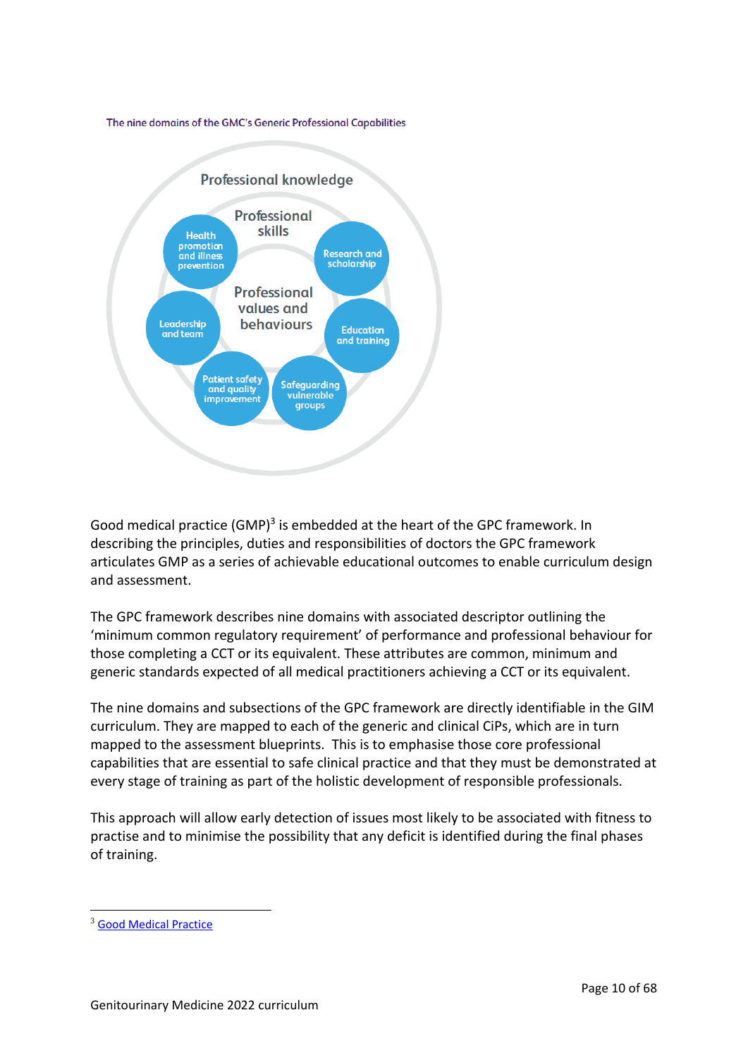The nine domains of the GMC's Generic Professional Capabilities



Good medical practice (GMP)<sup>3</sup> is embedded at the heart of the GPC framework. In describing the principles, duties and responsibilities of doctors the GPC framework articulates GMP as a series of achievable educational outcomes to enable curriculum design and assessment.

The GPC framework describes nine domains with associated descriptor outlining the 'minimum common regulatory requirement' of performance and professional behaviour for those completing a CCT or its equivalent. These attributes are common, minimum and generic standards expected of all medical practitioners achieving a CCT or its equivalent.

The nine domains and subsections of the GPC framework are directly identifiable in the GIM curriculum. They are mapped to each of the generic and clinical CiPs, which are in turn mapped to the assessment blueprints. This is to emphasise those core professional capabilities that are essential to safe clinical practice and that they must be demonstrated at every stage of training as part of the holistic development of responsible professionals.

This approach will allow early detection of issues most likely to be associated with fitness to practise and to minimise the possibility that any deficit is identified during the final phases of training.

<sup>3</sup> [Good Medical Practice](http://www.gmc-uk.org/guidance/good_medical_practice.asp)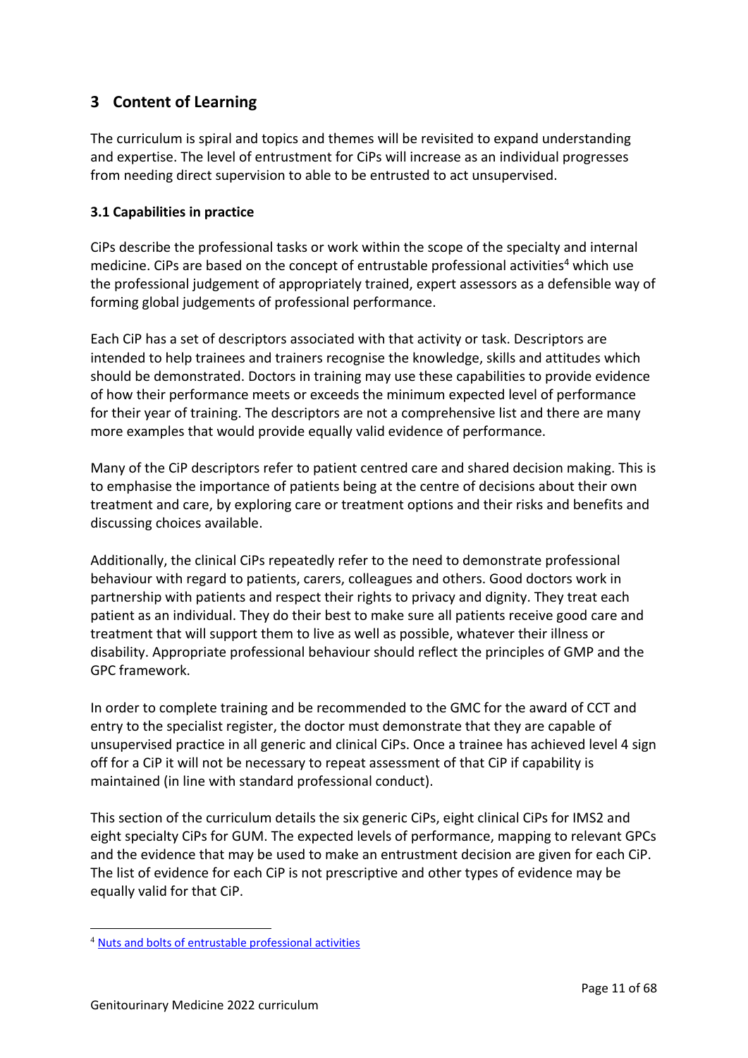# <span id="page-10-0"></span>**3 Content of Learning**

The curriculum is spiral and topics and themes will be revisited to expand understanding and expertise. The level of entrustment for CiPs will increase as an individual progresses from needing direct supervision to able to be entrusted to act unsupervised.

## <span id="page-10-1"></span>**3.1 Capabilities in practice**

CiPs describe the professional tasks or work within the scope of the specialty and internal medicine. CiPs are based on the concept of entrustable professional activities<sup>4</sup> which use the professional judgement of appropriately trained, expert assessors as a defensible way of forming global judgements of professional performance.

Each CiP has a set of descriptors associated with that activity or task. Descriptors are intended to help trainees and trainers recognise the knowledge, skills and attitudes which should be demonstrated. Doctors in training may use these capabilities to provide evidence of how their performance meets or exceeds the minimum expected level of performance for their year of training. The descriptors are not a comprehensive list and there are many more examples that would provide equally valid evidence of performance.

Many of the CiP descriptors refer to patient centred care and shared decision making. This is to emphasise the importance of patients being at the centre of decisions about their own treatment and care, by exploring care or treatment options and their risks and benefits and discussing choices available.

Additionally, the clinical CiPs repeatedly refer to the need to demonstrate professional behaviour with regard to patients, carers, colleagues and others. Good doctors work in partnership with patients and respect their rights to privacy and dignity. They treat each patient as an individual. They do their best to make sure all patients receive good care and treatment that will support them to live as well as possible, whatever their illness or disability. Appropriate professional behaviour should reflect the principles of GMP and the GPC framework.

In order to complete training and be recommended to the GMC for the award of CCT and entry to the specialist register, the doctor must demonstrate that they are capable of unsupervised practice in all generic and clinical CiPs. Once a trainee has achieved level 4 sign off for a CiP it will not be necessary to repeat assessment of that CiP if capability is maintained (in line with standard professional conduct).

This section of the curriculum details the six generic CiPs, eight clinical CiPs for IMS2 and eight specialty CiPs for GUM. The expected levels of performance, mapping to relevant GPCs and the evidence that may be used to make an entrustment decision are given for each CiP. The list of evidence for each CiP is not prescriptive and other types of evidence may be equally valid for that CiP.

<sup>4</sup> [Nuts and bolts of entrustable professional activities](https://www.ncbi.nlm.nih.gov/pmc/articles/PMC3613304/)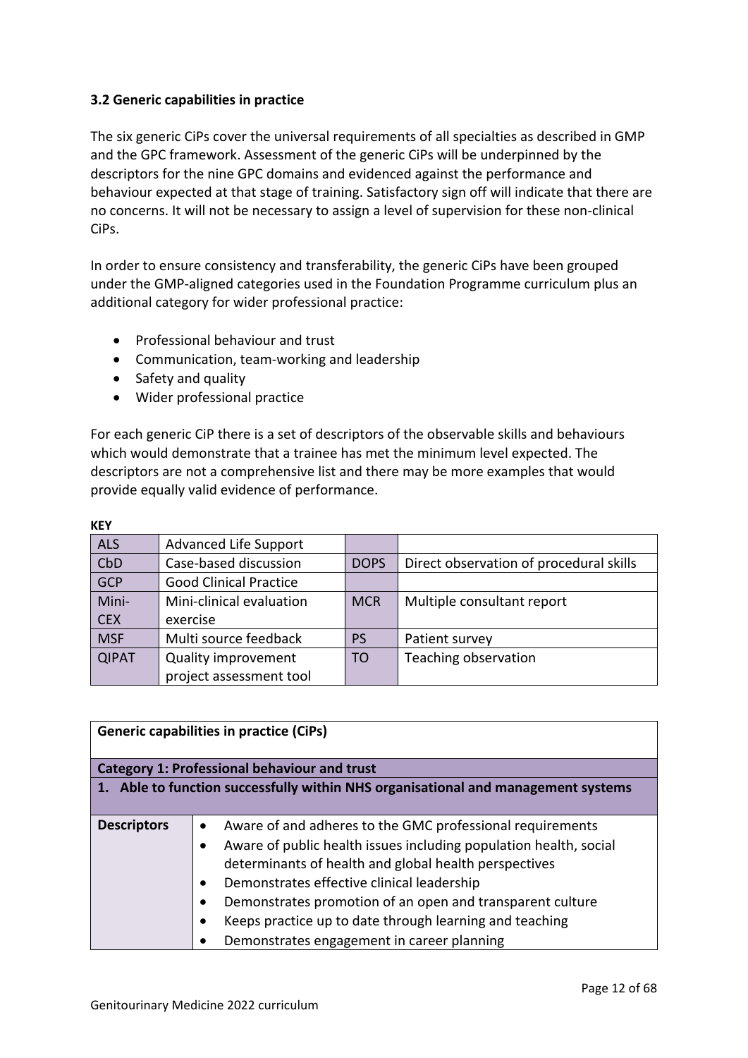## <span id="page-11-0"></span>**3.2 Generic capabilities in practice**

The six generic CiPs cover the universal requirements of all specialties as described in GMP and the GPC framework. Assessment of the generic CiPs will be underpinned by the descriptors for the nine GPC domains and evidenced against the performance and behaviour expected at that stage of training. Satisfactory sign off will indicate that there are no concerns. It will not be necessary to assign a level of supervision for these non-clinical CiPs.

In order to ensure consistency and transferability, the generic CiPs have been grouped under the GMP-aligned categories used in the Foundation Programme curriculum plus an additional category for wider professional practice:

- Professional behaviour and trust
- Communication, team-working and leadership
- Safety and quality

**KEY**

• Wider professional practice

For each generic CiP there is a set of descriptors of the observable skills and behaviours which would demonstrate that a trainee has met the minimum level expected. The descriptors are not a comprehensive list and there may be more examples that would provide equally valid evidence of performance.

| <b>KEY</b>   |                               |             |                                         |
|--------------|-------------------------------|-------------|-----------------------------------------|
| <b>ALS</b>   | <b>Advanced Life Support</b>  |             |                                         |
| CbD          | Case-based discussion         | <b>DOPS</b> | Direct observation of procedural skills |
| <b>GCP</b>   | <b>Good Clinical Practice</b> |             |                                         |
| Mini-        | Mini-clinical evaluation      | <b>MCR</b>  | Multiple consultant report              |
| <b>CEX</b>   | exercise                      |             |                                         |
| <b>MSF</b>   | Multi source feedback         | <b>PS</b>   | Patient survey                          |
| <b>QIPAT</b> | <b>Quality improvement</b>    | <b>TO</b>   | Teaching observation                    |
|              | project assessment tool       |             |                                         |

|                                                                                | <b>Generic capabilities in practice (CiPs)</b>                    |  |
|--------------------------------------------------------------------------------|-------------------------------------------------------------------|--|
|                                                                                | <b>Category 1: Professional behaviour and trust</b>               |  |
| Able to function successfully within NHS organisational and management systems |                                                                   |  |
|                                                                                |                                                                   |  |
| <b>Descriptors</b>                                                             | Aware of and adheres to the GMC professional requirements         |  |
|                                                                                | Aware of public health issues including population health, social |  |
|                                                                                | determinants of health and global health perspectives             |  |
|                                                                                | Demonstrates effective clinical leadership                        |  |
|                                                                                | Demonstrates promotion of an open and transparent culture         |  |
|                                                                                | Keeps practice up to date through learning and teaching           |  |
|                                                                                | Demonstrates engagement in career planning                        |  |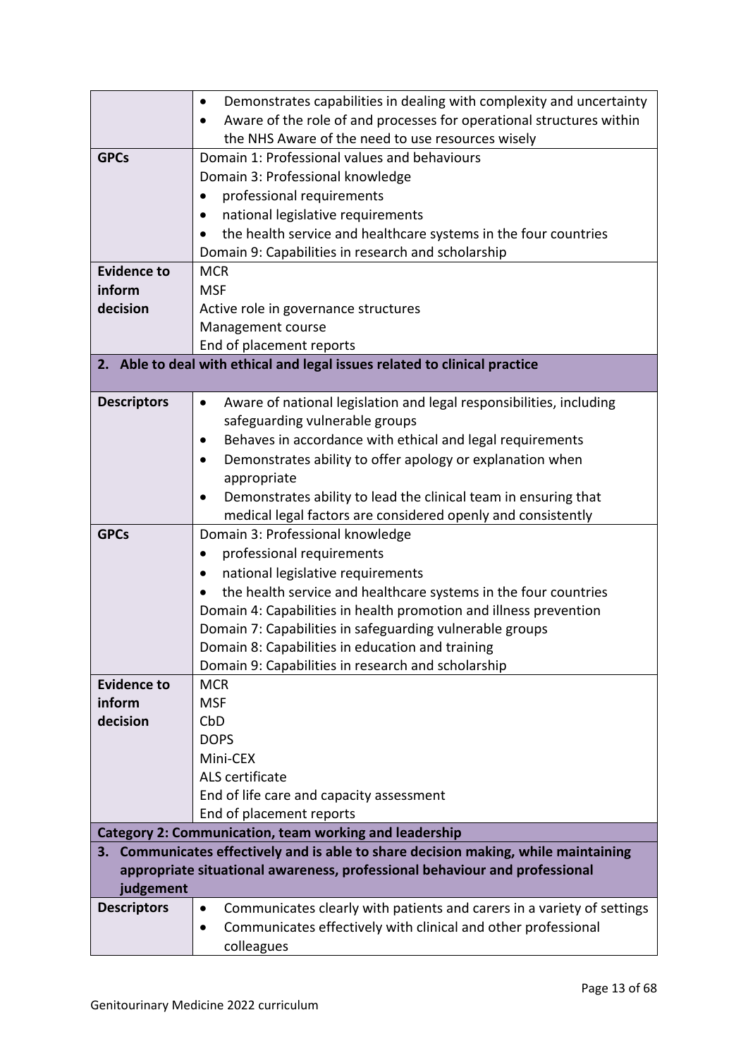|                    | Demonstrates capabilities in dealing with complexity and uncertainty                                   |
|--------------------|--------------------------------------------------------------------------------------------------------|
|                    | Aware of the role of and processes for operational structures within                                   |
|                    | the NHS Aware of the need to use resources wisely                                                      |
| <b>GPCs</b>        | Domain 1: Professional values and behaviours                                                           |
|                    | Domain 3: Professional knowledge                                                                       |
|                    | professional requirements                                                                              |
|                    | national legislative requirements                                                                      |
|                    | the health service and healthcare systems in the four countries                                        |
|                    | Domain 9: Capabilities in research and scholarship                                                     |
| <b>Evidence to</b> | <b>MCR</b>                                                                                             |
| inform             | <b>MSF</b>                                                                                             |
| decision           | Active role in governance structures                                                                   |
|                    | Management course                                                                                      |
|                    | End of placement reports                                                                               |
|                    | 2. Able to deal with ethical and legal issues related to clinical practice                             |
|                    |                                                                                                        |
| <b>Descriptors</b> | Aware of national legislation and legal responsibilities, including<br>$\bullet$                       |
|                    | safeguarding vulnerable groups                                                                         |
|                    | Behaves in accordance with ethical and legal requirements                                              |
|                    | Demonstrates ability to offer apology or explanation when                                              |
|                    | appropriate                                                                                            |
|                    | Demonstrates ability to lead the clinical team in ensuring that                                        |
|                    | medical legal factors are considered openly and consistently                                           |
| <b>GPCs</b>        | Domain 3: Professional knowledge                                                                       |
|                    | professional requirements                                                                              |
|                    | national legislative requirements                                                                      |
|                    | the health service and healthcare systems in the four countries                                        |
|                    | Domain 4: Capabilities in health promotion and illness prevention                                      |
|                    | Domain 7: Capabilities in safeguarding vulnerable groups                                               |
|                    | Domain 8: Capabilities in education and training<br>Domain 9: Capabilities in research and scholarship |
| <b>Evidence to</b> | <b>MCR</b>                                                                                             |
| inform             | <b>MSF</b>                                                                                             |
| decision           | CbD                                                                                                    |
|                    | <b>DOPS</b>                                                                                            |
|                    | Mini-CEX                                                                                               |
|                    | ALS certificate                                                                                        |
|                    | End of life care and capacity assessment                                                               |
|                    | End of placement reports                                                                               |
|                    | <b>Category 2: Communication, team working and leadership</b>                                          |
|                    | 3. Communicates effectively and is able to share decision making, while maintaining                    |
|                    | appropriate situational awareness, professional behaviour and professional                             |
| judgement          |                                                                                                        |
| <b>Descriptors</b> | Communicates clearly with patients and carers in a variety of settings<br>$\bullet$                    |
|                    | Communicates effectively with clinical and other professional<br>$\bullet$                             |
|                    | colleagues                                                                                             |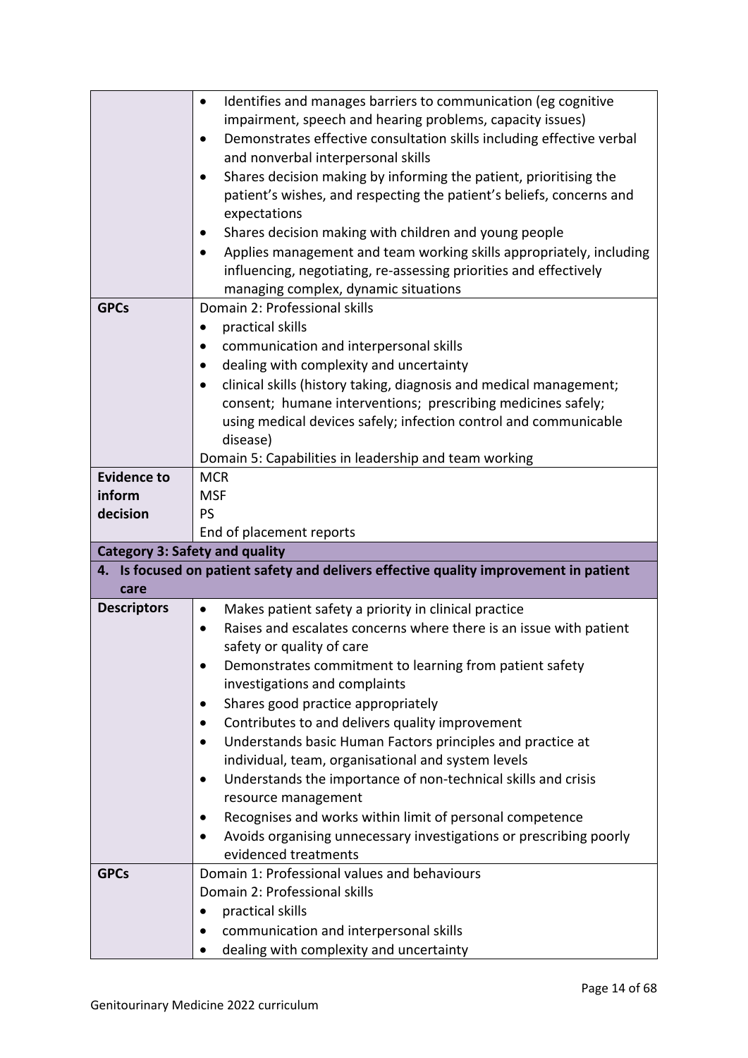|                                       | Identifies and manages barriers to communication (eg cognitive<br>$\bullet$           |  |  |
|---------------------------------------|---------------------------------------------------------------------------------------|--|--|
|                                       | impairment, speech and hearing problems, capacity issues)                             |  |  |
|                                       | Demonstrates effective consultation skills including effective verbal<br>$\bullet$    |  |  |
|                                       | and nonverbal interpersonal skills                                                    |  |  |
|                                       | Shares decision making by informing the patient, prioritising the<br>$\bullet$        |  |  |
|                                       | patient's wishes, and respecting the patient's beliefs, concerns and                  |  |  |
|                                       |                                                                                       |  |  |
|                                       | expectations                                                                          |  |  |
|                                       | Shares decision making with children and young people                                 |  |  |
|                                       | Applies management and team working skills appropriately, including<br>$\bullet$      |  |  |
|                                       | influencing, negotiating, re-assessing priorities and effectively                     |  |  |
|                                       | managing complex, dynamic situations                                                  |  |  |
| <b>GPCs</b>                           | Domain 2: Professional skills                                                         |  |  |
|                                       | practical skills<br>٠                                                                 |  |  |
|                                       | communication and interpersonal skills                                                |  |  |
|                                       | dealing with complexity and uncertainty                                               |  |  |
|                                       | clinical skills (history taking, diagnosis and medical management;                    |  |  |
|                                       | consent; humane interventions; prescribing medicines safely;                          |  |  |
|                                       | using medical devices safely; infection control and communicable                      |  |  |
|                                       | disease)                                                                              |  |  |
|                                       | Domain 5: Capabilities in leadership and team working                                 |  |  |
| <b>Evidence to</b>                    | <b>MCR</b>                                                                            |  |  |
| inform                                | <b>MSF</b>                                                                            |  |  |
| decision                              | <b>PS</b>                                                                             |  |  |
| End of placement reports              |                                                                                       |  |  |
|                                       |                                                                                       |  |  |
| <b>Category 3: Safety and quality</b> |                                                                                       |  |  |
|                                       | 4. Is focused on patient safety and delivers effective quality improvement in patient |  |  |
| care                                  |                                                                                       |  |  |
| <b>Descriptors</b>                    | Makes patient safety a priority in clinical practice<br>$\bullet$                     |  |  |
|                                       | Raises and escalates concerns where there is an issue with patient<br>$\bullet$       |  |  |
|                                       | safety or quality of care                                                             |  |  |
|                                       | Demonstrates commitment to learning from patient safety<br>$\bullet$                  |  |  |
|                                       | investigations and complaints                                                         |  |  |
|                                       | Shares good practice appropriately                                                    |  |  |
|                                       | Contributes to and delivers quality improvement                                       |  |  |
|                                       | Understands basic Human Factors principles and practice at<br>$\bullet$               |  |  |
|                                       | individual, team, organisational and system levels                                    |  |  |
|                                       | Understands the importance of non-technical skills and crisis<br>$\bullet$            |  |  |
|                                       | resource management                                                                   |  |  |
|                                       | Recognises and works within limit of personal competence<br>$\bullet$                 |  |  |
|                                       | Avoids organising unnecessary investigations or prescribing poorly<br>$\bullet$       |  |  |
|                                       | evidenced treatments                                                                  |  |  |
| <b>GPCs</b>                           | Domain 1: Professional values and behaviours                                          |  |  |
|                                       | Domain 2: Professional skills                                                         |  |  |
|                                       | practical skills                                                                      |  |  |
|                                       | communication and interpersonal skills<br>٠                                           |  |  |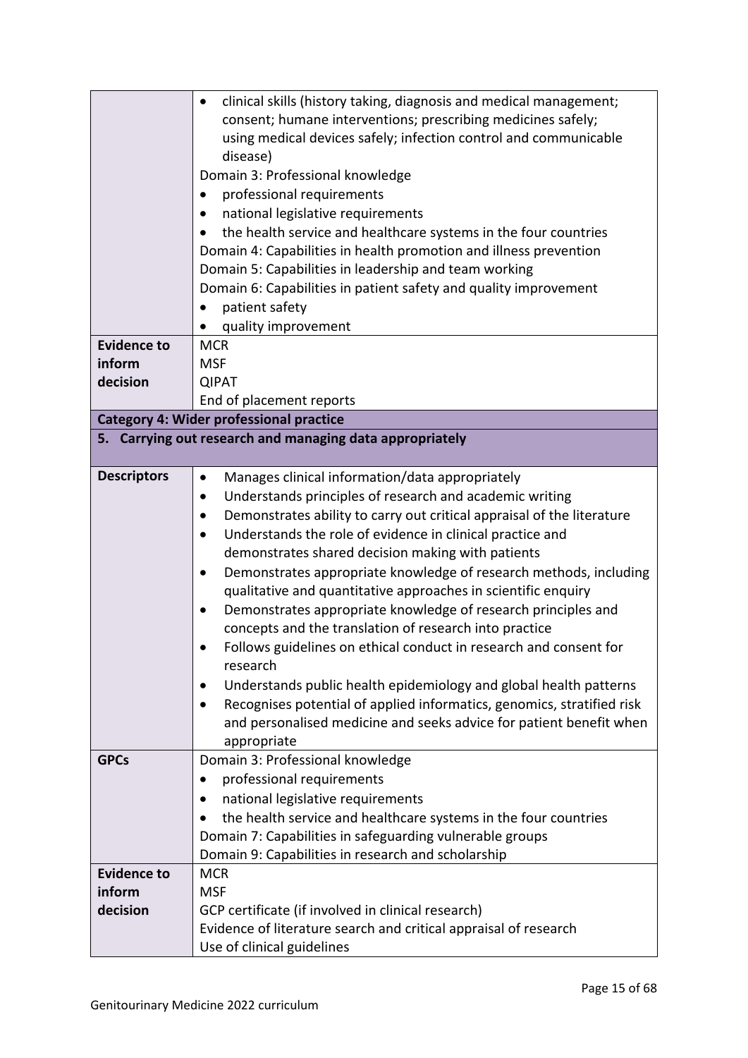|                                                                  | clinical skills (history taking, diagnosis and medical management;         |  |
|------------------------------------------------------------------|----------------------------------------------------------------------------|--|
|                                                                  | consent; humane interventions; prescribing medicines safely;               |  |
|                                                                  | using medical devices safely; infection control and communicable           |  |
|                                                                  | disease)                                                                   |  |
|                                                                  | Domain 3: Professional knowledge                                           |  |
|                                                                  | professional requirements<br>٠                                             |  |
|                                                                  | national legislative requirements                                          |  |
|                                                                  | the health service and healthcare systems in the four countries            |  |
|                                                                  | Domain 4: Capabilities in health promotion and illness prevention          |  |
|                                                                  | Domain 5: Capabilities in leadership and team working                      |  |
| Domain 6: Capabilities in patient safety and quality improvement |                                                                            |  |
|                                                                  | patient safety<br>$\bullet$                                                |  |
|                                                                  | quality improvement                                                        |  |
| <b>Evidence to</b>                                               | <b>MCR</b>                                                                 |  |
| inform                                                           | <b>MSF</b>                                                                 |  |
| decision                                                         | <b>QIPAT</b>                                                               |  |
|                                                                  | End of placement reports                                                   |  |
|                                                                  | <b>Category 4: Wider professional practice</b>                             |  |
|                                                                  | 5. Carrying out research and managing data appropriately                   |  |
| <b>Descriptors</b>                                               | Manages clinical information/data appropriately<br>$\bullet$               |  |
|                                                                  | Understands principles of research and academic writing<br>$\bullet$       |  |
|                                                                  | Demonstrates ability to carry out critical appraisal of the literature     |  |
|                                                                  | Understands the role of evidence in clinical practice and<br>$\bullet$     |  |
|                                                                  | demonstrates shared decision making with patients                          |  |
|                                                                  | Demonstrates appropriate knowledge of research methods, including<br>٠     |  |
|                                                                  | qualitative and quantitative approaches in scientific enquiry              |  |
|                                                                  | Demonstrates appropriate knowledge of research principles and<br>$\bullet$ |  |
|                                                                  | concepts and the translation of research into practice                     |  |
|                                                                  | Follows guidelines on ethical conduct in research and consent for          |  |
|                                                                  | research                                                                   |  |
|                                                                  | Understands public health epidemiology and global health patterns          |  |
|                                                                  | Recognises potential of applied informatics, genomics, stratified risk     |  |
|                                                                  | and personalised medicine and seeks advice for patient benefit when        |  |
|                                                                  | appropriate                                                                |  |
| <b>GPCs</b>                                                      | Domain 3: Professional knowledge                                           |  |
|                                                                  | professional requirements<br>٠                                             |  |
|                                                                  | national legislative requirements                                          |  |
|                                                                  | the health service and healthcare systems in the four countries            |  |
|                                                                  | Domain 7: Capabilities in safeguarding vulnerable groups                   |  |
|                                                                  | Domain 9: Capabilities in research and scholarship                         |  |
| <b>Evidence to</b>                                               | <b>MCR</b>                                                                 |  |
| inform                                                           | <b>MSF</b>                                                                 |  |
| decision                                                         | GCP certificate (if involved in clinical research)                         |  |
|                                                                  | Evidence of literature search and critical appraisal of research           |  |
|                                                                  | Use of clinical guidelines                                                 |  |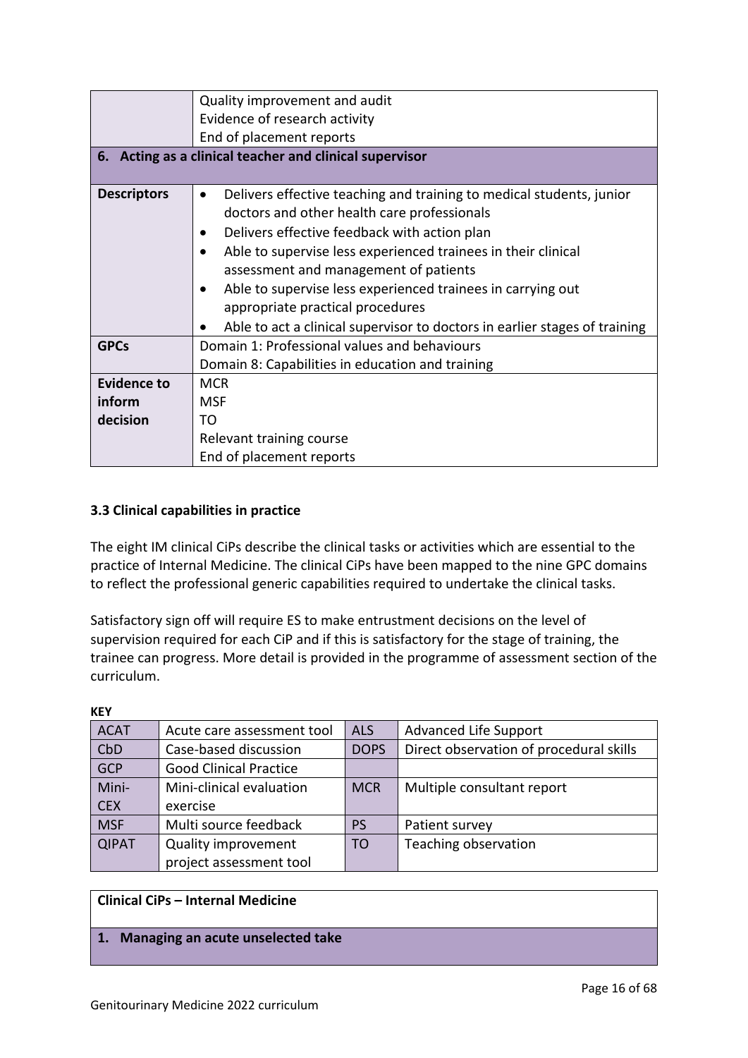|                                                             | Quality improvement and audit                                              |  |  |
|-------------------------------------------------------------|----------------------------------------------------------------------------|--|--|
|                                                             | Evidence of research activity                                              |  |  |
|                                                             | End of placement reports                                                   |  |  |
|                                                             | 6. Acting as a clinical teacher and clinical supervisor                    |  |  |
|                                                             |                                                                            |  |  |
| <b>Descriptors</b>                                          | Delivers effective teaching and training to medical students, junior       |  |  |
|                                                             | doctors and other health care professionals                                |  |  |
|                                                             | Delivers effective feedback with action plan                               |  |  |
|                                                             | Able to supervise less experienced trainees in their clinical              |  |  |
|                                                             | assessment and management of patients                                      |  |  |
| Able to supervise less experienced trainees in carrying out |                                                                            |  |  |
|                                                             | appropriate practical procedures                                           |  |  |
|                                                             | Able to act a clinical supervisor to doctors in earlier stages of training |  |  |
| <b>GPCs</b>                                                 | Domain 1: Professional values and behaviours                               |  |  |
|                                                             | Domain 8: Capabilities in education and training                           |  |  |
| <b>Evidence to</b>                                          | <b>MCR</b>                                                                 |  |  |
| inform                                                      | <b>MSF</b>                                                                 |  |  |
| decision                                                    | TΩ                                                                         |  |  |
|                                                             | Relevant training course                                                   |  |  |
|                                                             | End of placement reports                                                   |  |  |

## <span id="page-15-0"></span>**3.3 Clinical capabilities in practice**

The eight IM clinical CiPs describe the clinical tasks or activities which are essential to the practice of Internal Medicine. The clinical CiPs have been mapped to the nine GPC domains to reflect the professional generic capabilities required to undertake the clinical tasks.

Satisfactory sign off will require ES to make entrustment decisions on the level of supervision required for each CiP and if this is satisfactory for the stage of training, the trainee can progress. More detail is provided in the programme of assessment section of the curriculum.

| <b>KEY</b>   |                               |             |                                         |
|--------------|-------------------------------|-------------|-----------------------------------------|
| <b>ACAT</b>  | Acute care assessment tool    | <b>ALS</b>  | <b>Advanced Life Support</b>            |
| CbD          | Case-based discussion         | <b>DOPS</b> | Direct observation of procedural skills |
| <b>GCP</b>   | <b>Good Clinical Practice</b> |             |                                         |
| Mini-        | Mini-clinical evaluation      | <b>MCR</b>  | Multiple consultant report              |
| <b>CEX</b>   | exercise                      |             |                                         |
| <b>MSF</b>   | Multi source feedback         | <b>PS</b>   | Patient survey                          |
| <b>QIPAT</b> | <b>Quality improvement</b>    | TO          | Teaching observation                    |
|              | project assessment tool       |             |                                         |

## **Clinical CiPs – Internal Medicine**

#### **1. Managing an acute unselected take**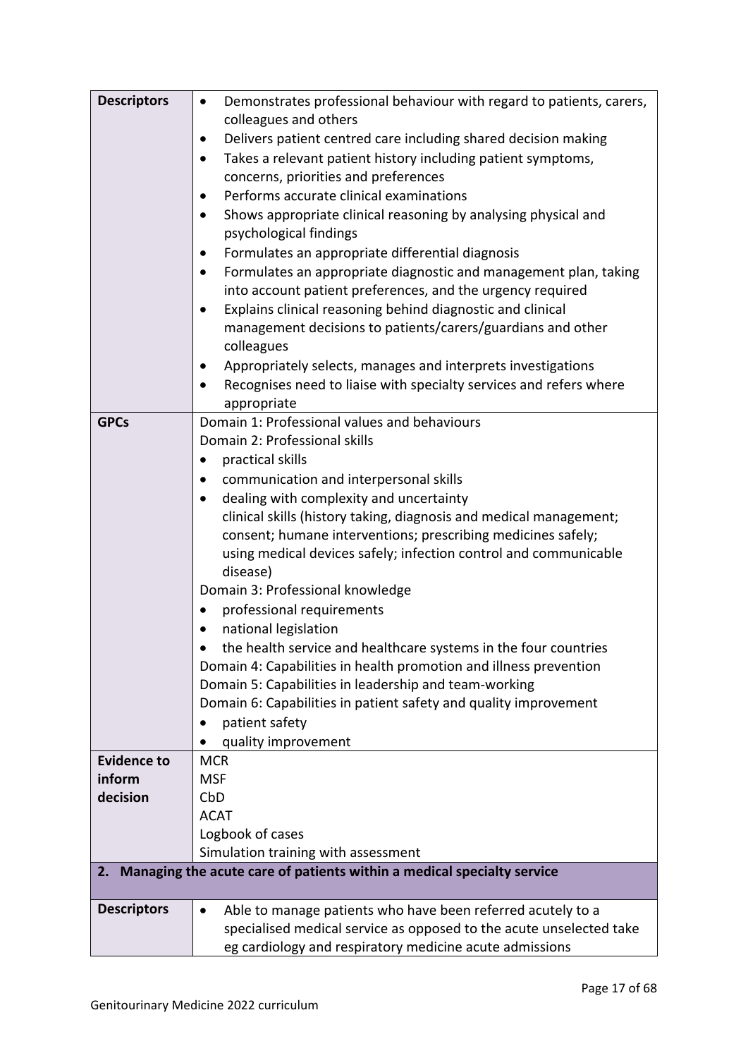| <b>Descriptors</b> | Demonstrates professional behaviour with regard to patients, carers,<br>$\bullet$<br>colleagues and others                       |
|--------------------|----------------------------------------------------------------------------------------------------------------------------------|
|                    | Delivers patient centred care including shared decision making<br>$\bullet$                                                      |
|                    | Takes a relevant patient history including patient symptoms,<br>$\bullet$                                                        |
|                    | concerns, priorities and preferences                                                                                             |
|                    | Performs accurate clinical examinations<br>٠                                                                                     |
|                    | Shows appropriate clinical reasoning by analysing physical and<br>$\bullet$                                                      |
|                    | psychological findings                                                                                                           |
|                    | Formulates an appropriate differential diagnosis<br>$\bullet$                                                                    |
|                    | Formulates an appropriate diagnostic and management plan, taking<br>$\bullet$                                                    |
|                    | into account patient preferences, and the urgency required                                                                       |
|                    | Explains clinical reasoning behind diagnostic and clinical<br>$\bullet$                                                          |
|                    | management decisions to patients/carers/guardians and other                                                                      |
|                    | colleagues                                                                                                                       |
|                    | Appropriately selects, manages and interprets investigations<br>$\bullet$                                                        |
|                    | Recognises need to liaise with specialty services and refers where<br>$\bullet$                                                  |
| <b>GPCs</b>        | appropriate<br>Domain 1: Professional values and behaviours                                                                      |
|                    | Domain 2: Professional skills                                                                                                    |
|                    |                                                                                                                                  |
|                    | practical skills                                                                                                                 |
|                    | communication and interpersonal skills                                                                                           |
|                    | dealing with complexity and uncertainty                                                                                          |
|                    | clinical skills (history taking, diagnosis and medical management;                                                               |
|                    | consent; humane interventions; prescribing medicines safely;<br>using medical devices safely; infection control and communicable |
|                    | disease)                                                                                                                         |
|                    | Domain 3: Professional knowledge                                                                                                 |
|                    | professional requirements                                                                                                        |
|                    | national legislation                                                                                                             |
|                    | the health service and healthcare systems in the four countries                                                                  |
|                    | Domain 4: Capabilities in health promotion and illness prevention                                                                |
|                    | Domain 5: Capabilities in leadership and team-working                                                                            |
|                    | Domain 6: Capabilities in patient safety and quality improvement                                                                 |
|                    | patient safety                                                                                                                   |
|                    | quality improvement                                                                                                              |
| <b>Evidence to</b> | <b>MCR</b>                                                                                                                       |
| inform             | <b>MSF</b>                                                                                                                       |
| decision           | CbD                                                                                                                              |
|                    | <b>ACAT</b>                                                                                                                      |
|                    | Logbook of cases                                                                                                                 |
|                    | Simulation training with assessment                                                                                              |
| 2.                 | Managing the acute care of patients within a medical specialty service                                                           |
|                    |                                                                                                                                  |
| <b>Descriptors</b> | Able to manage patients who have been referred acutely to a<br>$\bullet$                                                         |
|                    | specialised medical service as opposed to the acute unselected take                                                              |
|                    | eg cardiology and respiratory medicine acute admissions                                                                          |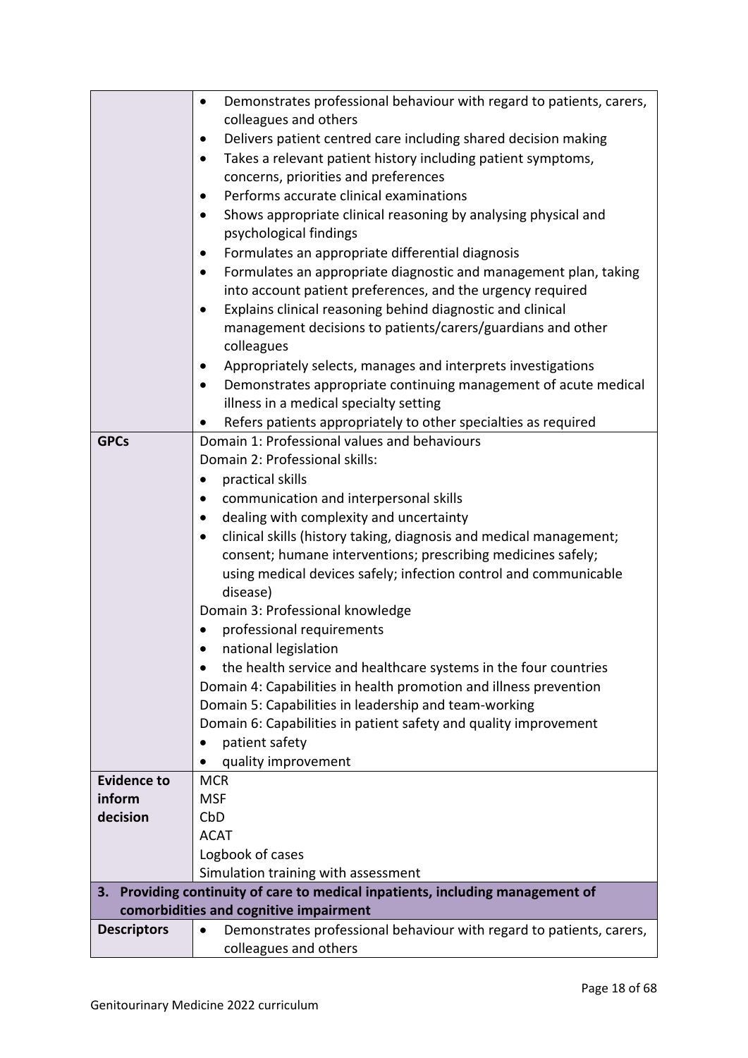|                    | Demonstrates professional behaviour with regard to patients, carers,<br>$\bullet$ |
|--------------------|-----------------------------------------------------------------------------------|
|                    | colleagues and others                                                             |
|                    | Delivers patient centred care including shared decision making<br>٠               |
|                    | Takes a relevant patient history including patient symptoms,                      |
|                    | concerns, priorities and preferences                                              |
|                    | Performs accurate clinical examinations                                           |
|                    | Shows appropriate clinical reasoning by analysing physical and<br>$\bullet$       |
|                    | psychological findings                                                            |
|                    | Formulates an appropriate differential diagnosis                                  |
|                    | Formulates an appropriate diagnostic and management plan, taking                  |
|                    | into account patient preferences, and the urgency required                        |
|                    | Explains clinical reasoning behind diagnostic and clinical                        |
|                    | management decisions to patients/carers/guardians and other                       |
|                    | colleagues                                                                        |
|                    | Appropriately selects, manages and interprets investigations                      |
|                    | Demonstrates appropriate continuing management of acute medical<br>$\bullet$      |
|                    | illness in a medical specialty setting                                            |
|                    | Refers patients appropriately to other specialties as required                    |
| <b>GPCs</b>        | Domain 1: Professional values and behaviours                                      |
|                    | Domain 2: Professional skills:                                                    |
|                    | practical skills                                                                  |
|                    | communication and interpersonal skills                                            |
|                    | dealing with complexity and uncertainty                                           |
|                    | clinical skills (history taking, diagnosis and medical management;                |
|                    |                                                                                   |
|                    | consent; humane interventions; prescribing medicines safely;                      |
|                    | using medical devices safely; infection control and communicable<br>disease)      |
|                    | Domain 3: Professional knowledge                                                  |
|                    | professional requirements                                                         |
|                    | national legislation                                                              |
|                    |                                                                                   |
|                    | the health service and healthcare systems in the four countries                   |
|                    | Domain 4: Capabilities in health promotion and illness prevention                 |
|                    | Domain 5: Capabilities in leadership and team-working                             |
|                    | Domain 6: Capabilities in patient safety and quality improvement                  |
|                    | patient safety                                                                    |
|                    | quality improvement                                                               |
| <b>Evidence to</b> | <b>MCR</b>                                                                        |
| inform             | <b>MSF</b>                                                                        |
| decision           | CbD                                                                               |
|                    | <b>ACAT</b>                                                                       |
|                    | Logbook of cases                                                                  |
|                    | Simulation training with assessment                                               |
| 3.                 | Providing continuity of care to medical inpatients, including management of       |
|                    | comorbidities and cognitive impairment                                            |
| <b>Descriptors</b> | Demonstrates professional behaviour with regard to patients, carers,              |
|                    | colleagues and others                                                             |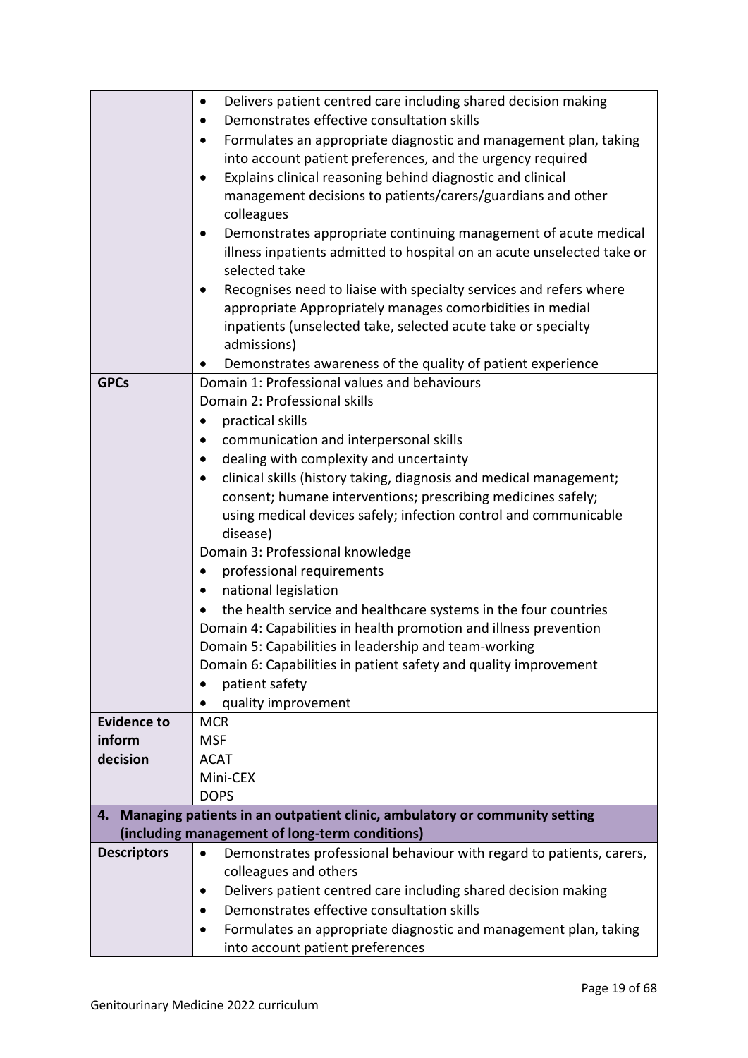|                                   | Delivers patient centred care including shared decision making<br>$\bullet$                                                  |  |  |  |
|-----------------------------------|------------------------------------------------------------------------------------------------------------------------------|--|--|--|
|                                   | Demonstrates effective consultation skills                                                                                   |  |  |  |
|                                   | Formulates an appropriate diagnostic and management plan, taking<br>$\bullet$                                                |  |  |  |
|                                   | into account patient preferences, and the urgency required                                                                   |  |  |  |
|                                   | Explains clinical reasoning behind diagnostic and clinical<br>$\bullet$                                                      |  |  |  |
|                                   | management decisions to patients/carers/guardians and other                                                                  |  |  |  |
|                                   | colleagues                                                                                                                   |  |  |  |
|                                   | Demonstrates appropriate continuing management of acute medical<br>$\bullet$                                                 |  |  |  |
|                                   | illness inpatients admitted to hospital on an acute unselected take or                                                       |  |  |  |
|                                   | selected take                                                                                                                |  |  |  |
|                                   | Recognises need to liaise with specialty services and refers where<br>$\bullet$                                              |  |  |  |
|                                   | appropriate Appropriately manages comorbidities in medial                                                                    |  |  |  |
|                                   | inpatients (unselected take, selected acute take or specialty                                                                |  |  |  |
|                                   | admissions)                                                                                                                  |  |  |  |
|                                   | Demonstrates awareness of the quality of patient experience                                                                  |  |  |  |
| <b>GPCs</b>                       | Domain 1: Professional values and behaviours                                                                                 |  |  |  |
|                                   | Domain 2: Professional skills                                                                                                |  |  |  |
|                                   | practical skills<br>$\bullet$                                                                                                |  |  |  |
|                                   | communication and interpersonal skills                                                                                       |  |  |  |
|                                   | dealing with complexity and uncertainty                                                                                      |  |  |  |
|                                   | clinical skills (history taking, diagnosis and medical management;                                                           |  |  |  |
|                                   | $\bullet$                                                                                                                    |  |  |  |
|                                   | consent; humane interventions; prescribing medicines safely;                                                                 |  |  |  |
|                                   | using medical devices safely; infection control and communicable                                                             |  |  |  |
|                                   | disease)<br>Domain 3: Professional knowledge                                                                                 |  |  |  |
|                                   | professional requirements<br>$\bullet$                                                                                       |  |  |  |
|                                   |                                                                                                                              |  |  |  |
| national legislation<br>$\bullet$ |                                                                                                                              |  |  |  |
|                                   | the health service and healthcare systems in the four countries                                                              |  |  |  |
|                                   | Domain 4: Capabilities in health promotion and illness prevention                                                            |  |  |  |
|                                   | Domain 5: Capabilities in leadership and team-working                                                                        |  |  |  |
|                                   | Domain 6: Capabilities in patient safety and quality improvement                                                             |  |  |  |
|                                   | patient safety                                                                                                               |  |  |  |
|                                   | quality improvement                                                                                                          |  |  |  |
| <b>Evidence to</b>                | <b>MCR</b>                                                                                                                   |  |  |  |
| inform                            | <b>MSF</b>                                                                                                                   |  |  |  |
| decision                          | <b>ACAT</b>                                                                                                                  |  |  |  |
|                                   | Mini-CEX                                                                                                                     |  |  |  |
|                                   | <b>DOPS</b>                                                                                                                  |  |  |  |
| 4.                                | Managing patients in an outpatient clinic, ambulatory or community setting<br>(including management of long-term conditions) |  |  |  |
| <b>Descriptors</b>                |                                                                                                                              |  |  |  |
|                                   | Demonstrates professional behaviour with regard to patients, carers,<br>$\bullet$                                            |  |  |  |
|                                   | colleagues and others                                                                                                        |  |  |  |
|                                   | Delivers patient centred care including shared decision making                                                               |  |  |  |
|                                   | Demonstrates effective consultation skills                                                                                   |  |  |  |
|                                   | Formulates an appropriate diagnostic and management plan, taking<br>$\bullet$                                                |  |  |  |
|                                   | into account patient preferences                                                                                             |  |  |  |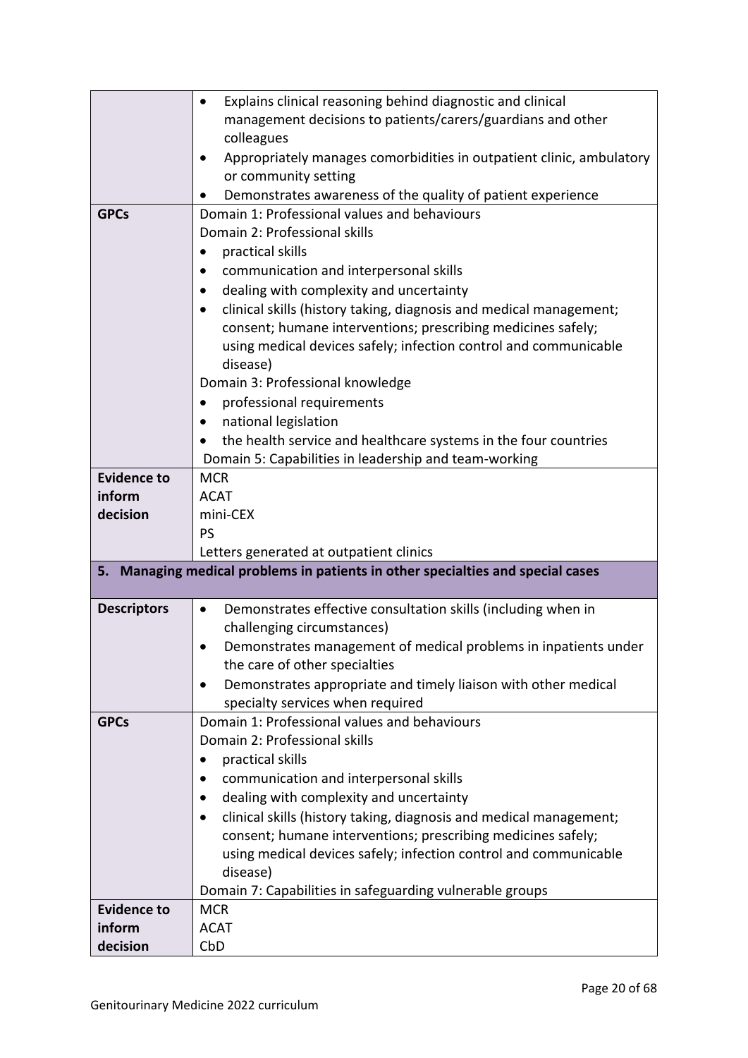|                    | Explains clinical reasoning behind diagnostic and clinical<br>$\bullet$                                                 |
|--------------------|-------------------------------------------------------------------------------------------------------------------------|
|                    | management decisions to patients/carers/guardians and other                                                             |
|                    | colleagues                                                                                                              |
|                    | Appropriately manages comorbidities in outpatient clinic, ambulatory                                                    |
|                    | or community setting                                                                                                    |
|                    | Demonstrates awareness of the quality of patient experience                                                             |
| <b>GPCs</b>        | Domain 1: Professional values and behaviours                                                                            |
|                    | Domain 2: Professional skills                                                                                           |
|                    | practical skills                                                                                                        |
|                    | communication and interpersonal skills                                                                                  |
|                    | dealing with complexity and uncertainty                                                                                 |
|                    | clinical skills (history taking, diagnosis and medical management;                                                      |
|                    | consent; humane interventions; prescribing medicines safely;                                                            |
|                    | using medical devices safely; infection control and communicable                                                        |
|                    | disease)                                                                                                                |
|                    | Domain 3: Professional knowledge                                                                                        |
|                    | professional requirements                                                                                               |
|                    | national legislation                                                                                                    |
|                    | the health service and healthcare systems in the four countries                                                         |
|                    |                                                                                                                         |
| <b>Evidence to</b> | Domain 5: Capabilities in leadership and team-working<br><b>MCR</b>                                                     |
| inform             | <b>ACAT</b>                                                                                                             |
| decision           |                                                                                                                         |
|                    | mini-CEX<br>PS                                                                                                          |
|                    |                                                                                                                         |
| 5.                 | Letters generated at outpatient clinics<br>Managing medical problems in patients in other specialties and special cases |
|                    |                                                                                                                         |
| <b>Descriptors</b> | Demonstrates effective consultation skills (including when in                                                           |
|                    | challenging circumstances)                                                                                              |
|                    | Demonstrates management of medical problems in inpatients under                                                         |
|                    | the care of other specialties                                                                                           |
|                    | Demonstrates appropriate and timely liaison with other medical<br>$\bullet$                                             |
|                    | specialty services when required                                                                                        |
| <b>GPCs</b>        | Domain 1: Professional values and behaviours                                                                            |
|                    | Domain 2: Professional skills                                                                                           |
|                    | practical skills                                                                                                        |
|                    | communication and interpersonal skills                                                                                  |
|                    | dealing with complexity and uncertainty                                                                                 |
|                    | clinical skills (history taking, diagnosis and medical management;                                                      |
|                    | consent; humane interventions; prescribing medicines safely;                                                            |
|                    | using medical devices safely; infection control and communicable                                                        |
|                    | disease)                                                                                                                |
|                    | Domain 7: Capabilities in safeguarding vulnerable groups                                                                |
| <b>Evidence to</b> |                                                                                                                         |
|                    | <b>MCR</b>                                                                                                              |
| inform             | <b>ACAT</b>                                                                                                             |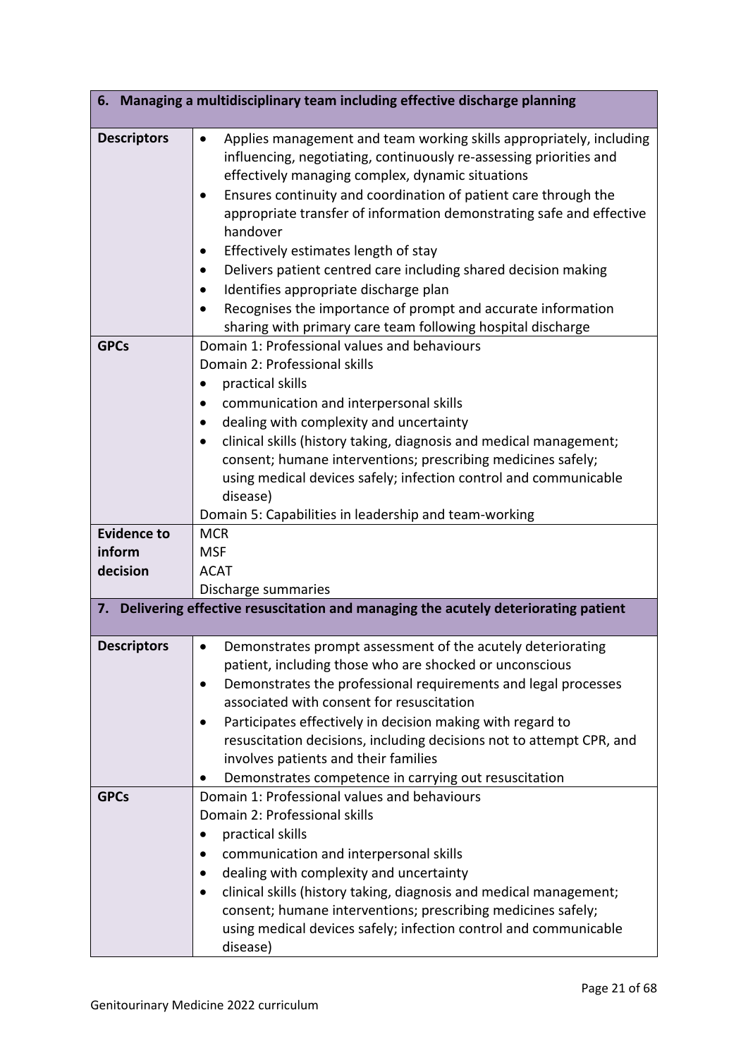|                    | 6. Managing a multidisciplinary team including effective discharge planning                                                                                                                                                                                                                                                                                                                                                                                                                                                                                                                                                                                      |
|--------------------|------------------------------------------------------------------------------------------------------------------------------------------------------------------------------------------------------------------------------------------------------------------------------------------------------------------------------------------------------------------------------------------------------------------------------------------------------------------------------------------------------------------------------------------------------------------------------------------------------------------------------------------------------------------|
| <b>Descriptors</b> | Applies management and team working skills appropriately, including<br>$\bullet$<br>influencing, negotiating, continuously re-assessing priorities and<br>effectively managing complex, dynamic situations<br>Ensures continuity and coordination of patient care through the<br>appropriate transfer of information demonstrating safe and effective<br>handover<br>Effectively estimates length of stay<br>$\bullet$<br>Delivers patient centred care including shared decision making<br>Identifies appropriate discharge plan<br>Recognises the importance of prompt and accurate information<br>sharing with primary care team following hospital discharge |
| <b>GPCs</b>        | Domain 1: Professional values and behaviours<br>Domain 2: Professional skills<br>practical skills<br>communication and interpersonal skills<br>dealing with complexity and uncertainty<br>clinical skills (history taking, diagnosis and medical management;<br>consent; humane interventions; prescribing medicines safely;<br>using medical devices safely; infection control and communicable<br>disease)<br>Domain 5: Capabilities in leadership and team-working                                                                                                                                                                                            |
| <b>Evidence to</b> | <b>MCR</b>                                                                                                                                                                                                                                                                                                                                                                                                                                                                                                                                                                                                                                                       |
| inform<br>decision | <b>MSF</b><br><b>ACAT</b>                                                                                                                                                                                                                                                                                                                                                                                                                                                                                                                                                                                                                                        |
|                    | Discharge summaries                                                                                                                                                                                                                                                                                                                                                                                                                                                                                                                                                                                                                                              |
|                    | 7. Delivering effective resuscitation and managing the acutely deteriorating patient                                                                                                                                                                                                                                                                                                                                                                                                                                                                                                                                                                             |
| <b>Descriptors</b> | Demonstrates prompt assessment of the acutely deteriorating<br>patient, including those who are shocked or unconscious<br>Demonstrates the professional requirements and legal processes<br>associated with consent for resuscitation<br>Participates effectively in decision making with regard to<br>resuscitation decisions, including decisions not to attempt CPR, and<br>involves patients and their families<br>Demonstrates competence in carrying out resuscitation                                                                                                                                                                                     |
| <b>GPCs</b>        | Domain 1: Professional values and behaviours<br>Domain 2: Professional skills<br>practical skills<br>communication and interpersonal skills<br>dealing with complexity and uncertainty<br>clinical skills (history taking, diagnosis and medical management;<br>$\bullet$<br>consent; humane interventions; prescribing medicines safely;<br>using medical devices safely; infection control and communicable<br>disease)                                                                                                                                                                                                                                        |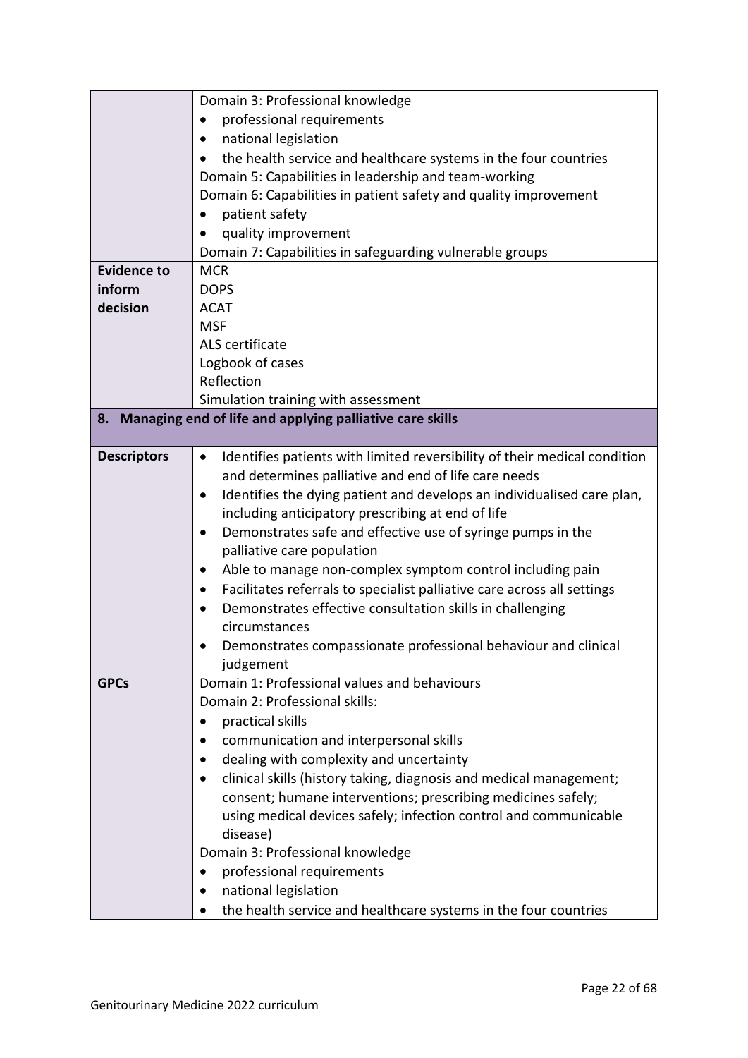|                    | Domain 3: Professional knowledge                                                       |
|--------------------|----------------------------------------------------------------------------------------|
|                    | professional requirements                                                              |
|                    | national legislation<br>$\bullet$                                                      |
|                    | the health service and healthcare systems in the four countries                        |
|                    | Domain 5: Capabilities in leadership and team-working                                  |
|                    | Domain 6: Capabilities in patient safety and quality improvement                       |
|                    | patient safety                                                                         |
|                    | quality improvement                                                                    |
|                    | Domain 7: Capabilities in safeguarding vulnerable groups                               |
| <b>Evidence to</b> | <b>MCR</b>                                                                             |
| inform             | <b>DOPS</b>                                                                            |
| decision           | <b>ACAT</b>                                                                            |
|                    | <b>MSF</b>                                                                             |
|                    | ALS certificate                                                                        |
|                    | Logbook of cases                                                                       |
|                    | Reflection                                                                             |
|                    | Simulation training with assessment                                                    |
|                    | 8. Managing end of life and applying palliative care skills                            |
|                    |                                                                                        |
| <b>Descriptors</b> | Identifies patients with limited reversibility of their medical condition<br>$\bullet$ |
|                    | and determines palliative and end of life care needs                                   |
|                    | Identifies the dying patient and develops an individualised care plan,<br>٠            |
|                    | including anticipatory prescribing at end of life                                      |
|                    | Demonstrates safe and effective use of syringe pumps in the<br>٠                       |
|                    | palliative care population                                                             |
|                    | Able to manage non-complex symptom control including pain<br>$\bullet$                 |
|                    | Facilitates referrals to specialist palliative care across all settings<br>$\bullet$   |
|                    | Demonstrates effective consultation skills in challenging<br>$\bullet$                 |
|                    | circumstances                                                                          |
|                    | Demonstrates compassionate professional behaviour and clinical                         |
|                    | judgement                                                                              |
| <b>GPCs</b>        | Domain 1: Professional values and behaviours                                           |
|                    | Domain 2: Professional skills:                                                         |
|                    | practical skills                                                                       |
|                    | communication and interpersonal skills                                                 |
|                    | dealing with complexity and uncertainty                                                |
|                    | clinical skills (history taking, diagnosis and medical management;                     |
|                    | consent; humane interventions; prescribing medicines safely;                           |
|                    | using medical devices safely; infection control and communicable                       |
|                    | disease)                                                                               |
|                    | Domain 3: Professional knowledge                                                       |
|                    | professional requirements<br>$\bullet$                                                 |
|                    | national legislation                                                                   |
|                    | the health service and healthcare systems in the four countries                        |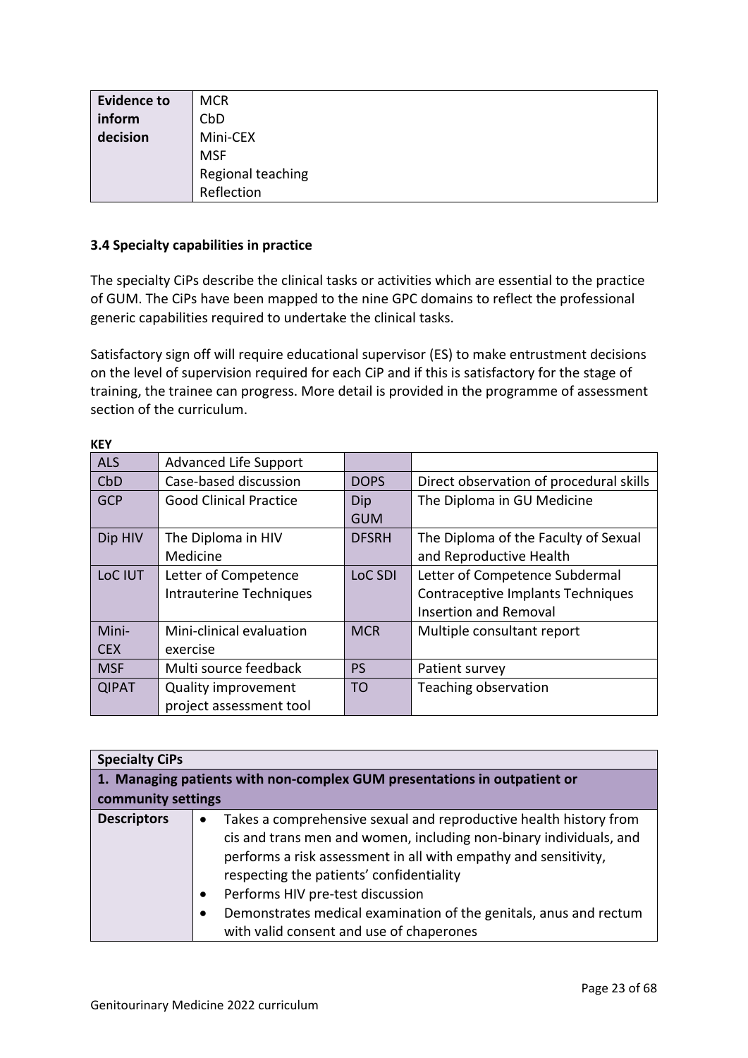| <b>Evidence to</b> | <b>MCR</b>        |
|--------------------|-------------------|
| inform             | CbD               |
| decision           | Mini-CEX          |
|                    | <b>MSF</b>        |
|                    | Regional teaching |
|                    | Reflection        |

#### <span id="page-22-0"></span>**3.4 Specialty capabilities in practice**

 $k<sub>F</sub>$ 

The specialty CiPs describe the clinical tasks or activities which are essential to the practice of GUM. The CiPs have been mapped to the nine GPC domains to reflect the professional generic capabilities required to undertake the clinical tasks.

Satisfactory sign off will require educational supervisor (ES) to make entrustment decisions on the level of supervision required for each CiP and if this is satisfactory for the stage of training, the trainee can progress. More detail is provided in the programme of assessment section of the curriculum.

| <b>KEY</b>   |                               |                |                                         |
|--------------|-------------------------------|----------------|-----------------------------------------|
| <b>ALS</b>   | <b>Advanced Life Support</b>  |                |                                         |
| CbD          | Case-based discussion         | <b>DOPS</b>    | Direct observation of procedural skills |
| <b>GCP</b>   | <b>Good Clinical Practice</b> | Dip            | The Diploma in GU Medicine              |
|              |                               | <b>GUM</b>     |                                         |
| Dip HIV      | The Diploma in HIV            | <b>DFSRH</b>   | The Diploma of the Faculty of Sexual    |
|              | Medicine                      |                | and Reproductive Health                 |
| LoC IUT      | Letter of Competence          | LoC SDI        | Letter of Competence Subdermal          |
|              | Intrauterine Techniques       |                | Contraceptive Implants Techniques       |
|              |                               |                | <b>Insertion and Removal</b>            |
| Mini-        | Mini-clinical evaluation      | <b>MCR</b>     | Multiple consultant report              |
| <b>CEX</b>   | exercise                      |                |                                         |
| <b>MSF</b>   | Multi source feedback         | PS             | Patient survey                          |
| <b>QIPAT</b> | <b>Quality improvement</b>    | T <sub>O</sub> | Teaching observation                    |
|              | project assessment tool       |                |                                         |

| <b>Specialty CiPs</b>                                                           |                                                                                                                                                                                                                                                                                                                                                                                                             |
|---------------------------------------------------------------------------------|-------------------------------------------------------------------------------------------------------------------------------------------------------------------------------------------------------------------------------------------------------------------------------------------------------------------------------------------------------------------------------------------------------------|
| $\mid$ 1. Managing patients with non-complex GUM presentations in outpatient or |                                                                                                                                                                                                                                                                                                                                                                                                             |
| community settings                                                              |                                                                                                                                                                                                                                                                                                                                                                                                             |
| <b>Descriptors</b>                                                              | Takes a comprehensive sexual and reproductive health history from<br>cis and trans men and women, including non-binary individuals, and<br>performs a risk assessment in all with empathy and sensitivity,<br>respecting the patients' confidentiality<br>Performs HIV pre-test discussion<br>Demonstrates medical examination of the genitals, anus and rectum<br>with valid consent and use of chaperones |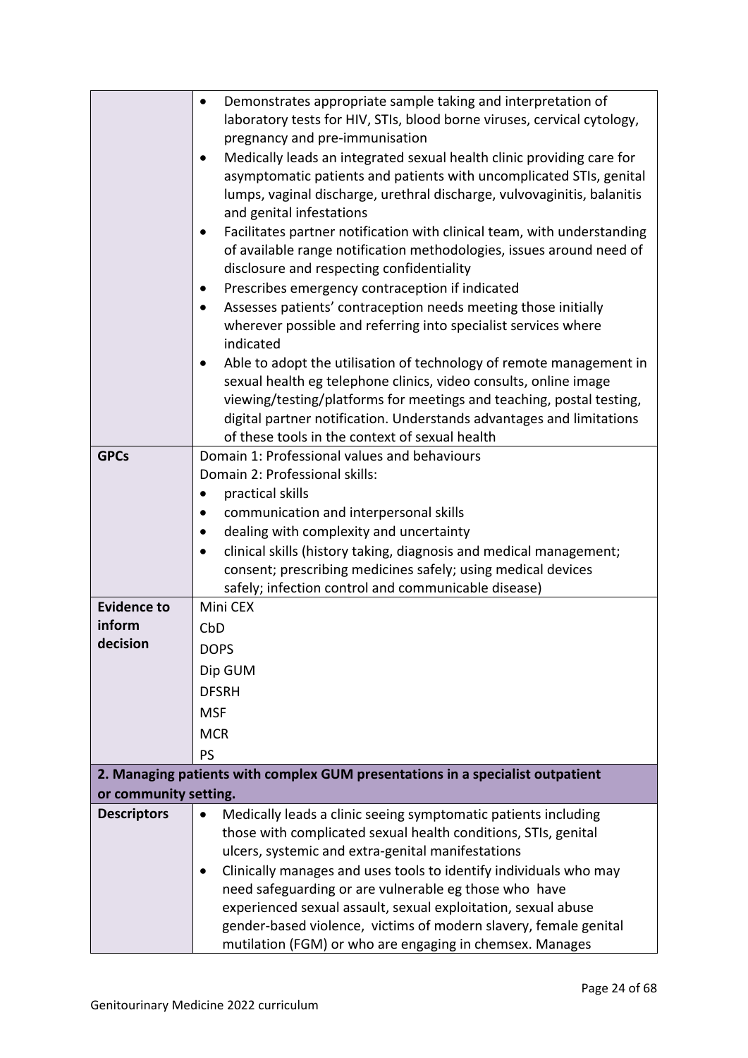|                       | Demonstrates appropriate sample taking and interpretation of                                                                      |
|-----------------------|-----------------------------------------------------------------------------------------------------------------------------------|
|                       | laboratory tests for HIV, STIs, blood borne viruses, cervical cytology,                                                           |
|                       | pregnancy and pre-immunisation                                                                                                    |
|                       | Medically leads an integrated sexual health clinic providing care for                                                             |
|                       | asymptomatic patients and patients with uncomplicated STIs, genital                                                               |
|                       | lumps, vaginal discharge, urethral discharge, vulvovaginitis, balanitis                                                           |
|                       | and genital infestations                                                                                                          |
|                       | Facilitates partner notification with clinical team, with understanding                                                           |
|                       | of available range notification methodologies, issues around need of                                                              |
|                       | disclosure and respecting confidentiality                                                                                         |
|                       | Prescribes emergency contraception if indicated                                                                                   |
|                       | Assesses patients' contraception needs meeting those initially<br>$\bullet$                                                       |
|                       | wherever possible and referring into specialist services where                                                                    |
|                       | indicated                                                                                                                         |
|                       | Able to adopt the utilisation of technology of remote management in                                                               |
|                       | sexual health eg telephone clinics, video consults, online image                                                                  |
|                       | viewing/testing/platforms for meetings and teaching, postal testing,                                                              |
|                       | digital partner notification. Understands advantages and limitations<br>of these tools in the context of sexual health            |
| <b>GPCs</b>           | Domain 1: Professional values and behaviours                                                                                      |
|                       | Domain 2: Professional skills:                                                                                                    |
|                       | practical skills                                                                                                                  |
|                       | communication and interpersonal skills                                                                                            |
|                       | dealing with complexity and uncertainty                                                                                           |
|                       | clinical skills (history taking, diagnosis and medical management;                                                                |
|                       | consent; prescribing medicines safely; using medical devices                                                                      |
|                       | safely; infection control and communicable disease)                                                                               |
| <b>Evidence to</b>    | Mini CEX                                                                                                                          |
| inform                | CbD                                                                                                                               |
| decision              | <b>DOPS</b>                                                                                                                       |
|                       | Dip GUM                                                                                                                           |
|                       |                                                                                                                                   |
|                       | <b>DFSRH</b>                                                                                                                      |
|                       |                                                                                                                                   |
|                       | <b>MSF</b>                                                                                                                        |
|                       | <b>MCR</b>                                                                                                                        |
|                       | PS                                                                                                                                |
|                       | 2. Managing patients with complex GUM presentations in a specialist outpatient                                                    |
| or community setting. |                                                                                                                                   |
| <b>Descriptors</b>    | Medically leads a clinic seeing symptomatic patients including<br>$\bullet$                                                       |
|                       | those with complicated sexual health conditions, STIs, genital                                                                    |
|                       | ulcers, systemic and extra-genital manifestations                                                                                 |
|                       | Clinically manages and uses tools to identify individuals who may                                                                 |
|                       | need safeguarding or are vulnerable eg those who have                                                                             |
|                       | experienced sexual assault, sexual exploitation, sexual abuse<br>gender-based violence, victims of modern slavery, female genital |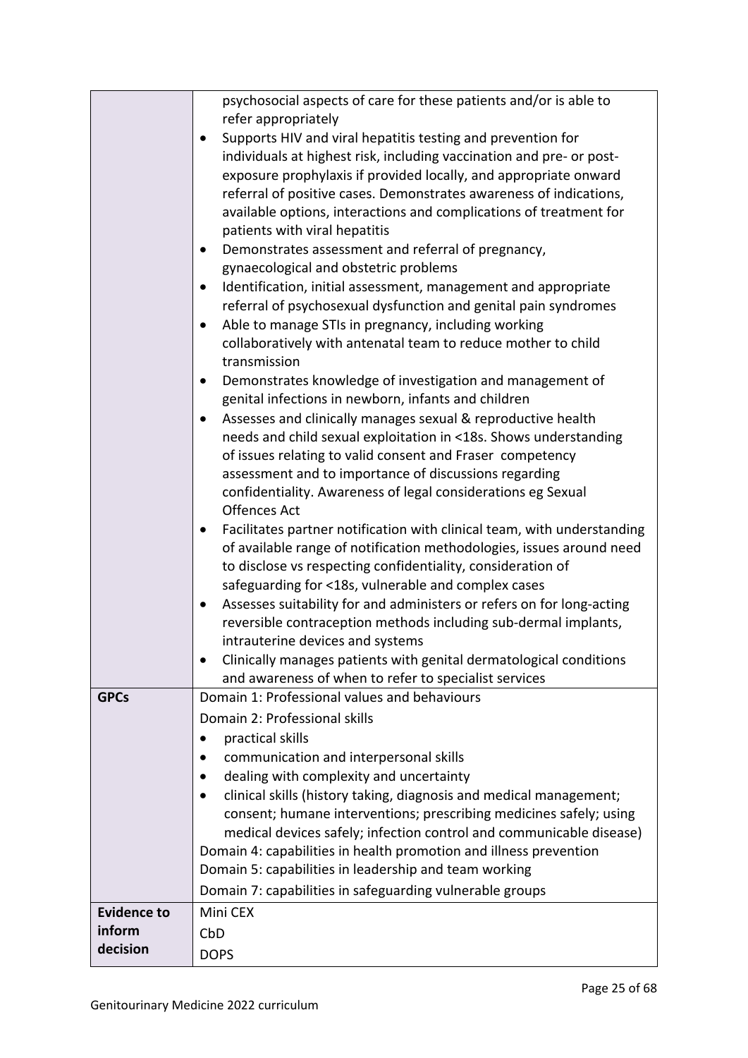|                    | psychosocial aspects of care for these patients and/or is able to                                                     |
|--------------------|-----------------------------------------------------------------------------------------------------------------------|
|                    | refer appropriately                                                                                                   |
|                    | Supports HIV and viral hepatitis testing and prevention for<br>$\bullet$                                              |
|                    | individuals at highest risk, including vaccination and pre- or post-                                                  |
|                    | exposure prophylaxis if provided locally, and appropriate onward                                                      |
|                    | referral of positive cases. Demonstrates awareness of indications,                                                    |
|                    | available options, interactions and complications of treatment for                                                    |
|                    | patients with viral hepatitis                                                                                         |
|                    | Demonstrates assessment and referral of pregnancy,                                                                    |
|                    | gynaecological and obstetric problems                                                                                 |
|                    | Identification, initial assessment, management and appropriate                                                        |
|                    | referral of psychosexual dysfunction and genital pain syndromes                                                       |
|                    | Able to manage STIs in pregnancy, including working                                                                   |
|                    | collaboratively with antenatal team to reduce mother to child                                                         |
|                    | transmission                                                                                                          |
|                    | Demonstrates knowledge of investigation and management of<br>$\bullet$                                                |
|                    | genital infections in newborn, infants and children                                                                   |
|                    | Assesses and clinically manages sexual & reproductive health<br>$\bullet$                                             |
|                    | needs and child sexual exploitation in <18s. Shows understanding                                                      |
|                    | of issues relating to valid consent and Fraser competency                                                             |
|                    | assessment and to importance of discussions regarding<br>confidentiality. Awareness of legal considerations eg Sexual |
|                    | <b>Offences Act</b>                                                                                                   |
|                    | Facilitates partner notification with clinical team, with understanding                                               |
|                    | of available range of notification methodologies, issues around need                                                  |
|                    | to disclose vs respecting confidentiality, consideration of                                                           |
|                    | safeguarding for <18s, vulnerable and complex cases                                                                   |
|                    | Assesses suitability for and administers or refers on for long-acting                                                 |
|                    | reversible contraception methods including sub-dermal implants,                                                       |
|                    | intrauterine devices and systems                                                                                      |
|                    | Clinically manages patients with genital dermatological conditions                                                    |
|                    | and awareness of when to refer to specialist services                                                                 |
| <b>GPCs</b>        | Domain 1: Professional values and behaviours                                                                          |
|                    | Domain 2: Professional skills                                                                                         |
|                    | practical skills                                                                                                      |
|                    | communication and interpersonal skills                                                                                |
|                    | dealing with complexity and uncertainty                                                                               |
|                    | clinical skills (history taking, diagnosis and medical management;<br>$\bullet$                                       |
|                    | consent; humane interventions; prescribing medicines safely; using                                                    |
|                    | medical devices safely; infection control and communicable disease)                                                   |
|                    | Domain 4: capabilities in health promotion and illness prevention                                                     |
|                    | Domain 5: capabilities in leadership and team working                                                                 |
|                    | Domain 7: capabilities in safeguarding vulnerable groups                                                              |
| <b>Evidence to</b> | Mini CEX                                                                                                              |
| inform             | CbD                                                                                                                   |
| decision           | <b>DOPS</b>                                                                                                           |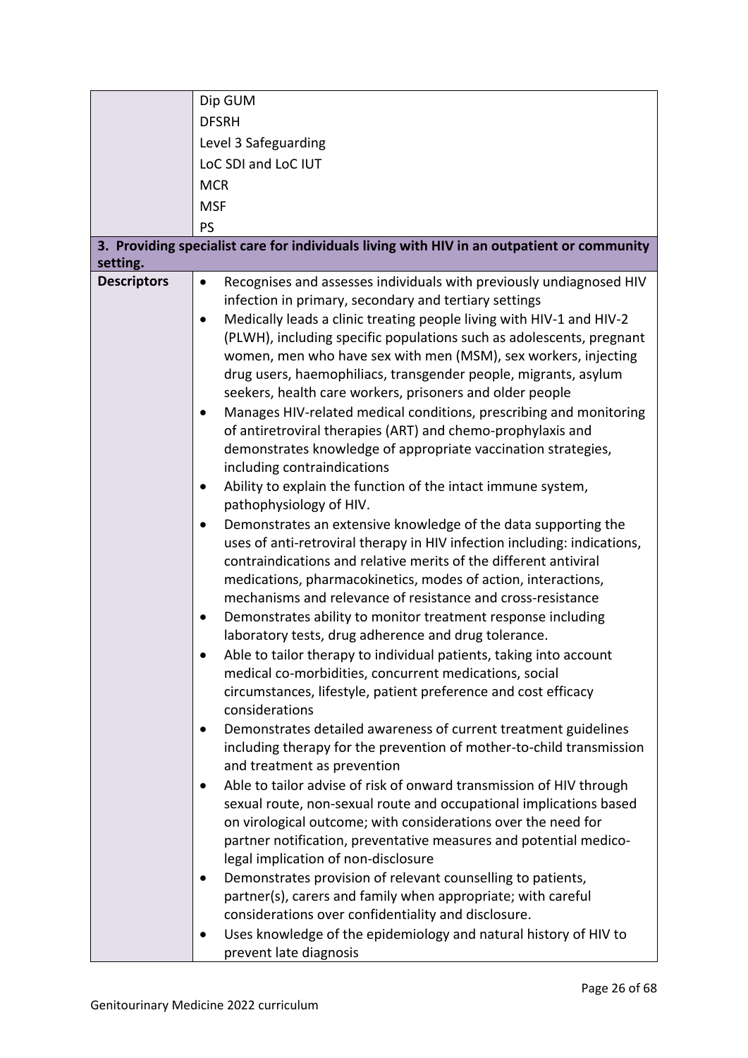|                                | Dip GUM                                                                                                                                                                                                                                                                                                                                                                                                                                                                                                                                                                                                                                                                                                                                                                                                                                                                                                                                                                                                                                                                                                                                                                                                                                                                                                                                                                                                                                                                                                                                                                                                                                                                                                                                                                                                                                                                                                                                                                                                                                                                                                                                         |
|--------------------------------|-------------------------------------------------------------------------------------------------------------------------------------------------------------------------------------------------------------------------------------------------------------------------------------------------------------------------------------------------------------------------------------------------------------------------------------------------------------------------------------------------------------------------------------------------------------------------------------------------------------------------------------------------------------------------------------------------------------------------------------------------------------------------------------------------------------------------------------------------------------------------------------------------------------------------------------------------------------------------------------------------------------------------------------------------------------------------------------------------------------------------------------------------------------------------------------------------------------------------------------------------------------------------------------------------------------------------------------------------------------------------------------------------------------------------------------------------------------------------------------------------------------------------------------------------------------------------------------------------------------------------------------------------------------------------------------------------------------------------------------------------------------------------------------------------------------------------------------------------------------------------------------------------------------------------------------------------------------------------------------------------------------------------------------------------------------------------------------------------------------------------------------------------|
|                                | <b>DFSRH</b>                                                                                                                                                                                                                                                                                                                                                                                                                                                                                                                                                                                                                                                                                                                                                                                                                                                                                                                                                                                                                                                                                                                                                                                                                                                                                                                                                                                                                                                                                                                                                                                                                                                                                                                                                                                                                                                                                                                                                                                                                                                                                                                                    |
|                                | Level 3 Safeguarding                                                                                                                                                                                                                                                                                                                                                                                                                                                                                                                                                                                                                                                                                                                                                                                                                                                                                                                                                                                                                                                                                                                                                                                                                                                                                                                                                                                                                                                                                                                                                                                                                                                                                                                                                                                                                                                                                                                                                                                                                                                                                                                            |
|                                | LoC SDI and LoC IUT                                                                                                                                                                                                                                                                                                                                                                                                                                                                                                                                                                                                                                                                                                                                                                                                                                                                                                                                                                                                                                                                                                                                                                                                                                                                                                                                                                                                                                                                                                                                                                                                                                                                                                                                                                                                                                                                                                                                                                                                                                                                                                                             |
|                                | <b>MCR</b>                                                                                                                                                                                                                                                                                                                                                                                                                                                                                                                                                                                                                                                                                                                                                                                                                                                                                                                                                                                                                                                                                                                                                                                                                                                                                                                                                                                                                                                                                                                                                                                                                                                                                                                                                                                                                                                                                                                                                                                                                                                                                                                                      |
|                                | <b>MSF</b>                                                                                                                                                                                                                                                                                                                                                                                                                                                                                                                                                                                                                                                                                                                                                                                                                                                                                                                                                                                                                                                                                                                                                                                                                                                                                                                                                                                                                                                                                                                                                                                                                                                                                                                                                                                                                                                                                                                                                                                                                                                                                                                                      |
|                                | PS                                                                                                                                                                                                                                                                                                                                                                                                                                                                                                                                                                                                                                                                                                                                                                                                                                                                                                                                                                                                                                                                                                                                                                                                                                                                                                                                                                                                                                                                                                                                                                                                                                                                                                                                                                                                                                                                                                                                                                                                                                                                                                                                              |
|                                | 3. Providing specialist care for individuals living with HIV in an outpatient or community                                                                                                                                                                                                                                                                                                                                                                                                                                                                                                                                                                                                                                                                                                                                                                                                                                                                                                                                                                                                                                                                                                                                                                                                                                                                                                                                                                                                                                                                                                                                                                                                                                                                                                                                                                                                                                                                                                                                                                                                                                                      |
| setting.<br><b>Descriptors</b> | Recognises and assesses individuals with previously undiagnosed HIV<br>$\bullet$<br>infection in primary, secondary and tertiary settings<br>Medically leads a clinic treating people living with HIV-1 and HIV-2<br>$\bullet$<br>(PLWH), including specific populations such as adolescents, pregnant<br>women, men who have sex with men (MSM), sex workers, injecting<br>drug users, haemophiliacs, transgender people, migrants, asylum<br>seekers, health care workers, prisoners and older people<br>Manages HIV-related medical conditions, prescribing and monitoring<br>of antiretroviral therapies (ART) and chemo-prophylaxis and<br>demonstrates knowledge of appropriate vaccination strategies,<br>including contraindications<br>Ability to explain the function of the intact immune system,<br>$\bullet$<br>pathophysiology of HIV.<br>Demonstrates an extensive knowledge of the data supporting the<br>$\bullet$<br>uses of anti-retroviral therapy in HIV infection including: indications,<br>contraindications and relative merits of the different antiviral<br>medications, pharmacokinetics, modes of action, interactions,<br>mechanisms and relevance of resistance and cross-resistance<br>Demonstrates ability to monitor treatment response including<br>laboratory tests, drug adherence and drug tolerance.<br>Able to tailor therapy to individual patients, taking into account<br>medical co-morbidities, concurrent medications, social<br>circumstances, lifestyle, patient preference and cost efficacy<br>considerations<br>Demonstrates detailed awareness of current treatment guidelines<br>including therapy for the prevention of mother-to-child transmission<br>and treatment as prevention<br>Able to tailor advise of risk of onward transmission of HIV through<br>$\bullet$<br>sexual route, non-sexual route and occupational implications based<br>on virological outcome; with considerations over the need for<br>partner notification, preventative measures and potential medico-<br>legal implication of non-disclosure<br>Demonstrates provision of relevant counselling to patients, |
|                                | partner(s), carers and family when appropriate; with careful<br>considerations over confidentiality and disclosure.<br>Uses knowledge of the epidemiology and natural history of HIV to                                                                                                                                                                                                                                                                                                                                                                                                                                                                                                                                                                                                                                                                                                                                                                                                                                                                                                                                                                                                                                                                                                                                                                                                                                                                                                                                                                                                                                                                                                                                                                                                                                                                                                                                                                                                                                                                                                                                                         |
|                                | prevent late diagnosis                                                                                                                                                                                                                                                                                                                                                                                                                                                                                                                                                                                                                                                                                                                                                                                                                                                                                                                                                                                                                                                                                                                                                                                                                                                                                                                                                                                                                                                                                                                                                                                                                                                                                                                                                                                                                                                                                                                                                                                                                                                                                                                          |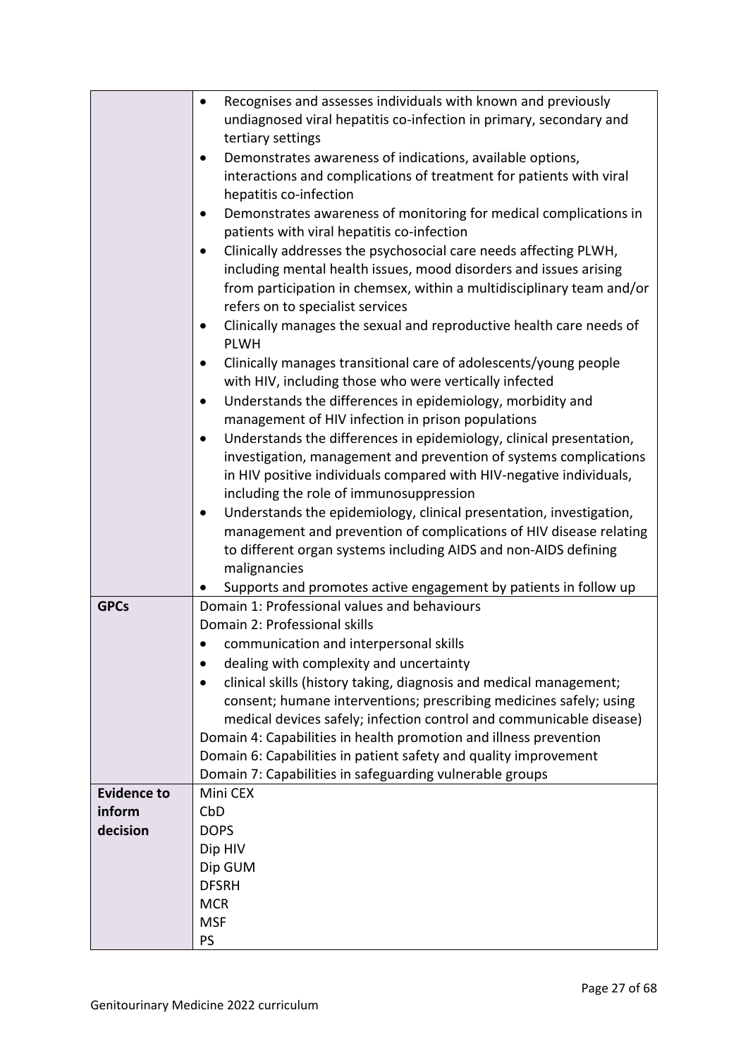|                    | Recognises and assesses individuals with known and previously<br>$\bullet$                                       |  |
|--------------------|------------------------------------------------------------------------------------------------------------------|--|
|                    | undiagnosed viral hepatitis co-infection in primary, secondary and                                               |  |
|                    | tertiary settings                                                                                                |  |
|                    | Demonstrates awareness of indications, available options,<br>$\bullet$                                           |  |
|                    | interactions and complications of treatment for patients with viral                                              |  |
|                    | hepatitis co-infection                                                                                           |  |
|                    | Demonstrates awareness of monitoring for medical complications in<br>patients with viral hepatitis co-infection  |  |
|                    | Clinically addresses the psychosocial care needs affecting PLWH,                                                 |  |
|                    | including mental health issues, mood disorders and issues arising                                                |  |
|                    | from participation in chemsex, within a multidisciplinary team and/or                                            |  |
|                    | refers on to specialist services                                                                                 |  |
|                    | Clinically manages the sexual and reproductive health care needs of<br>$\bullet$                                 |  |
|                    | <b>PLWH</b>                                                                                                      |  |
|                    | Clinically manages transitional care of adolescents/young people                                                 |  |
|                    | with HIV, including those who were vertically infected                                                           |  |
|                    | Understands the differences in epidemiology, morbidity and<br>$\bullet$                                          |  |
|                    | management of HIV infection in prison populations                                                                |  |
|                    | Understands the differences in epidemiology, clinical presentation,                                              |  |
|                    | investigation, management and prevention of systems complications                                                |  |
|                    | in HIV positive individuals compared with HIV-negative individuals,                                              |  |
|                    | including the role of immunosuppression                                                                          |  |
|                    | Understands the epidemiology, clinical presentation, investigation,                                              |  |
|                    | management and prevention of complications of HIV disease relating                                               |  |
|                    | to different organ systems including AIDS and non-AIDS defining                                                  |  |
|                    | malignancies                                                                                                     |  |
| <b>GPCs</b>        | Supports and promotes active engagement by patients in follow up<br>Domain 1: Professional values and behaviours |  |
|                    | Domain 2: Professional skills                                                                                    |  |
|                    | communication and interpersonal skills                                                                           |  |
|                    | dealing with complexity and uncertainty                                                                          |  |
|                    | clinical skills (history taking, diagnosis and medical management;                                               |  |
|                    | consent; humane interventions; prescribing medicines safely; using                                               |  |
|                    | medical devices safely; infection control and communicable disease)                                              |  |
|                    | Domain 4: Capabilities in health promotion and illness prevention                                                |  |
|                    | Domain 6: Capabilities in patient safety and quality improvement                                                 |  |
|                    | Domain 7: Capabilities in safeguarding vulnerable groups                                                         |  |
| <b>Evidence to</b> | Mini CEX                                                                                                         |  |
| inform             | CbD                                                                                                              |  |
| decision           | <b>DOPS</b>                                                                                                      |  |
|                    | Dip HIV                                                                                                          |  |
|                    | Dip GUM                                                                                                          |  |
|                    | <b>DFSRH</b>                                                                                                     |  |
|                    | <b>MCR</b>                                                                                                       |  |
|                    | <b>MSF</b>                                                                                                       |  |
|                    | PS                                                                                                               |  |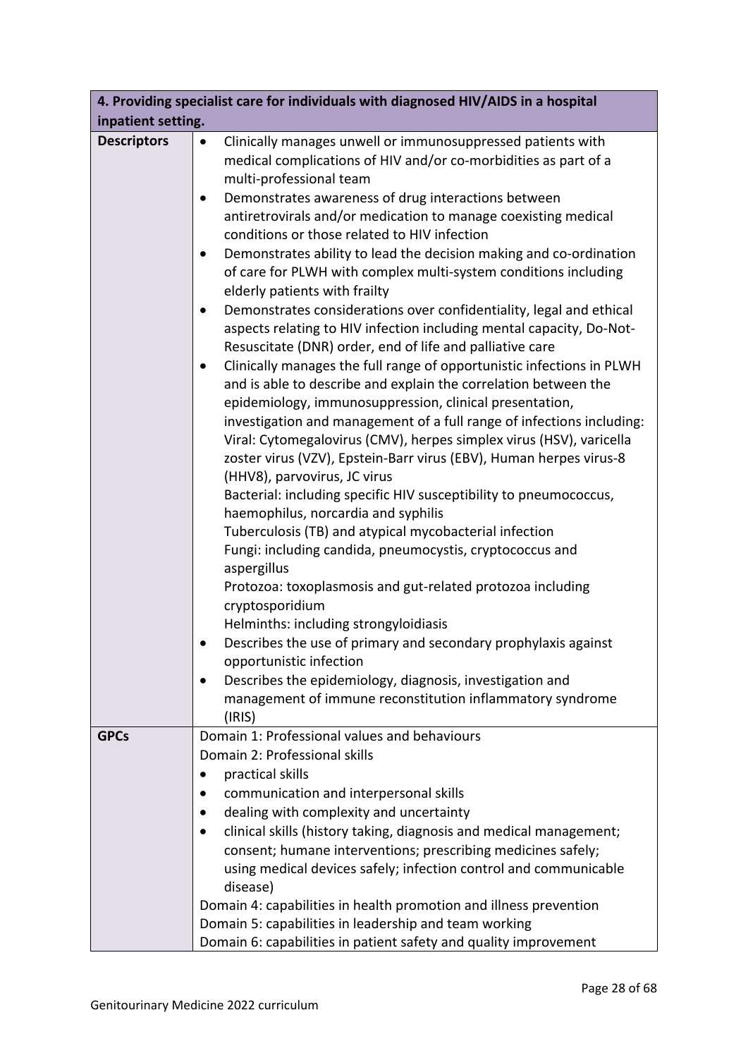| 4. Providing specialist care for individuals with diagnosed HIV/AIDS in a hospital |                                                                                                                                                                                                                                                                                                                                                                                                                                                                                                                                                                                                                                                                                                                                                                                                                                                                                                                                                                                                                                                                          |  |
|------------------------------------------------------------------------------------|--------------------------------------------------------------------------------------------------------------------------------------------------------------------------------------------------------------------------------------------------------------------------------------------------------------------------------------------------------------------------------------------------------------------------------------------------------------------------------------------------------------------------------------------------------------------------------------------------------------------------------------------------------------------------------------------------------------------------------------------------------------------------------------------------------------------------------------------------------------------------------------------------------------------------------------------------------------------------------------------------------------------------------------------------------------------------|--|
| inpatient setting.                                                                 |                                                                                                                                                                                                                                                                                                                                                                                                                                                                                                                                                                                                                                                                                                                                                                                                                                                                                                                                                                                                                                                                          |  |
| <b>Descriptors</b>                                                                 | Clinically manages unwell or immunosuppressed patients with<br>$\bullet$<br>medical complications of HIV and/or co-morbidities as part of a<br>multi-professional team<br>Demonstrates awareness of drug interactions between<br>$\bullet$<br>antiretrovirals and/or medication to manage coexisting medical<br>conditions or those related to HIV infection<br>Demonstrates ability to lead the decision making and co-ordination<br>$\bullet$<br>of care for PLWH with complex multi-system conditions including<br>elderly patients with frailty<br>Demonstrates considerations over confidentiality, legal and ethical<br>$\bullet$<br>aspects relating to HIV infection including mental capacity, Do-Not-<br>Resuscitate (DNR) order, end of life and palliative care<br>Clinically manages the full range of opportunistic infections in PLWH<br>$\bullet$<br>and is able to describe and explain the correlation between the<br>epidemiology, immunosuppression, clinical presentation,<br>investigation and management of a full range of infections including: |  |
|                                                                                    | Viral: Cytomegalovirus (CMV), herpes simplex virus (HSV), varicella<br>zoster virus (VZV), Epstein-Barr virus (EBV), Human herpes virus-8<br>(HHV8), parvovirus, JC virus<br>Bacterial: including specific HIV susceptibility to pneumococcus,<br>haemophilus, norcardia and syphilis<br>Tuberculosis (TB) and atypical mycobacterial infection<br>Fungi: including candida, pneumocystis, cryptococcus and<br>aspergillus<br>Protozoa: toxoplasmosis and gut-related protozoa including<br>cryptosporidium<br>Helminths: including strongyloidiasis<br>Describes the use of primary and secondary prophylaxis against<br>opportunistic infection<br>Describes the epidemiology, diagnosis, investigation and<br>$\bullet$<br>management of immune reconstitution inflammatory syndrome<br>(IRIS)                                                                                                                                                                                                                                                                        |  |
| <b>GPCs</b>                                                                        | Domain 1: Professional values and behaviours<br>Domain 2: Professional skills<br>practical skills<br>communication and interpersonal skills<br>$\bullet$<br>dealing with complexity and uncertainty<br>clinical skills (history taking, diagnosis and medical management;<br>consent; humane interventions; prescribing medicines safely;<br>using medical devices safely; infection control and communicable<br>disease)<br>Domain 4: capabilities in health promotion and illness prevention<br>Domain 5: capabilities in leadership and team working<br>Domain 6: capabilities in patient safety and quality improvement                                                                                                                                                                                                                                                                                                                                                                                                                                              |  |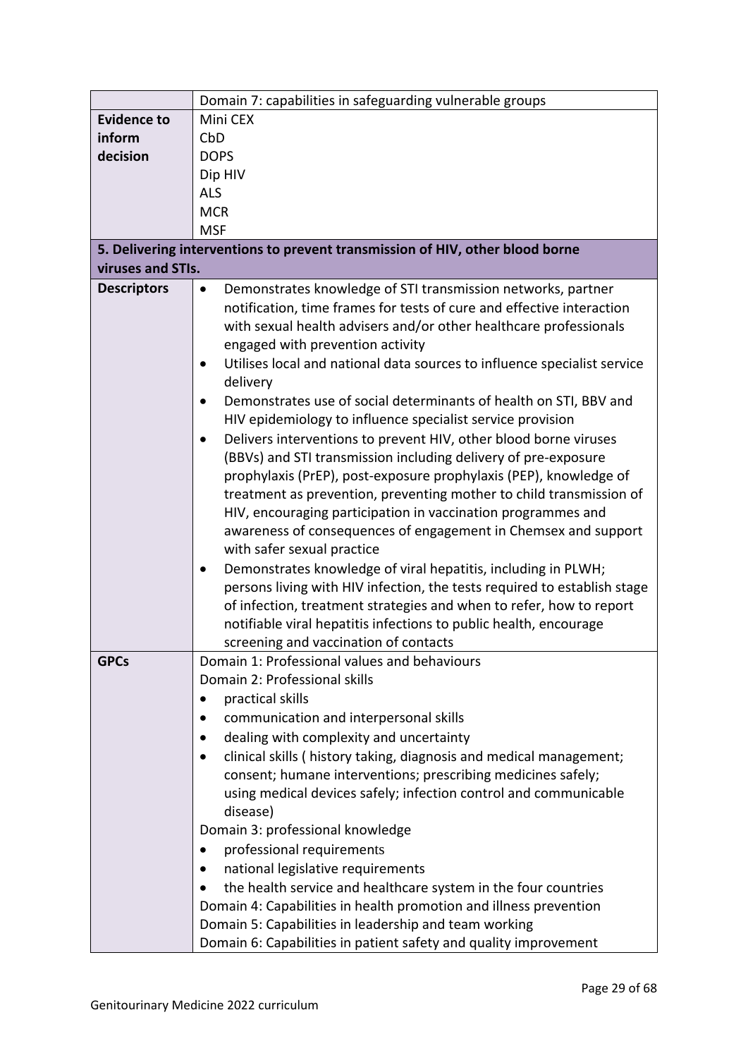|                    | Domain 7: capabilities in safeguarding vulnerable groups                                                                                                                                                                                                                                                                                                                                                                                                                                                                                                                                                                                                                                                                                                                                                                                                                                                                                                                                                                                                                                                                                                                                                                                       |
|--------------------|------------------------------------------------------------------------------------------------------------------------------------------------------------------------------------------------------------------------------------------------------------------------------------------------------------------------------------------------------------------------------------------------------------------------------------------------------------------------------------------------------------------------------------------------------------------------------------------------------------------------------------------------------------------------------------------------------------------------------------------------------------------------------------------------------------------------------------------------------------------------------------------------------------------------------------------------------------------------------------------------------------------------------------------------------------------------------------------------------------------------------------------------------------------------------------------------------------------------------------------------|
| <b>Evidence to</b> | Mini CEX                                                                                                                                                                                                                                                                                                                                                                                                                                                                                                                                                                                                                                                                                                                                                                                                                                                                                                                                                                                                                                                                                                                                                                                                                                       |
| inform             | CbD                                                                                                                                                                                                                                                                                                                                                                                                                                                                                                                                                                                                                                                                                                                                                                                                                                                                                                                                                                                                                                                                                                                                                                                                                                            |
| decision           | <b>DOPS</b>                                                                                                                                                                                                                                                                                                                                                                                                                                                                                                                                                                                                                                                                                                                                                                                                                                                                                                                                                                                                                                                                                                                                                                                                                                    |
|                    | Dip HIV                                                                                                                                                                                                                                                                                                                                                                                                                                                                                                                                                                                                                                                                                                                                                                                                                                                                                                                                                                                                                                                                                                                                                                                                                                        |
|                    | <b>ALS</b>                                                                                                                                                                                                                                                                                                                                                                                                                                                                                                                                                                                                                                                                                                                                                                                                                                                                                                                                                                                                                                                                                                                                                                                                                                     |
|                    | <b>MCR</b>                                                                                                                                                                                                                                                                                                                                                                                                                                                                                                                                                                                                                                                                                                                                                                                                                                                                                                                                                                                                                                                                                                                                                                                                                                     |
|                    | <b>MSF</b>                                                                                                                                                                                                                                                                                                                                                                                                                                                                                                                                                                                                                                                                                                                                                                                                                                                                                                                                                                                                                                                                                                                                                                                                                                     |
|                    | 5. Delivering interventions to prevent transmission of HIV, other blood borne                                                                                                                                                                                                                                                                                                                                                                                                                                                                                                                                                                                                                                                                                                                                                                                                                                                                                                                                                                                                                                                                                                                                                                  |
| viruses and STIs.  |                                                                                                                                                                                                                                                                                                                                                                                                                                                                                                                                                                                                                                                                                                                                                                                                                                                                                                                                                                                                                                                                                                                                                                                                                                                |
| <b>Descriptors</b> | Demonstrates knowledge of STI transmission networks, partner<br>$\bullet$<br>notification, time frames for tests of cure and effective interaction<br>with sexual health advisers and/or other healthcare professionals<br>engaged with prevention activity<br>Utilises local and national data sources to influence specialist service<br>delivery<br>Demonstrates use of social determinants of health on STI, BBV and<br>HIV epidemiology to influence specialist service provision<br>Delivers interventions to prevent HIV, other blood borne viruses<br>(BBVs) and STI transmission including delivery of pre-exposure<br>prophylaxis (PrEP), post-exposure prophylaxis (PEP), knowledge of<br>treatment as prevention, preventing mother to child transmission of<br>HIV, encouraging participation in vaccination programmes and<br>awareness of consequences of engagement in Chemsex and support<br>with safer sexual practice<br>Demonstrates knowledge of viral hepatitis, including in PLWH;<br>$\bullet$<br>persons living with HIV infection, the tests required to establish stage<br>of infection, treatment strategies and when to refer, how to report<br>notifiable viral hepatitis infections to public health, encourage |
| <b>GPCs</b>        | screening and vaccination of contacts<br>Domain 1: Professional values and behaviours                                                                                                                                                                                                                                                                                                                                                                                                                                                                                                                                                                                                                                                                                                                                                                                                                                                                                                                                                                                                                                                                                                                                                          |
|                    | Domain 2: Professional skills                                                                                                                                                                                                                                                                                                                                                                                                                                                                                                                                                                                                                                                                                                                                                                                                                                                                                                                                                                                                                                                                                                                                                                                                                  |
|                    | practical skills                                                                                                                                                                                                                                                                                                                                                                                                                                                                                                                                                                                                                                                                                                                                                                                                                                                                                                                                                                                                                                                                                                                                                                                                                               |
|                    | communication and interpersonal skills                                                                                                                                                                                                                                                                                                                                                                                                                                                                                                                                                                                                                                                                                                                                                                                                                                                                                                                                                                                                                                                                                                                                                                                                         |
|                    | dealing with complexity and uncertainty                                                                                                                                                                                                                                                                                                                                                                                                                                                                                                                                                                                                                                                                                                                                                                                                                                                                                                                                                                                                                                                                                                                                                                                                        |
|                    | clinical skills (history taking, diagnosis and medical management;                                                                                                                                                                                                                                                                                                                                                                                                                                                                                                                                                                                                                                                                                                                                                                                                                                                                                                                                                                                                                                                                                                                                                                             |
|                    | $\bullet$                                                                                                                                                                                                                                                                                                                                                                                                                                                                                                                                                                                                                                                                                                                                                                                                                                                                                                                                                                                                                                                                                                                                                                                                                                      |
|                    | consent; humane interventions; prescribing medicines safely;                                                                                                                                                                                                                                                                                                                                                                                                                                                                                                                                                                                                                                                                                                                                                                                                                                                                                                                                                                                                                                                                                                                                                                                   |
|                    | using medical devices safely; infection control and communicable<br>disease)                                                                                                                                                                                                                                                                                                                                                                                                                                                                                                                                                                                                                                                                                                                                                                                                                                                                                                                                                                                                                                                                                                                                                                   |
|                    | Domain 3: professional knowledge                                                                                                                                                                                                                                                                                                                                                                                                                                                                                                                                                                                                                                                                                                                                                                                                                                                                                                                                                                                                                                                                                                                                                                                                               |
|                    | professional requirements                                                                                                                                                                                                                                                                                                                                                                                                                                                                                                                                                                                                                                                                                                                                                                                                                                                                                                                                                                                                                                                                                                                                                                                                                      |
|                    | national legislative requirements                                                                                                                                                                                                                                                                                                                                                                                                                                                                                                                                                                                                                                                                                                                                                                                                                                                                                                                                                                                                                                                                                                                                                                                                              |
|                    | the health service and healthcare system in the four countries                                                                                                                                                                                                                                                                                                                                                                                                                                                                                                                                                                                                                                                                                                                                                                                                                                                                                                                                                                                                                                                                                                                                                                                 |
|                    | Domain 4: Capabilities in health promotion and illness prevention                                                                                                                                                                                                                                                                                                                                                                                                                                                                                                                                                                                                                                                                                                                                                                                                                                                                                                                                                                                                                                                                                                                                                                              |
|                    | Domain 5: Capabilities in leadership and team working                                                                                                                                                                                                                                                                                                                                                                                                                                                                                                                                                                                                                                                                                                                                                                                                                                                                                                                                                                                                                                                                                                                                                                                          |
|                    |                                                                                                                                                                                                                                                                                                                                                                                                                                                                                                                                                                                                                                                                                                                                                                                                                                                                                                                                                                                                                                                                                                                                                                                                                                                |
|                    | Domain 6: Capabilities in patient safety and quality improvement                                                                                                                                                                                                                                                                                                                                                                                                                                                                                                                                                                                                                                                                                                                                                                                                                                                                                                                                                                                                                                                                                                                                                                               |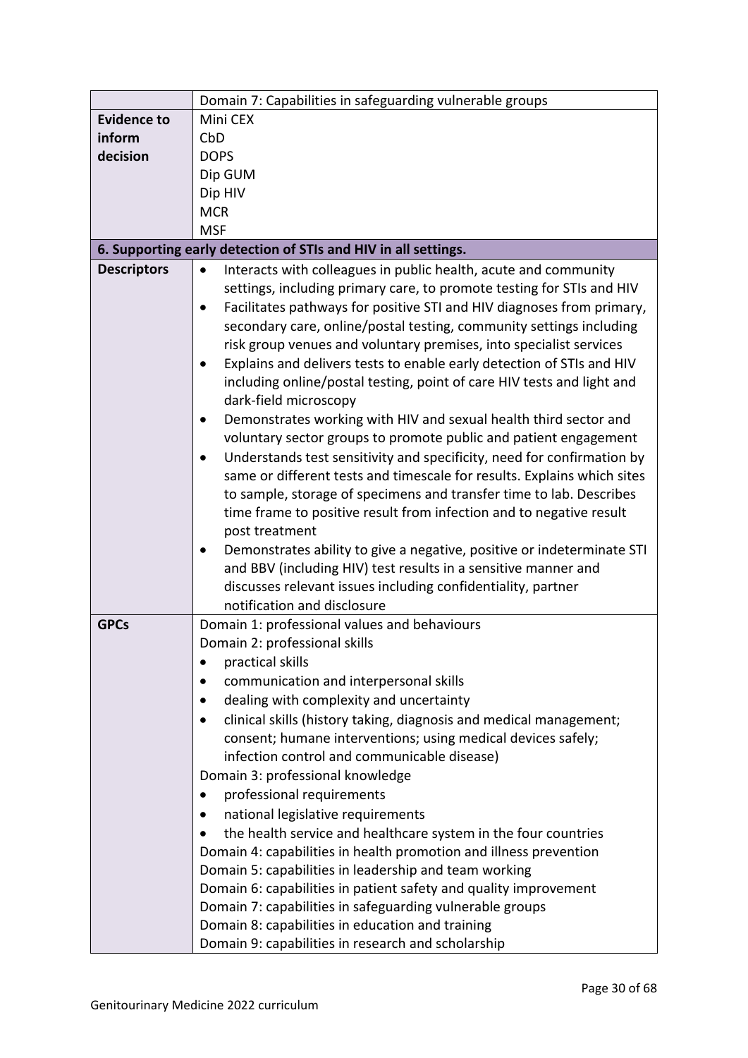|                    | Domain 7: Capabilities in safeguarding vulnerable groups                                                                                                                                                                                                                                                                                                                                                                                                                                                                                                                                                                                                                                                                                                                                                                                                                                                                                                                                                                                                                                                                                                         |  |  |
|--------------------|------------------------------------------------------------------------------------------------------------------------------------------------------------------------------------------------------------------------------------------------------------------------------------------------------------------------------------------------------------------------------------------------------------------------------------------------------------------------------------------------------------------------------------------------------------------------------------------------------------------------------------------------------------------------------------------------------------------------------------------------------------------------------------------------------------------------------------------------------------------------------------------------------------------------------------------------------------------------------------------------------------------------------------------------------------------------------------------------------------------------------------------------------------------|--|--|
| <b>Evidence to</b> | Mini CEX                                                                                                                                                                                                                                                                                                                                                                                                                                                                                                                                                                                                                                                                                                                                                                                                                                                                                                                                                                                                                                                                                                                                                         |  |  |
| inform             | CbD                                                                                                                                                                                                                                                                                                                                                                                                                                                                                                                                                                                                                                                                                                                                                                                                                                                                                                                                                                                                                                                                                                                                                              |  |  |
| decision           | <b>DOPS</b>                                                                                                                                                                                                                                                                                                                                                                                                                                                                                                                                                                                                                                                                                                                                                                                                                                                                                                                                                                                                                                                                                                                                                      |  |  |
|                    | Dip GUM                                                                                                                                                                                                                                                                                                                                                                                                                                                                                                                                                                                                                                                                                                                                                                                                                                                                                                                                                                                                                                                                                                                                                          |  |  |
|                    | Dip HIV                                                                                                                                                                                                                                                                                                                                                                                                                                                                                                                                                                                                                                                                                                                                                                                                                                                                                                                                                                                                                                                                                                                                                          |  |  |
|                    | <b>MCR</b>                                                                                                                                                                                                                                                                                                                                                                                                                                                                                                                                                                                                                                                                                                                                                                                                                                                                                                                                                                                                                                                                                                                                                       |  |  |
|                    | <b>MSF</b>                                                                                                                                                                                                                                                                                                                                                                                                                                                                                                                                                                                                                                                                                                                                                                                                                                                                                                                                                                                                                                                                                                                                                       |  |  |
|                    | 6. Supporting early detection of STIs and HIV in all settings.                                                                                                                                                                                                                                                                                                                                                                                                                                                                                                                                                                                                                                                                                                                                                                                                                                                                                                                                                                                                                                                                                                   |  |  |
| <b>Descriptors</b> | Interacts with colleagues in public health, acute and community<br>$\bullet$<br>settings, including primary care, to promote testing for STIs and HIV<br>Facilitates pathways for positive STI and HIV diagnoses from primary,<br>secondary care, online/postal testing, community settings including<br>risk group venues and voluntary premises, into specialist services<br>Explains and delivers tests to enable early detection of STIs and HIV<br>including online/postal testing, point of care HIV tests and light and<br>dark-field microscopy<br>Demonstrates working with HIV and sexual health third sector and<br>voluntary sector groups to promote public and patient engagement<br>Understands test sensitivity and specificity, need for confirmation by<br>same or different tests and timescale for results. Explains which sites<br>to sample, storage of specimens and transfer time to lab. Describes<br>time frame to positive result from infection and to negative result<br>post treatment<br>Demonstrates ability to give a negative, positive or indeterminate STI<br>and BBV (including HIV) test results in a sensitive manner and |  |  |
|                    | discusses relevant issues including confidentiality, partner<br>notification and disclosure                                                                                                                                                                                                                                                                                                                                                                                                                                                                                                                                                                                                                                                                                                                                                                                                                                                                                                                                                                                                                                                                      |  |  |
| <b>GPCs</b>        | Domain 1: professional values and behaviours                                                                                                                                                                                                                                                                                                                                                                                                                                                                                                                                                                                                                                                                                                                                                                                                                                                                                                                                                                                                                                                                                                                     |  |  |
|                    | Domain 2: professional skills                                                                                                                                                                                                                                                                                                                                                                                                                                                                                                                                                                                                                                                                                                                                                                                                                                                                                                                                                                                                                                                                                                                                    |  |  |
|                    | practical skills                                                                                                                                                                                                                                                                                                                                                                                                                                                                                                                                                                                                                                                                                                                                                                                                                                                                                                                                                                                                                                                                                                                                                 |  |  |
|                    | communication and interpersonal skills                                                                                                                                                                                                                                                                                                                                                                                                                                                                                                                                                                                                                                                                                                                                                                                                                                                                                                                                                                                                                                                                                                                           |  |  |
|                    | dealing with complexity and uncertainty                                                                                                                                                                                                                                                                                                                                                                                                                                                                                                                                                                                                                                                                                                                                                                                                                                                                                                                                                                                                                                                                                                                          |  |  |
|                    | clinical skills (history taking, diagnosis and medical management;<br>$\bullet$                                                                                                                                                                                                                                                                                                                                                                                                                                                                                                                                                                                                                                                                                                                                                                                                                                                                                                                                                                                                                                                                                  |  |  |
|                    | consent; humane interventions; using medical devices safely;                                                                                                                                                                                                                                                                                                                                                                                                                                                                                                                                                                                                                                                                                                                                                                                                                                                                                                                                                                                                                                                                                                     |  |  |
|                    | infection control and communicable disease)                                                                                                                                                                                                                                                                                                                                                                                                                                                                                                                                                                                                                                                                                                                                                                                                                                                                                                                                                                                                                                                                                                                      |  |  |
|                    | Domain 3: professional knowledge                                                                                                                                                                                                                                                                                                                                                                                                                                                                                                                                                                                                                                                                                                                                                                                                                                                                                                                                                                                                                                                                                                                                 |  |  |
|                    | professional requirements<br>٠                                                                                                                                                                                                                                                                                                                                                                                                                                                                                                                                                                                                                                                                                                                                                                                                                                                                                                                                                                                                                                                                                                                                   |  |  |
|                    | national legislative requirements                                                                                                                                                                                                                                                                                                                                                                                                                                                                                                                                                                                                                                                                                                                                                                                                                                                                                                                                                                                                                                                                                                                                |  |  |
|                    | the health service and healthcare system in the four countries                                                                                                                                                                                                                                                                                                                                                                                                                                                                                                                                                                                                                                                                                                                                                                                                                                                                                                                                                                                                                                                                                                   |  |  |
|                    | Domain 4: capabilities in health promotion and illness prevention                                                                                                                                                                                                                                                                                                                                                                                                                                                                                                                                                                                                                                                                                                                                                                                                                                                                                                                                                                                                                                                                                                |  |  |
|                    | Domain 5: capabilities in leadership and team working                                                                                                                                                                                                                                                                                                                                                                                                                                                                                                                                                                                                                                                                                                                                                                                                                                                                                                                                                                                                                                                                                                            |  |  |
|                    | Domain 6: capabilities in patient safety and quality improvement                                                                                                                                                                                                                                                                                                                                                                                                                                                                                                                                                                                                                                                                                                                                                                                                                                                                                                                                                                                                                                                                                                 |  |  |
|                    | Domain 7: capabilities in safeguarding vulnerable groups                                                                                                                                                                                                                                                                                                                                                                                                                                                                                                                                                                                                                                                                                                                                                                                                                                                                                                                                                                                                                                                                                                         |  |  |
|                    | Domain 8: capabilities in education and training                                                                                                                                                                                                                                                                                                                                                                                                                                                                                                                                                                                                                                                                                                                                                                                                                                                                                                                                                                                                                                                                                                                 |  |  |
|                    | Domain 9: capabilities in research and scholarship                                                                                                                                                                                                                                                                                                                                                                                                                                                                                                                                                                                                                                                                                                                                                                                                                                                                                                                                                                                                                                                                                                               |  |  |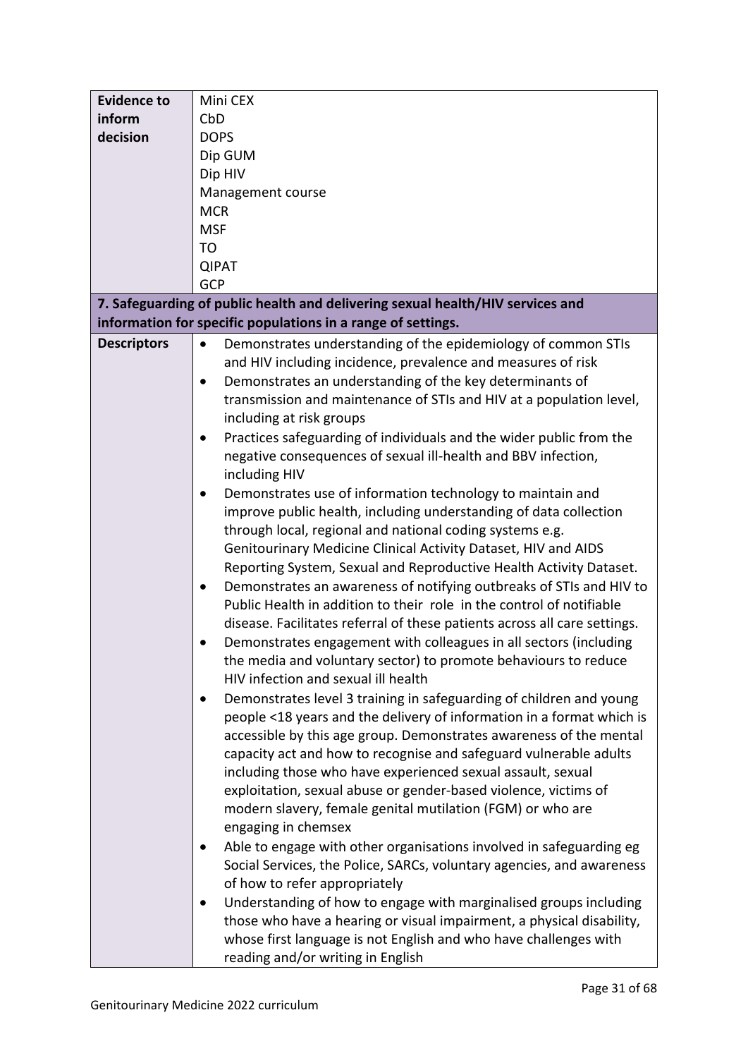| <b>Evidence to</b> | Mini CEX                                                                         |  |  |
|--------------------|----------------------------------------------------------------------------------|--|--|
| inform             | CbD                                                                              |  |  |
| decision           | <b>DOPS</b>                                                                      |  |  |
|                    | Dip GUM                                                                          |  |  |
|                    | Dip HIV                                                                          |  |  |
|                    | Management course                                                                |  |  |
|                    | <b>MCR</b>                                                                       |  |  |
|                    |                                                                                  |  |  |
|                    | <b>MSF</b>                                                                       |  |  |
|                    | T <sub>O</sub>                                                                   |  |  |
|                    | <b>QIPAT</b>                                                                     |  |  |
|                    | GCP                                                                              |  |  |
|                    | 7. Safeguarding of public health and delivering sexual health/HIV services and   |  |  |
|                    | information for specific populations in a range of settings.                     |  |  |
| <b>Descriptors</b> | Demonstrates understanding of the epidemiology of common STIs<br>$\bullet$       |  |  |
|                    | and HIV including incidence, prevalence and measures of risk                     |  |  |
|                    | Demonstrates an understanding of the key determinants of<br>$\bullet$            |  |  |
|                    | transmission and maintenance of STIs and HIV at a population level,              |  |  |
|                    | including at risk groups                                                         |  |  |
|                    | Practices safeguarding of individuals and the wider public from the<br>٠         |  |  |
|                    | negative consequences of sexual ill-health and BBV infection,                    |  |  |
|                    |                                                                                  |  |  |
|                    | including HIV                                                                    |  |  |
|                    | Demonstrates use of information technology to maintain and<br>$\bullet$          |  |  |
|                    | improve public health, including understanding of data collection                |  |  |
|                    | through local, regional and national coding systems e.g.                         |  |  |
|                    | Genitourinary Medicine Clinical Activity Dataset, HIV and AIDS                   |  |  |
|                    | Reporting System, Sexual and Reproductive Health Activity Dataset.               |  |  |
|                    | Demonstrates an awareness of notifying outbreaks of STIs and HIV to<br>$\bullet$ |  |  |
|                    | Public Health in addition to their role in the control of notifiable             |  |  |
|                    | disease. Facilitates referral of these patients across all care settings.        |  |  |
|                    | Demonstrates engagement with colleagues in all sectors (including                |  |  |
|                    | the media and voluntary sector) to promote behaviours to reduce                  |  |  |
|                    | HIV infection and sexual ill health                                              |  |  |
|                    | Demonstrates level 3 training in safeguarding of children and young<br>$\bullet$ |  |  |
|                    | people <18 years and the delivery of information in a format which is            |  |  |
|                    | accessible by this age group. Demonstrates awareness of the mental               |  |  |
|                    |                                                                                  |  |  |
|                    | capacity act and how to recognise and safeguard vulnerable adults                |  |  |
|                    | including those who have experienced sexual assault, sexual                      |  |  |
|                    | exploitation, sexual abuse or gender-based violence, victims of                  |  |  |
|                    | modern slavery, female genital mutilation (FGM) or who are                       |  |  |
|                    | engaging in chemsex                                                              |  |  |
|                    | Able to engage with other organisations involved in safeguarding eg              |  |  |
|                    | Social Services, the Police, SARCs, voluntary agencies, and awareness            |  |  |
|                    | of how to refer appropriately                                                    |  |  |
|                    | Understanding of how to engage with marginalised groups including                |  |  |
|                    | those who have a hearing or visual impairment, a physical disability,            |  |  |
|                    | whose first language is not English and who have challenges with                 |  |  |
|                    | reading and/or writing in English                                                |  |  |
|                    |                                                                                  |  |  |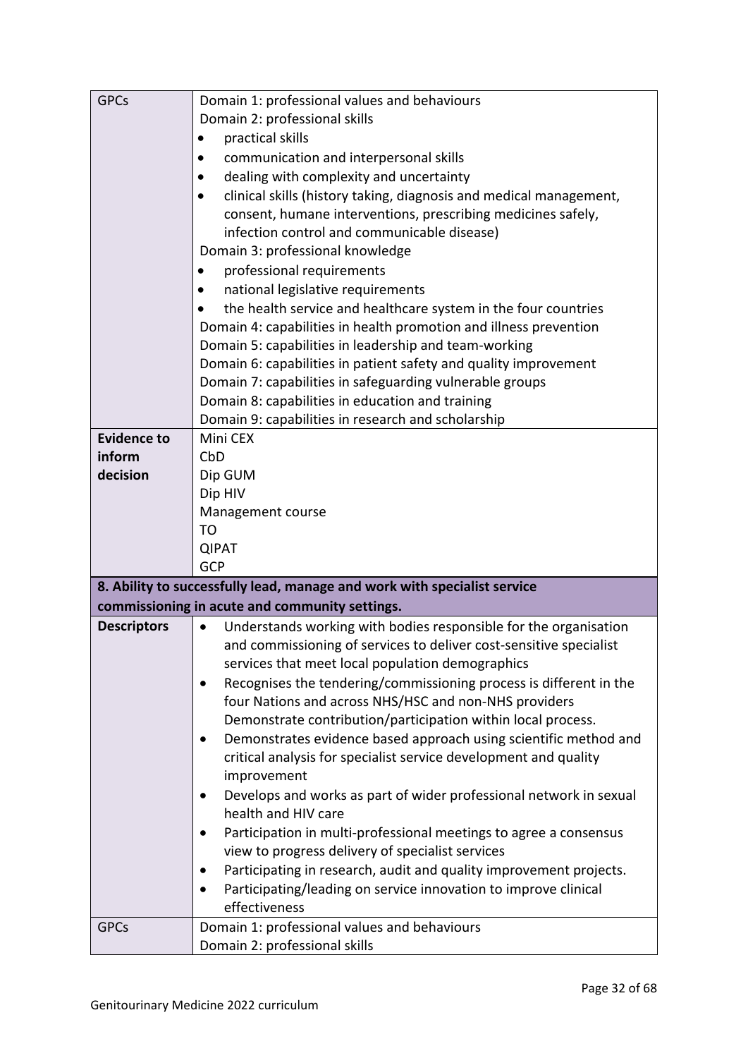| <b>GPCs</b>        | Domain 1: professional values and behaviours                                    |  |  |
|--------------------|---------------------------------------------------------------------------------|--|--|
|                    | Domain 2: professional skills                                                   |  |  |
|                    | practical skills                                                                |  |  |
|                    | communication and interpersonal skills                                          |  |  |
|                    | dealing with complexity and uncertainty                                         |  |  |
|                    | clinical skills (history taking, diagnosis and medical management,              |  |  |
|                    | consent, humane interventions, prescribing medicines safely,                    |  |  |
|                    | infection control and communicable disease)                                     |  |  |
|                    | Domain 3: professional knowledge                                                |  |  |
|                    | professional requirements                                                       |  |  |
|                    | national legislative requirements                                               |  |  |
|                    | the health service and healthcare system in the four countries                  |  |  |
|                    | Domain 4: capabilities in health promotion and illness prevention               |  |  |
|                    | Domain 5: capabilities in leadership and team-working                           |  |  |
|                    | Domain 6: capabilities in patient safety and quality improvement                |  |  |
|                    | Domain 7: capabilities in safeguarding vulnerable groups                        |  |  |
|                    | Domain 8: capabilities in education and training                                |  |  |
|                    | Domain 9: capabilities in research and scholarship                              |  |  |
| <b>Evidence to</b> | Mini CEX                                                                        |  |  |
| inform             | CbD                                                                             |  |  |
| decision           | Dip GUM                                                                         |  |  |
|                    | Dip HIV                                                                         |  |  |
|                    | Management course                                                               |  |  |
|                    | TO                                                                              |  |  |
|                    | <b>QIPAT</b>                                                                    |  |  |
|                    | <b>GCP</b>                                                                      |  |  |
|                    | 8. Ability to successfully lead, manage and work with specialist service        |  |  |
|                    | commissioning in acute and community settings.                                  |  |  |
| <b>Descriptors</b> | Understands working with bodies responsible for the organisation<br>$\bullet$   |  |  |
|                    | and commissioning of services to deliver cost-sensitive specialist              |  |  |
|                    | services that meet local population demographics                                |  |  |
|                    | Recognises the tendering/commissioning process is different in the<br>$\bullet$ |  |  |
|                    | four Nations and across NHS/HSC and non-NHS providers                           |  |  |
|                    | Demonstrate contribution/participation within local process.                    |  |  |
|                    | Demonstrates evidence based approach using scientific method and<br>$\bullet$   |  |  |
|                    | critical analysis for specialist service development and quality                |  |  |
|                    | improvement                                                                     |  |  |
|                    | Develops and works as part of wider professional network in sexual              |  |  |
|                    | health and HIV care                                                             |  |  |
|                    | Participation in multi-professional meetings to agree a consensus               |  |  |
|                    | view to progress delivery of specialist services                                |  |  |
|                    | Participating in research, audit and quality improvement projects.              |  |  |
|                    | Participating/leading on service innovation to improve clinical<br>$\bullet$    |  |  |
|                    | effectiveness                                                                   |  |  |
| <b>GPCs</b>        | Domain 1: professional values and behaviours                                    |  |  |
|                    | Domain 2: professional skills                                                   |  |  |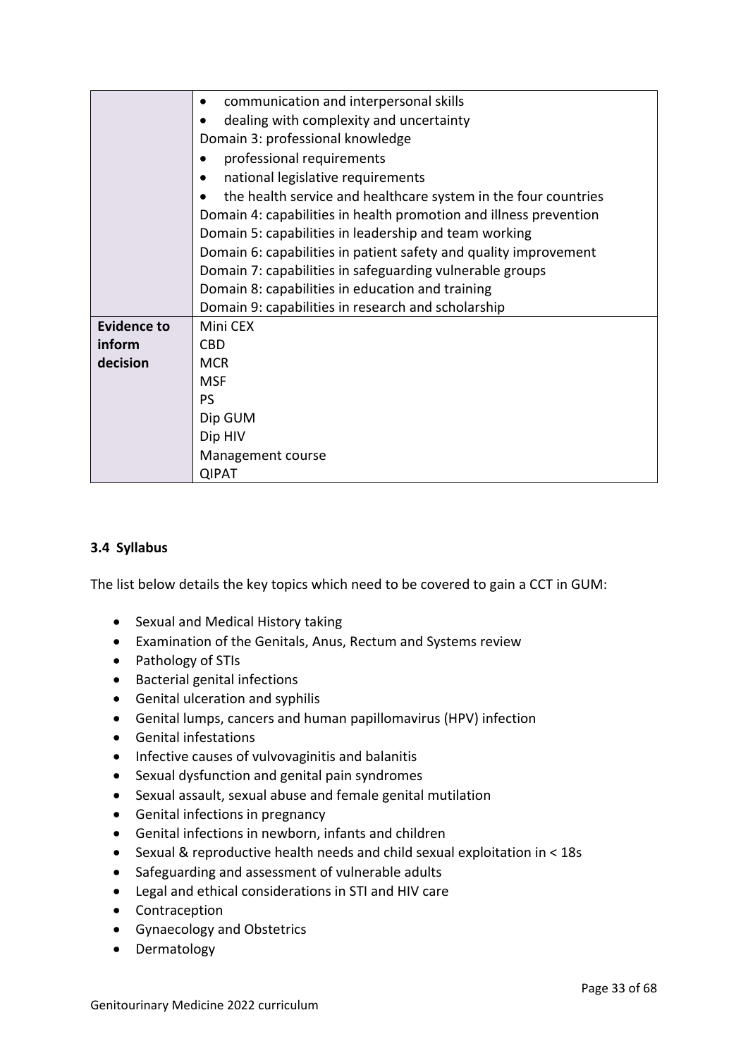|                    | communication and interpersonal skills                            |  |  |
|--------------------|-------------------------------------------------------------------|--|--|
|                    | dealing with complexity and uncertainty                           |  |  |
|                    | Domain 3: professional knowledge                                  |  |  |
|                    | professional requirements                                         |  |  |
|                    | national legislative requirements                                 |  |  |
|                    | the health service and healthcare system in the four countries    |  |  |
|                    | Domain 4: capabilities in health promotion and illness prevention |  |  |
|                    | Domain 5: capabilities in leadership and team working             |  |  |
|                    | Domain 6: capabilities in patient safety and quality improvement  |  |  |
|                    | Domain 7: capabilities in safeguarding vulnerable groups          |  |  |
|                    | Domain 8: capabilities in education and training                  |  |  |
|                    | Domain 9: capabilities in research and scholarship                |  |  |
| <b>Evidence to</b> | Mini CEX                                                          |  |  |
| inform             | <b>CBD</b>                                                        |  |  |
| decision           | <b>MCR</b>                                                        |  |  |
|                    | <b>MSF</b>                                                        |  |  |
|                    | <b>PS</b>                                                         |  |  |
|                    | Dip GUM                                                           |  |  |
|                    | Dip HIV                                                           |  |  |
|                    | Management course                                                 |  |  |
|                    | <b>QIPAT</b>                                                      |  |  |

#### **3.4 Syllabus**

The list below details the key topics which need to be covered to gain a CCT in GUM:

- Sexual and Medical History taking
- Examination of the Genitals, Anus, Rectum and Systems review
- Pathology of STIs
- Bacterial genital infections
- Genital ulceration and syphilis
- Genital lumps, cancers and human papillomavirus (HPV) infection
- Genital infestations
- Infective causes of vulvovaginitis and balanitis
- Sexual dysfunction and genital pain syndromes
- Sexual assault, sexual abuse and female genital mutilation
- Genital infections in pregnancy
- Genital infections in newborn, infants and children
- Sexual & reproductive health needs and child sexual exploitation in < 18s
- Safeguarding and assessment of vulnerable adults
- Legal and ethical considerations in STI and HIV care
- Contraception
- Gynaecology and Obstetrics
- Dermatology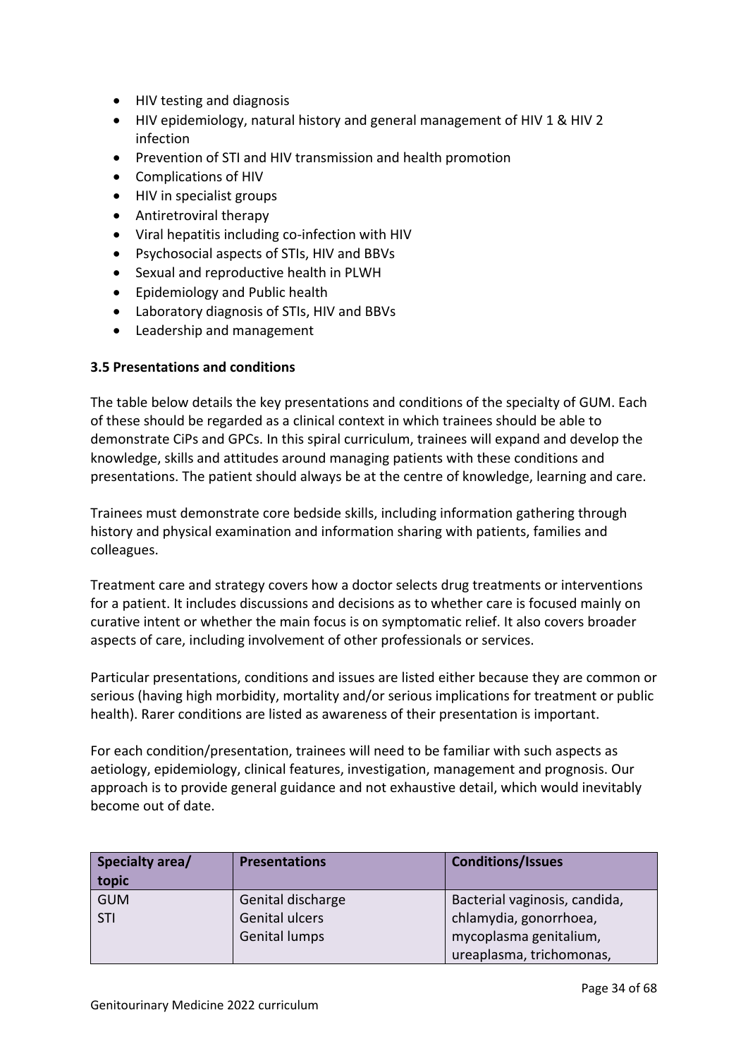- HIV testing and diagnosis
- HIV epidemiology, natural history and general management of HIV 1 & HIV 2 infection
- Prevention of STI and HIV transmission and health promotion
- Complications of HIV
- HIV in specialist groups
- Antiretroviral therapy
- Viral hepatitis including co-infection with HIV
- Psychosocial aspects of STIs, HIV and BBVs
- Sexual and reproductive health in PLWH
- Epidemiology and Public health
- Laboratory diagnosis of STIs, HIV and BBVs
- Leadership and management

#### <span id="page-33-0"></span>**3.5 Presentations and conditions**

The table below details the key presentations and conditions of the specialty of GUM. Each of these should be regarded as a clinical context in which trainees should be able to demonstrate CiPs and GPCs. In this spiral curriculum, trainees will expand and develop the knowledge, skills and attitudes around managing patients with these conditions and presentations. The patient should always be at the centre of knowledge, learning and care.

Trainees must demonstrate core bedside skills, including information gathering through history and physical examination and information sharing with patients, families and colleagues.

Treatment care and strategy covers how a doctor selects drug treatments or interventions for a patient. It includes discussions and decisions as to whether care is focused mainly on curative intent or whether the main focus is on symptomatic relief. It also covers broader aspects of care, including involvement of other professionals or services.

Particular presentations, conditions and issues are listed either because they are common or serious (having high morbidity, mortality and/or serious implications for treatment or public health). Rarer conditions are listed as awareness of their presentation is important.

For each condition/presentation, trainees will need to be familiar with such aspects as aetiology, epidemiology, clinical features, investigation, management and prognosis. Our approach is to provide general guidance and not exhaustive detail, which would inevitably become out of date.

| Specialty area/<br>topic | <b>Presentations</b> | <b>Conditions/Issues</b>      |
|--------------------------|----------------------|-------------------------------|
| <b>GUM</b>               | Genital discharge    | Bacterial vaginosis, candida, |
| STI                      | Genital ulcers       | chlamydia, gonorrhoea,        |
|                          | <b>Genital lumps</b> | mycoplasma genitalium,        |
|                          |                      | ureaplasma, trichomonas,      |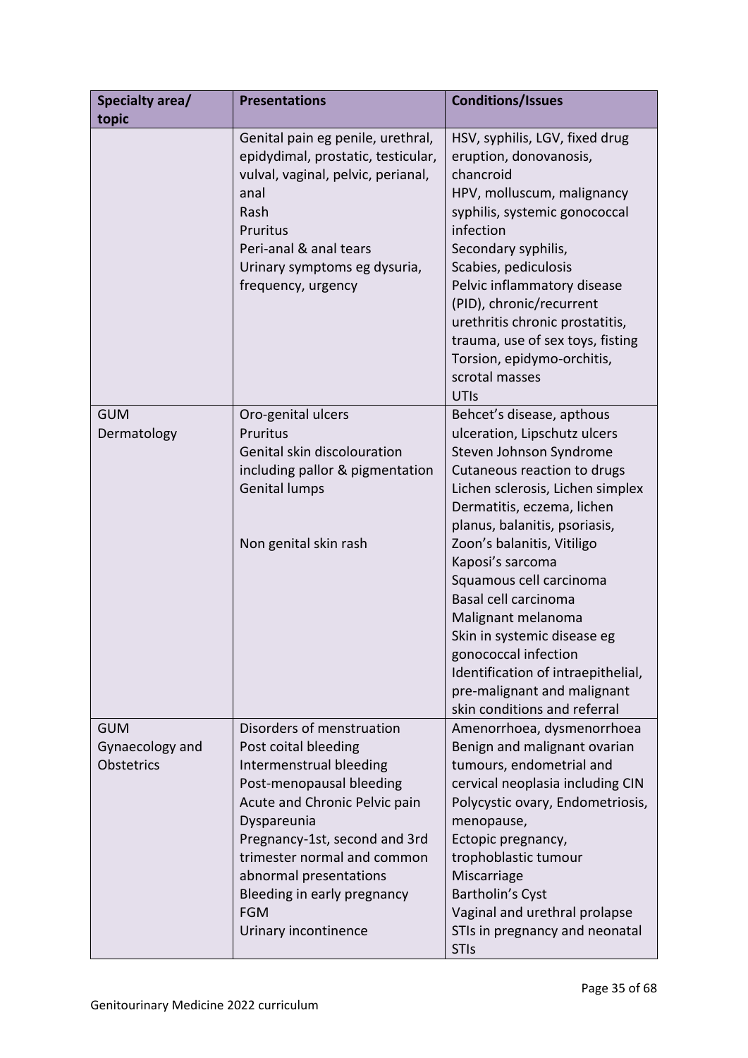| Specialty area/<br>topic                           | <b>Presentations</b>                                                                                                                                                                                                                                                                                                    | <b>Conditions/Issues</b>                                                                                                                                                                                                                                                                                                                                                                                                                                                                                      |
|----------------------------------------------------|-------------------------------------------------------------------------------------------------------------------------------------------------------------------------------------------------------------------------------------------------------------------------------------------------------------------------|---------------------------------------------------------------------------------------------------------------------------------------------------------------------------------------------------------------------------------------------------------------------------------------------------------------------------------------------------------------------------------------------------------------------------------------------------------------------------------------------------------------|
|                                                    | Genital pain eg penile, urethral,<br>epidydimal, prostatic, testicular,<br>vulval, vaginal, pelvic, perianal,<br>anal<br>Rash<br>Pruritus<br>Peri-anal & anal tears<br>Urinary symptoms eg dysuria,<br>frequency, urgency                                                                                               | HSV, syphilis, LGV, fixed drug<br>eruption, donovanosis,<br>chancroid<br>HPV, molluscum, malignancy<br>syphilis, systemic gonococcal<br>infection<br>Secondary syphilis,<br>Scabies, pediculosis<br>Pelvic inflammatory disease<br>(PID), chronic/recurrent<br>urethritis chronic prostatitis,<br>trauma, use of sex toys, fisting<br>Torsion, epidymo-orchitis,<br>scrotal masses<br>UTIs                                                                                                                    |
| <b>GUM</b><br>Dermatology                          | Oro-genital ulcers<br>Pruritus<br>Genital skin discolouration<br>including pallor & pigmentation<br><b>Genital lumps</b><br>Non genital skin rash                                                                                                                                                                       | Behcet's disease, apthous<br>ulceration, Lipschutz ulcers<br>Steven Johnson Syndrome<br>Cutaneous reaction to drugs<br>Lichen sclerosis, Lichen simplex<br>Dermatitis, eczema, lichen<br>planus, balanitis, psoriasis,<br>Zoon's balanitis, Vitiligo<br>Kaposi's sarcoma<br>Squamous cell carcinoma<br>Basal cell carcinoma<br>Malignant melanoma<br>Skin in systemic disease eg<br>gonococcal infection<br>Identification of intraepithelial,<br>pre-malignant and malignant<br>skin conditions and referral |
| <b>GUM</b><br>Gynaecology and<br><b>Obstetrics</b> | Disorders of menstruation<br>Post coital bleeding<br>Intermenstrual bleeding<br>Post-menopausal bleeding<br>Acute and Chronic Pelvic pain<br>Dyspareunia<br>Pregnancy-1st, second and 3rd<br>trimester normal and common<br>abnormal presentations<br>Bleeding in early pregnancy<br><b>FGM</b><br>Urinary incontinence | Amenorrhoea, dysmenorrhoea<br>Benign and malignant ovarian<br>tumours, endometrial and<br>cervical neoplasia including CIN<br>Polycystic ovary, Endometriosis,<br>menopause,<br>Ectopic pregnancy,<br>trophoblastic tumour<br>Miscarriage<br>Bartholin's Cyst<br>Vaginal and urethral prolapse<br>STIs in pregnancy and neonatal<br><b>STIs</b>                                                                                                                                                               |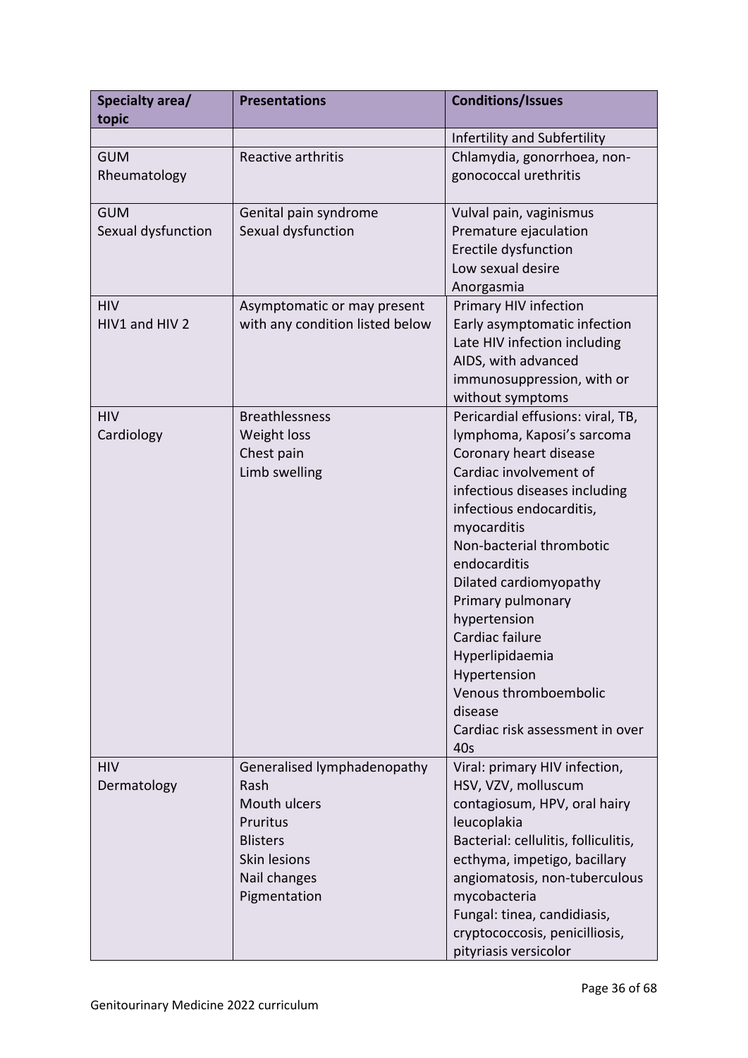| Specialty area/<br>topic         | <b>Presentations</b>                                                                                                               | <b>Conditions/Issues</b>                                                                                                                                                                                                                                                                                                                                                                                                                       |
|----------------------------------|------------------------------------------------------------------------------------------------------------------------------------|------------------------------------------------------------------------------------------------------------------------------------------------------------------------------------------------------------------------------------------------------------------------------------------------------------------------------------------------------------------------------------------------------------------------------------------------|
|                                  |                                                                                                                                    | Infertility and Subfertility                                                                                                                                                                                                                                                                                                                                                                                                                   |
| <b>GUM</b><br>Rheumatology       | Reactive arthritis                                                                                                                 | Chlamydia, gonorrhoea, non-<br>gonococcal urethritis                                                                                                                                                                                                                                                                                                                                                                                           |
| <b>GUM</b><br>Sexual dysfunction | Genital pain syndrome<br>Sexual dysfunction                                                                                        | Vulval pain, vaginismus<br>Premature ejaculation<br>Erectile dysfunction<br>Low sexual desire<br>Anorgasmia                                                                                                                                                                                                                                                                                                                                    |
| <b>HIV</b><br>HIV1 and HIV 2     | Asymptomatic or may present<br>with any condition listed below                                                                     | Primary HIV infection<br>Early asymptomatic infection<br>Late HIV infection including<br>AIDS, with advanced<br>immunosuppression, with or<br>without symptoms                                                                                                                                                                                                                                                                                 |
| <b>HIV</b><br>Cardiology         | <b>Breathlessness</b><br>Weight loss<br>Chest pain<br>Limb swelling                                                                | Pericardial effusions: viral, TB,<br>lymphoma, Kaposi's sarcoma<br>Coronary heart disease<br>Cardiac involvement of<br>infectious diseases including<br>infectious endocarditis,<br>myocarditis<br>Non-bacterial thrombotic<br>endocarditis<br>Dilated cardiomyopathy<br>Primary pulmonary<br>hypertension<br>Cardiac failure<br>Hyperlipidaemia<br>Hypertension<br>Venous thromboembolic<br>disease<br>Cardiac risk assessment in over<br>40s |
| <b>HIV</b><br>Dermatology        | Generalised lymphadenopathy<br>Rash<br>Mouth ulcers<br>Pruritus<br><b>Blisters</b><br>Skin lesions<br>Nail changes<br>Pigmentation | Viral: primary HIV infection,<br>HSV, VZV, molluscum<br>contagiosum, HPV, oral hairy<br>leucoplakia<br>Bacterial: cellulitis, folliculitis,<br>ecthyma, impetigo, bacillary<br>angiomatosis, non-tuberculous<br>mycobacteria<br>Fungal: tinea, candidiasis,<br>cryptococcosis, penicilliosis,<br>pityriasis versicolor                                                                                                                         |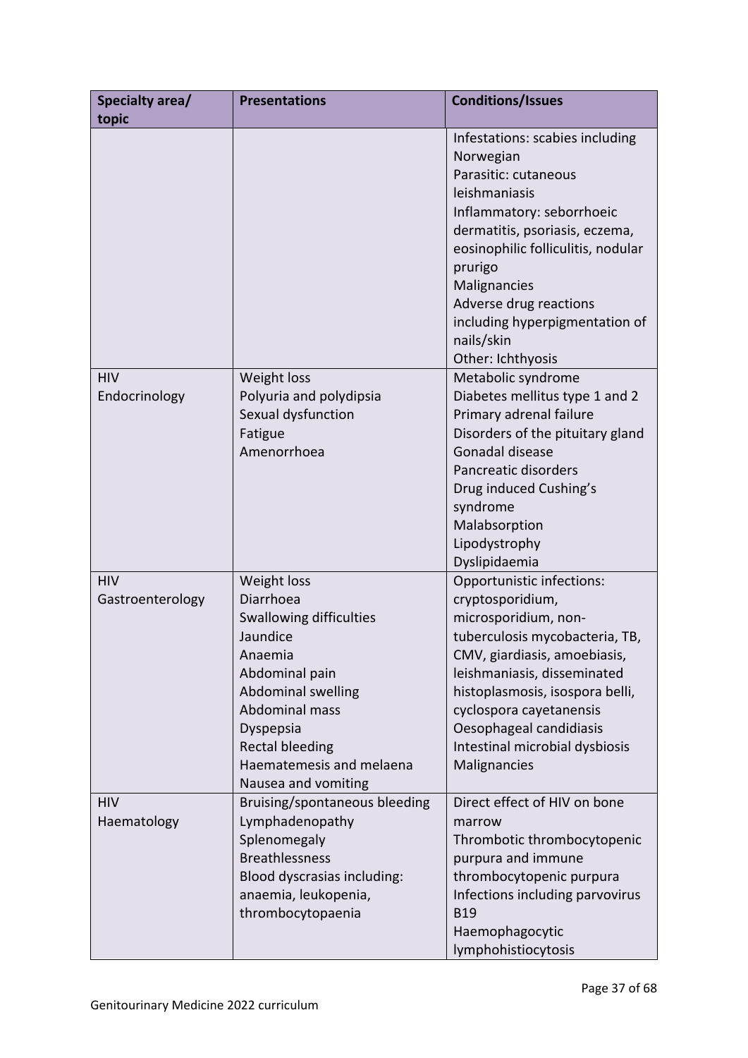| Specialty area/<br>topic       | <b>Presentations</b>                                                                                                                                                                                                                  | <b>Conditions/Issues</b>                                                                                                                                                                                                                                                                                             |
|--------------------------------|---------------------------------------------------------------------------------------------------------------------------------------------------------------------------------------------------------------------------------------|----------------------------------------------------------------------------------------------------------------------------------------------------------------------------------------------------------------------------------------------------------------------------------------------------------------------|
|                                |                                                                                                                                                                                                                                       | Infestations: scabies including<br>Norwegian<br>Parasitic: cutaneous<br>leishmaniasis<br>Inflammatory: seborrhoeic<br>dermatitis, psoriasis, eczema,<br>eosinophilic folliculitis, nodular<br>prurigo<br>Malignancies<br>Adverse drug reactions<br>including hyperpigmentation of<br>nails/skin<br>Other: Ichthyosis |
| <b>HIV</b><br>Endocrinology    | Weight loss<br>Polyuria and polydipsia<br>Sexual dysfunction<br>Fatigue<br>Amenorrhoea                                                                                                                                                | Metabolic syndrome<br>Diabetes mellitus type 1 and 2<br>Primary adrenal failure<br>Disorders of the pituitary gland<br>Gonadal disease<br>Pancreatic disorders<br>Drug induced Cushing's<br>syndrome<br>Malabsorption<br>Lipodystrophy<br>Dyslipidaemia                                                              |
| <b>HIV</b><br>Gastroenterology | Weight loss<br>Diarrhoea<br><b>Swallowing difficulties</b><br>Jaundice<br>Anaemia<br>Abdominal pain<br>Abdominal swelling<br>Abdominal mass<br>Dyspepsia<br><b>Rectal bleeding</b><br>Haematemesis and melaena<br>Nausea and vomiting | Opportunistic infections:<br>cryptosporidium,<br>microsporidium, non-<br>tuberculosis mycobacteria, TB,<br>CMV, giardiasis, amoebiasis,<br>leishmaniasis, disseminated<br>histoplasmosis, isospora belli,<br>cyclospora cayetanensis<br>Oesophageal candidiasis<br>Intestinal microbial dysbiosis<br>Malignancies    |
| <b>HIV</b><br>Haematology      | Bruising/spontaneous bleeding<br>Lymphadenopathy<br>Splenomegaly<br><b>Breathlessness</b><br>Blood dyscrasias including:<br>anaemia, leukopenia,<br>thrombocytopaenia                                                                 | Direct effect of HIV on bone<br>marrow<br>Thrombotic thrombocytopenic<br>purpura and immune<br>thrombocytopenic purpura<br>Infections including parvovirus<br><b>B19</b><br>Haemophagocytic<br>lymphohistiocytosis                                                                                                   |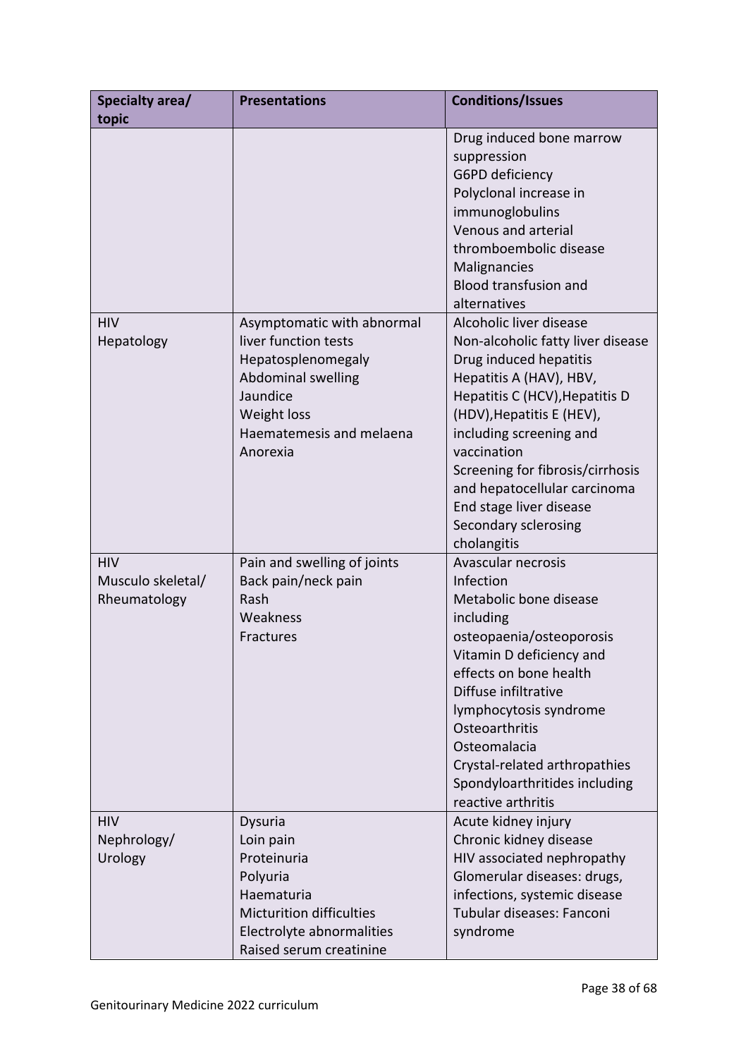| Specialty area/<br>topic                        | <b>Presentations</b>                                                                                                                                                     | <b>Conditions/Issues</b>                                                                                                                                                                                                                                                                                                                                         |
|-------------------------------------------------|--------------------------------------------------------------------------------------------------------------------------------------------------------------------------|------------------------------------------------------------------------------------------------------------------------------------------------------------------------------------------------------------------------------------------------------------------------------------------------------------------------------------------------------------------|
|                                                 |                                                                                                                                                                          | Drug induced bone marrow<br>suppression<br>G6PD deficiency<br>Polyclonal increase in<br>immunoglobulins<br>Venous and arterial<br>thromboembolic disease<br>Malignancies<br><b>Blood transfusion and</b><br>alternatives                                                                                                                                         |
| <b>HIV</b><br>Hepatology                        | Asymptomatic with abnormal<br>liver function tests<br>Hepatosplenomegaly<br><b>Abdominal swelling</b><br>Jaundice<br>Weight loss<br>Haematemesis and melaena<br>Anorexia | Alcoholic liver disease<br>Non-alcoholic fatty liver disease<br>Drug induced hepatitis<br>Hepatitis A (HAV), HBV,<br>Hepatitis C (HCV), Hepatitis D<br>(HDV), Hepatitis E (HEV),<br>including screening and<br>vaccination<br>Screening for fibrosis/cirrhosis<br>and hepatocellular carcinoma<br>End stage liver disease<br>Secondary sclerosing<br>cholangitis |
| <b>HIV</b><br>Musculo skeletal/<br>Rheumatology | Pain and swelling of joints<br>Back pain/neck pain<br>Rash<br>Weakness<br>Fractures                                                                                      | Avascular necrosis<br>Infection<br>Metabolic bone disease<br>including<br>osteopaenia/osteoporosis<br>Vitamin D deficiency and<br>effects on bone health<br>Diffuse infiltrative<br>lymphocytosis syndrome<br>Osteoarthritis<br>Osteomalacia<br>Crystal-related arthropathies<br>Spondyloarthritides including<br>reactive arthritis                             |
| <b>HIV</b><br>Nephrology/<br>Urology            | Dysuria<br>Loin pain<br>Proteinuria<br>Polyuria<br>Haematuria<br><b>Micturition difficulties</b><br>Electrolyte abnormalities<br>Raised serum creatinine                 | Acute kidney injury<br>Chronic kidney disease<br>HIV associated nephropathy<br>Glomerular diseases: drugs,<br>infections, systemic disease<br>Tubular diseases: Fanconi<br>syndrome                                                                                                                                                                              |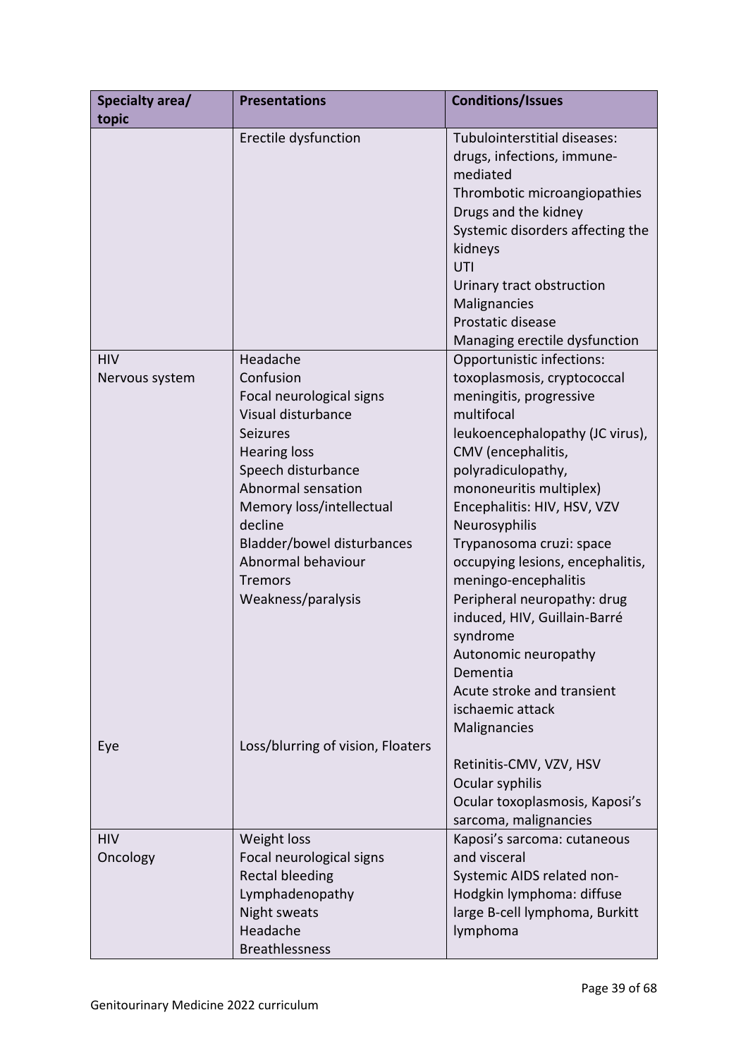| Specialty area/ | <b>Presentations</b>              | <b>Conditions/Issues</b>                              |
|-----------------|-----------------------------------|-------------------------------------------------------|
| topic           | Erectile dysfunction              | Tubulointerstitial diseases:                          |
|                 |                                   | drugs, infections, immune-                            |
|                 |                                   | mediated                                              |
|                 |                                   | Thrombotic microangiopathies                          |
|                 |                                   | Drugs and the kidney                                  |
|                 |                                   | Systemic disorders affecting the                      |
|                 |                                   | kidneys                                               |
|                 |                                   | UTI                                                   |
|                 |                                   | Urinary tract obstruction                             |
|                 |                                   | Malignancies                                          |
|                 |                                   | Prostatic disease                                     |
|                 |                                   | Managing erectile dysfunction                         |
| <b>HIV</b>      | Headache                          | Opportunistic infections:                             |
| Nervous system  | Confusion                         | toxoplasmosis, cryptococcal                           |
|                 | Focal neurological signs          | meningitis, progressive                               |
|                 | Visual disturbance                | multifocal                                            |
|                 | Seizures<br><b>Hearing loss</b>   | leukoencephalopathy (JC virus),<br>CMV (encephalitis, |
|                 | Speech disturbance                | polyradiculopathy,                                    |
|                 | Abnormal sensation                | mononeuritis multiplex)                               |
|                 | Memory loss/intellectual          | Encephalitis: HIV, HSV, VZV                           |
|                 | decline                           | Neurosyphilis                                         |
|                 | Bladder/bowel disturbances        | Trypanosoma cruzi: space                              |
|                 | Abnormal behaviour                | occupying lesions, encephalitis,                      |
|                 | <b>Tremors</b>                    | meningo-encephalitis                                  |
|                 | Weakness/paralysis                | Peripheral neuropathy: drug                           |
|                 |                                   | induced, HIV, Guillain-Barré                          |
|                 |                                   | syndrome                                              |
|                 |                                   | Autonomic neuropathy                                  |
|                 |                                   | Dementia                                              |
|                 |                                   | Acute stroke and transient                            |
|                 |                                   | ischaemic attack                                      |
|                 |                                   | Malignancies                                          |
| Eye             | Loss/blurring of vision, Floaters | Retinitis-CMV, VZV, HSV                               |
|                 |                                   | Ocular syphilis                                       |
|                 |                                   | Ocular toxoplasmosis, Kaposi's                        |
|                 |                                   | sarcoma, malignancies                                 |
| <b>HIV</b>      | Weight loss                       | Kaposi's sarcoma: cutaneous                           |
| Oncology        | Focal neurological signs          | and visceral                                          |
|                 | <b>Rectal bleeding</b>            | Systemic AIDS related non-                            |
|                 | Lymphadenopathy                   | Hodgkin lymphoma: diffuse                             |
|                 | Night sweats                      | large B-cell lymphoma, Burkitt                        |
|                 | Headache                          | lymphoma                                              |
|                 | <b>Breathlessness</b>             |                                                       |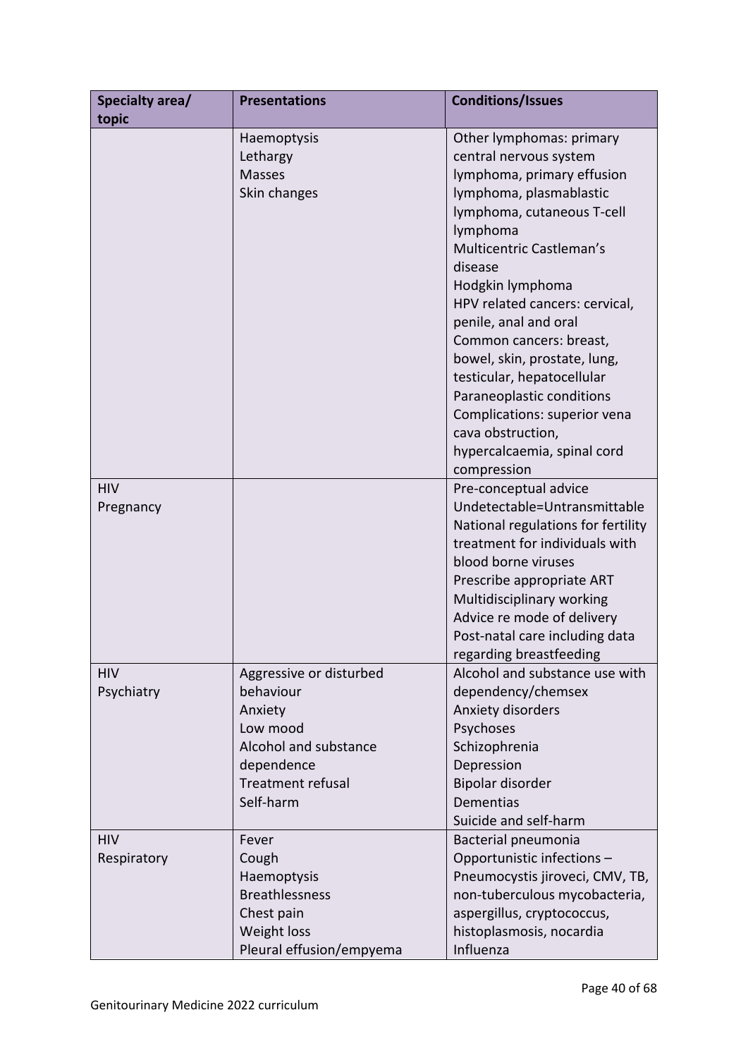| Specialty area/<br>topic  | <b>Presentations</b>                                                                                                                 | <b>Conditions/Issues</b>                                                                                                                                                                                                                                                                                                                                                                                                                                                                             |
|---------------------------|--------------------------------------------------------------------------------------------------------------------------------------|------------------------------------------------------------------------------------------------------------------------------------------------------------------------------------------------------------------------------------------------------------------------------------------------------------------------------------------------------------------------------------------------------------------------------------------------------------------------------------------------------|
|                           | Haemoptysis<br>Lethargy<br><b>Masses</b><br>Skin changes                                                                             | Other lymphomas: primary<br>central nervous system<br>lymphoma, primary effusion<br>lymphoma, plasmablastic<br>lymphoma, cutaneous T-cell<br>lymphoma<br>Multicentric Castleman's<br>disease<br>Hodgkin lymphoma<br>HPV related cancers: cervical,<br>penile, anal and oral<br>Common cancers: breast,<br>bowel, skin, prostate, lung,<br>testicular, hepatocellular<br>Paraneoplastic conditions<br>Complications: superior vena<br>cava obstruction,<br>hypercalcaemia, spinal cord<br>compression |
| <b>HIV</b><br>Pregnancy   |                                                                                                                                      | Pre-conceptual advice<br>Undetectable=Untransmittable<br>National regulations for fertility<br>treatment for individuals with<br>blood borne viruses<br>Prescribe appropriate ART<br>Multidisciplinary working<br>Advice re mode of delivery<br>Post-natal care including data<br>regarding breastfeeding                                                                                                                                                                                            |
| <b>HIV</b><br>Psychiatry  | Aggressive or disturbed<br>behaviour<br>Anxiety<br>Low mood<br>Alcohol and substance<br>dependence<br>Treatment refusal<br>Self-harm | Alcohol and substance use with<br>dependency/chemsex<br>Anxiety disorders<br>Psychoses<br>Schizophrenia<br>Depression<br>Bipolar disorder<br><b>Dementias</b><br>Suicide and self-harm                                                                                                                                                                                                                                                                                                               |
| <b>HIV</b><br>Respiratory | Fever<br>Cough<br>Haemoptysis<br><b>Breathlessness</b><br>Chest pain<br>Weight loss<br>Pleural effusion/empyema                      | Bacterial pneumonia<br>Opportunistic infections -<br>Pneumocystis jiroveci, CMV, TB,<br>non-tuberculous mycobacteria,<br>aspergillus, cryptococcus,<br>histoplasmosis, nocardia<br>Influenza                                                                                                                                                                                                                                                                                                         |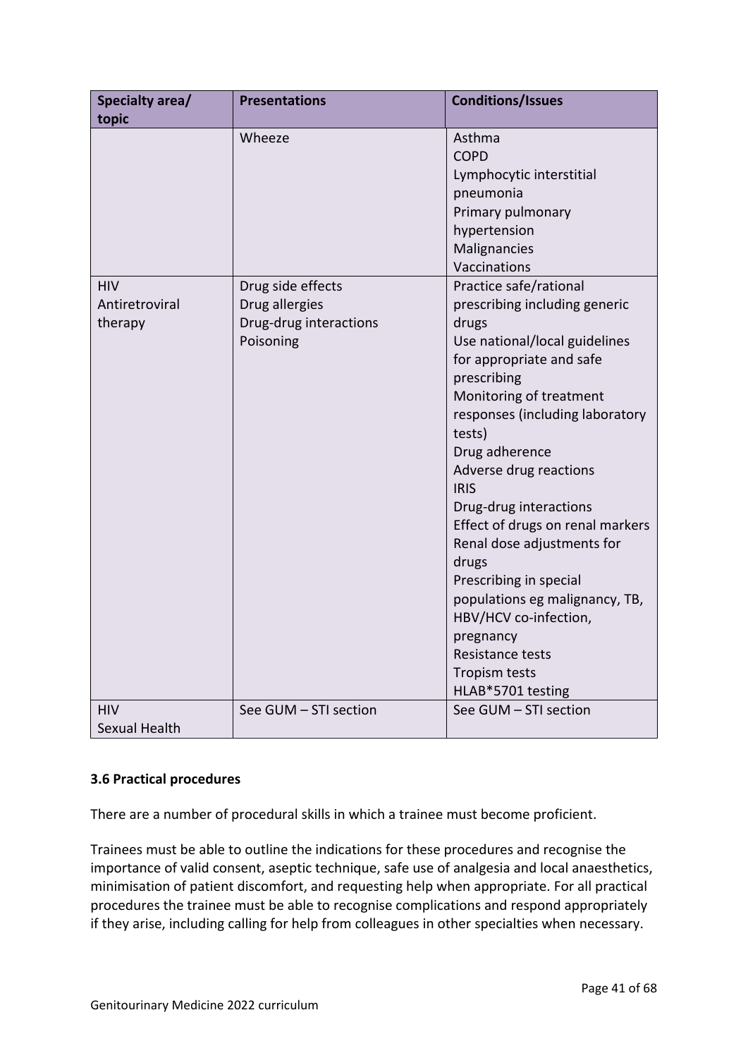| <b>Specialty area/</b> | <b>Presentations</b>   | <b>Conditions/Issues</b>         |
|------------------------|------------------------|----------------------------------|
| topic                  |                        |                                  |
|                        | Wheeze                 | Asthma                           |
|                        |                        | <b>COPD</b>                      |
|                        |                        | Lymphocytic interstitial         |
|                        |                        | pneumonia                        |
|                        |                        | Primary pulmonary                |
|                        |                        | hypertension                     |
|                        |                        | Malignancies                     |
|                        |                        | Vaccinations                     |
| <b>HIV</b>             | Drug side effects      | Practice safe/rational           |
| Antiretroviral         | Drug allergies         | prescribing including generic    |
| therapy                | Drug-drug interactions | drugs                            |
|                        | Poisoning              | Use national/local guidelines    |
|                        |                        | for appropriate and safe         |
|                        |                        | prescribing                      |
|                        |                        | Monitoring of treatment          |
|                        |                        | responses (including laboratory  |
|                        |                        | tests)                           |
|                        |                        | Drug adherence                   |
|                        |                        | Adverse drug reactions           |
|                        |                        | <b>IRIS</b>                      |
|                        |                        | Drug-drug interactions           |
|                        |                        | Effect of drugs on renal markers |
|                        |                        | Renal dose adjustments for       |
|                        |                        | drugs                            |
|                        |                        | Prescribing in special           |
|                        |                        | populations eg malignancy, TB,   |
|                        |                        | HBV/HCV co-infection,            |
|                        |                        | pregnancy                        |
|                        |                        | Resistance tests                 |
|                        |                        | Tropism tests                    |
|                        |                        | HLAB*5701 testing                |
| <b>HIV</b>             | See GUM - STI section  | See GUM - STI section            |
| Sexual Health          |                        |                                  |

## <span id="page-40-0"></span>**3.6 Practical procedures**

There are a number of procedural skills in which a trainee must become proficient.

Trainees must be able to outline the indications for these procedures and recognise the importance of valid consent, aseptic technique, safe use of analgesia and local anaesthetics, minimisation of patient discomfort, and requesting help when appropriate. For all practical procedures the trainee must be able to recognise complications and respond appropriately if they arise, including calling for help from colleagues in other specialties when necessary.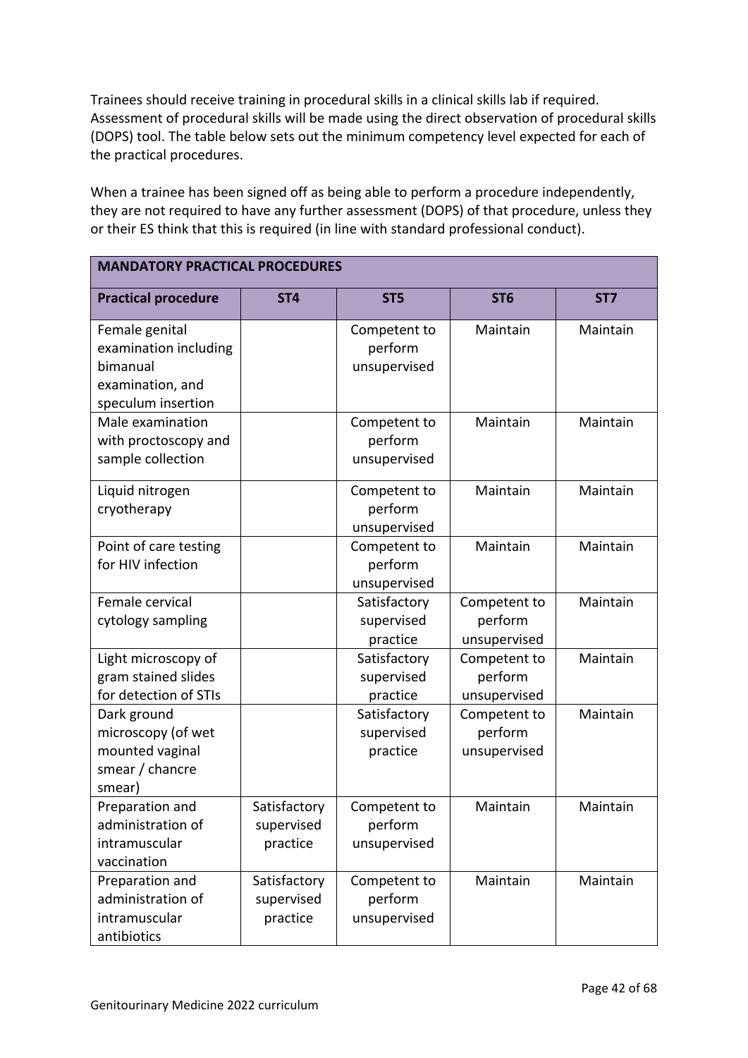Trainees should receive training in procedural skills in a clinical skills lab if required. Assessment of procedural skills will be made using the direct observation of procedural skills (DOPS) tool. The table below sets out the minimum competency level expected for each of the practical procedures.

When a trainee has been signed off as being able to perform a procedure independently, they are not required to have any further assessment (DOPS) of that procedure, unless they or their ES think that this is required (in line with standard professional conduct).

| <b>MANDATORY PRACTICAL PROCEDURES</b>                                                         |                                        |                                         |                                         |                 |
|-----------------------------------------------------------------------------------------------|----------------------------------------|-----------------------------------------|-----------------------------------------|-----------------|
| <b>Practical procedure</b>                                                                    | ST <sub>4</sub>                        | ST <sub>5</sub>                         | ST <sub>6</sub>                         | ST <sub>7</sub> |
| Female genital<br>examination including<br>bimanual<br>examination, and<br>speculum insertion |                                        | Competent to<br>perform<br>unsupervised | Maintain                                | Maintain        |
| Male examination<br>with proctoscopy and<br>sample collection                                 |                                        | Competent to<br>perform<br>unsupervised | Maintain                                | Maintain        |
| Liquid nitrogen<br>cryotherapy                                                                |                                        | Competent to<br>perform<br>unsupervised | Maintain                                | Maintain        |
| Point of care testing<br>for HIV infection                                                    |                                        | Competent to<br>perform<br>unsupervised | Maintain                                | Maintain        |
| Female cervical<br>cytology sampling                                                          |                                        | Satisfactory<br>supervised<br>practice  | Competent to<br>perform<br>unsupervised | Maintain        |
| Light microscopy of<br>gram stained slides<br>for detection of STIs                           |                                        | Satisfactory<br>supervised<br>practice  | Competent to<br>perform<br>unsupervised | Maintain        |
| Dark ground<br>microscopy (of wet<br>mounted vaginal<br>smear / chancre<br>smear)             |                                        | Satisfactory<br>supervised<br>practice  | Competent to<br>perform<br>unsupervised | Maintain        |
| Preparation and<br>administration of<br>intramuscular<br>vaccination                          | Satisfactory<br>supervised<br>practice | Competent to<br>perform<br>unsupervised | Maintain                                | Maintain        |
| Preparation and<br>administration of<br>intramuscular<br>antibiotics                          | Satisfactory<br>supervised<br>practice | Competent to<br>perform<br>unsupervised | Maintain                                | Maintain        |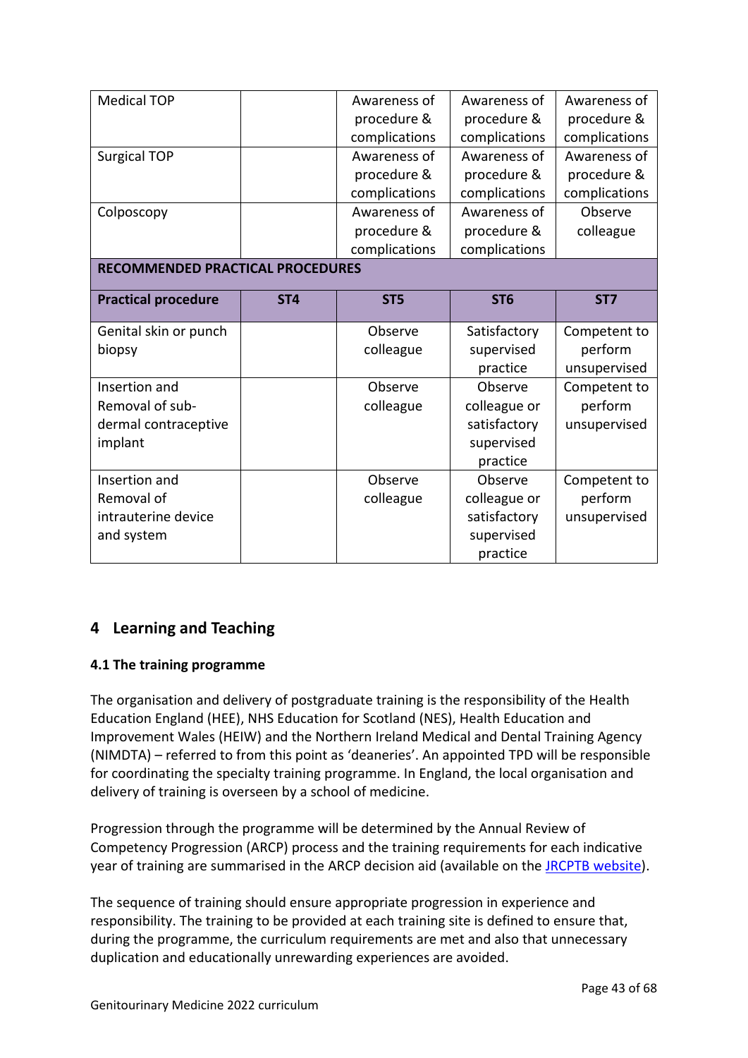| <b>Medical TOP</b>                      |                 | Awareness of    | Awareness of    | Awareness of    |
|-----------------------------------------|-----------------|-----------------|-----------------|-----------------|
|                                         |                 | procedure &     | procedure &     | procedure &     |
|                                         |                 | complications   | complications   | complications   |
| <b>Surgical TOP</b>                     |                 | Awareness of    | Awareness of    | Awareness of    |
|                                         |                 | procedure &     | procedure &     | procedure &     |
|                                         |                 | complications   | complications   | complications   |
| Colposcopy                              |                 | Awareness of    | Awareness of    | Observe         |
|                                         |                 | procedure &     | procedure &     | colleague       |
|                                         |                 | complications   | complications   |                 |
| <b>RECOMMENDED PRACTICAL PROCEDURES</b> |                 |                 |                 |                 |
|                                         |                 |                 |                 |                 |
| <b>Practical procedure</b>              | ST <sub>4</sub> | ST <sub>5</sub> | ST <sub>6</sub> | ST <sub>7</sub> |
| Genital skin or punch                   |                 | Observe         | Satisfactory    | Competent to    |
| biopsy                                  |                 | colleague       | supervised      | perform         |
|                                         |                 |                 | practice        | unsupervised    |
| Insertion and                           |                 | Observe         | Observe         | Competent to    |
| Removal of sub-                         |                 | colleague       | colleague or    | perform         |
| dermal contraceptive                    |                 |                 | satisfactory    | unsupervised    |
| implant                                 |                 |                 | supervised      |                 |
|                                         |                 |                 | practice        |                 |
| Insertion and                           |                 | Observe         | Observe         | Competent to    |
| Removal of                              |                 | colleague       | colleague or    | perform         |
| intrauterine device                     |                 |                 | satisfactory    | unsupervised    |
| and system                              |                 |                 | supervised      |                 |
|                                         |                 |                 |                 |                 |

# <span id="page-42-0"></span>**4 Learning and Teaching**

## <span id="page-42-1"></span>**4.1 The training programme**

The organisation and delivery of postgraduate training is the responsibility of the Health Education England (HEE), NHS Education for Scotland (NES), Health Education and Improvement Wales (HEIW) and the Northern Ireland Medical and Dental Training Agency (NIMDTA) – referred to from this point as 'deaneries'. An appointed TPD will be responsible for coordinating the specialty training programme. In England, the local organisation and delivery of training is overseen by a school of medicine.

Progression through the programme will be determined by the Annual Review of Competency Progression (ARCP) process and the training requirements for each indicative year of training are summarised in the ARCP decision aid (available on the **JRCPTB website**).

The sequence of training should ensure appropriate progression in experience and responsibility. The training to be provided at each training site is defined to ensure that, during the programme, the curriculum requirements are met and also that unnecessary duplication and educationally unrewarding experiences are avoided.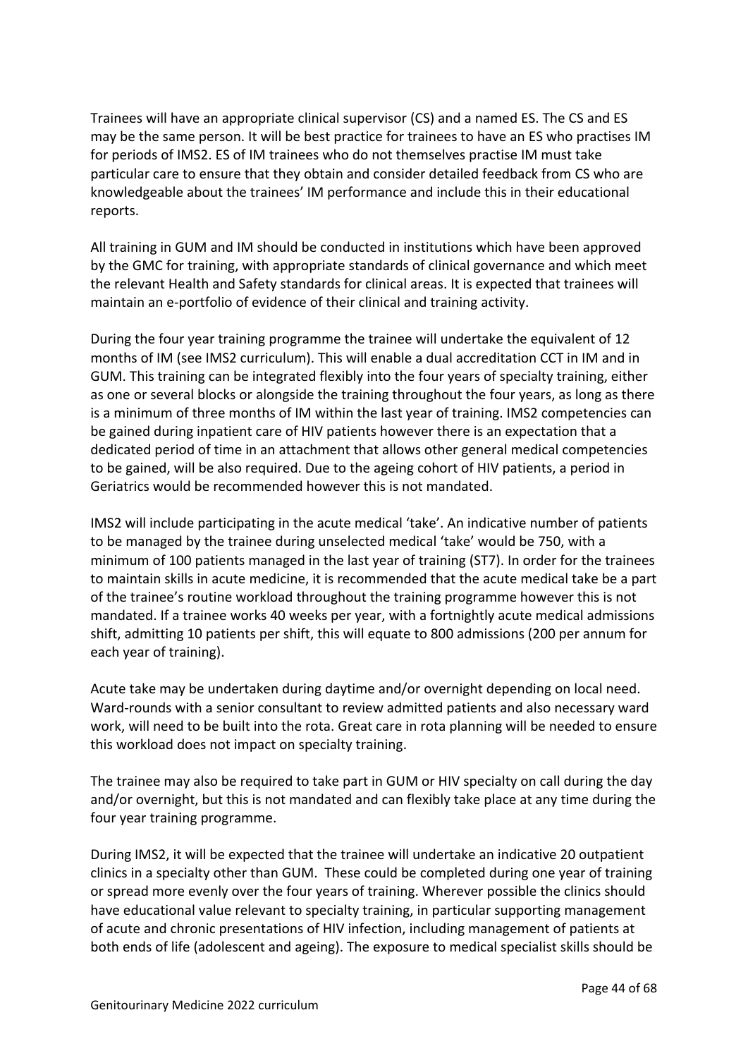Trainees will have an appropriate clinical supervisor (CS) and a named ES. The CS and ES may be the same person. It will be best practice for trainees to have an ES who practises IM for periods of IMS2. ES of IM trainees who do not themselves practise IM must take particular care to ensure that they obtain and consider detailed feedback from CS who are knowledgeable about the trainees' IM performance and include this in their educational reports.

All training in GUM and IM should be conducted in institutions which have been approved by the GMC for training, with appropriate standards of clinical governance and which meet the relevant Health and Safety standards for clinical areas. It is expected that trainees will maintain an e-portfolio of evidence of their clinical and training activity.

During the four year training programme the trainee will undertake the equivalent of 12 months of IM (see IMS2 curriculum). This will enable a dual accreditation CCT in IM and in GUM. This training can be integrated flexibly into the four years of specialty training, either as one or several blocks or alongside the training throughout the four years, as long as there is a minimum of three months of IM within the last year of training. IMS2 competencies can be gained during inpatient care of HIV patients however there is an expectation that a dedicated period of time in an attachment that allows other general medical competencies to be gained, will be also required. Due to the ageing cohort of HIV patients, a period in Geriatrics would be recommended however this is not mandated.

IMS2 will include participating in the acute medical 'take'. An indicative number of patients to be managed by the trainee during unselected medical 'take' would be 750, with a minimum of 100 patients managed in the last year of training (ST7). In order for the trainees to maintain skills in acute medicine, it is recommended that the acute medical take be a part of the trainee's routine workload throughout the training programme however this is not mandated. If a trainee works 40 weeks per year, with a fortnightly acute medical admissions shift, admitting 10 patients per shift, this will equate to 800 admissions (200 per annum for each year of training).

Acute take may be undertaken during daytime and/or overnight depending on local need. Ward-rounds with a senior consultant to review admitted patients and also necessary ward work, will need to be built into the rota. Great care in rota planning will be needed to ensure this workload does not impact on specialty training.

The trainee may also be required to take part in GUM or HIV specialty on call during the day and/or overnight, but this is not mandated and can flexibly take place at any time during the four year training programme.

During IMS2, it will be expected that the trainee will undertake an indicative 20 outpatient clinics in a specialty other than GUM. These could be completed during one year of training or spread more evenly over the four years of training. Wherever possible the clinics should have educational value relevant to specialty training, in particular supporting management of acute and chronic presentations of HIV infection, including management of patients at both ends of life (adolescent and ageing). The exposure to medical specialist skills should be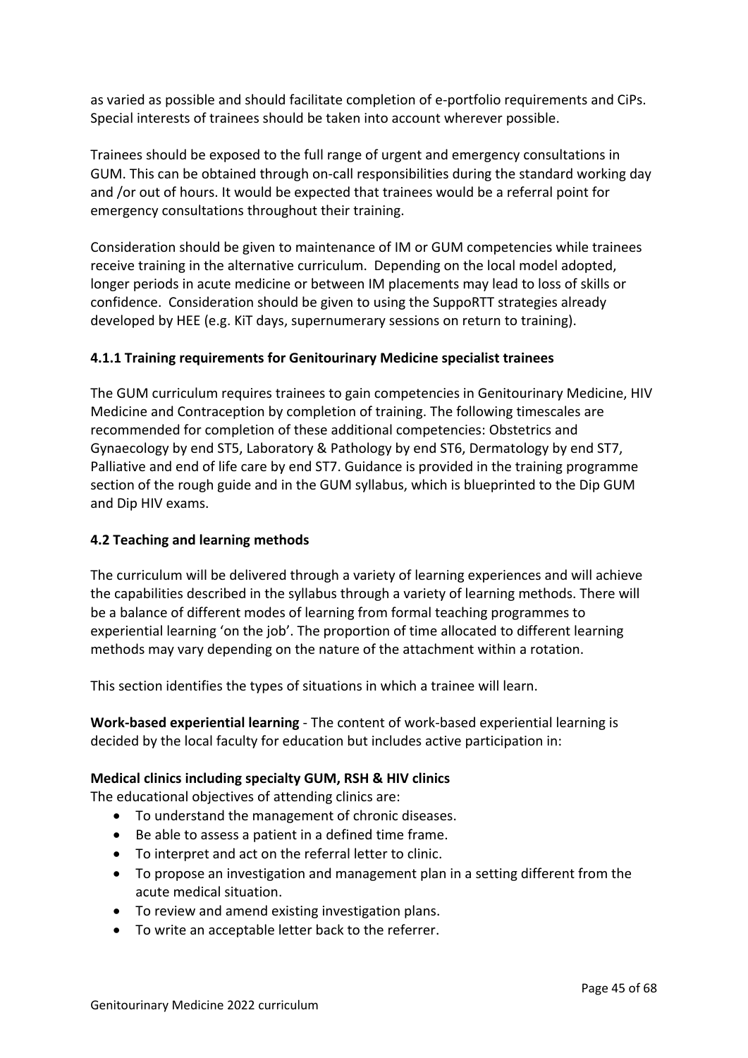as varied as possible and should facilitate completion of e-portfolio requirements and CiPs. Special interests of trainees should be taken into account wherever possible.

Trainees should be exposed to the full range of urgent and emergency consultations in GUM. This can be obtained through on-call responsibilities during the standard working day and /or out of hours. It would be expected that trainees would be a referral point for emergency consultations throughout their training.

Consideration should be given to maintenance of IM or GUM competencies while trainees receive training in the alternative curriculum. Depending on the local model adopted, longer periods in acute medicine or between IM placements may lead to loss of skills or confidence. Consideration should be given to using the SuppoRTT strategies already developed by HEE (e.g. KiT days, supernumerary sessions on return to training).

## **4.1.1 Training requirements for Genitourinary Medicine specialist trainees**

The GUM curriculum requires trainees to gain competencies in Genitourinary Medicine, HIV Medicine and Contraception by completion of training. The following timescales are recommended for completion of these additional competencies: Obstetrics and Gynaecology by end ST5, Laboratory & Pathology by end ST6, Dermatology by end ST7, Palliative and end of life care by end ST7. Guidance is provided in the training programme section of the rough guide and in the GUM syllabus, which is blueprinted to the Dip GUM and Dip HIV exams.

#### <span id="page-44-0"></span>**4.2 Teaching and learning methods**

The curriculum will be delivered through a variety of learning experiences and will achieve the capabilities described in the syllabus through a variety of learning methods. There will be a balance of different modes of learning from formal teaching programmes to experiential learning 'on the job'. The proportion of time allocated to different learning methods may vary depending on the nature of the attachment within a rotation.

This section identifies the types of situations in which a trainee will learn.

**Work-based experiential learning** - The content of work-based experiential learning is decided by the local faculty for education but includes active participation in:

#### **Medical clinics including specialty GUM, RSH & HIV clinics**

The educational objectives of attending clinics are:

- To understand the management of chronic diseases.
- Be able to assess a patient in a defined time frame.
- To interpret and act on the referral letter to clinic.
- To propose an investigation and management plan in a setting different from the acute medical situation.
- To review and amend existing investigation plans.
- To write an acceptable letter back to the referrer.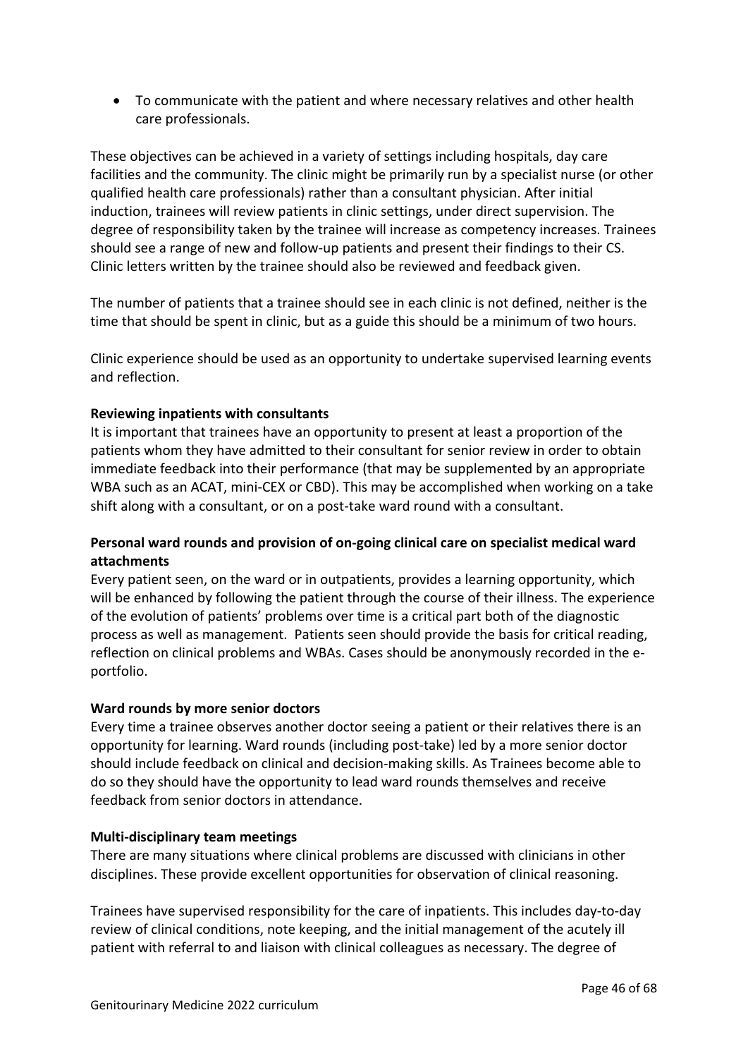• To communicate with the patient and where necessary relatives and other health care professionals.

These objectives can be achieved in a variety of settings including hospitals, day care facilities and the community. The clinic might be primarily run by a specialist nurse (or other qualified health care professionals) rather than a consultant physician. After initial induction, trainees will review patients in clinic settings, under direct supervision. The degree of responsibility taken by the trainee will increase as competency increases. Trainees should see a range of new and follow-up patients and present their findings to their CS. Clinic letters written by the trainee should also be reviewed and feedback given.

The number of patients that a trainee should see in each clinic is not defined, neither is the time that should be spent in clinic, but as a guide this should be a minimum of two hours.

Clinic experience should be used as an opportunity to undertake supervised learning events and reflection.

## **Reviewing inpatients with consultants**

It is important that trainees have an opportunity to present at least a proportion of the patients whom they have admitted to their consultant for senior review in order to obtain immediate feedback into their performance (that may be supplemented by an appropriate WBA such as an ACAT, mini-CEX or CBD). This may be accomplished when working on a take shift along with a consultant, or on a post-take ward round with a consultant.

## **Personal ward rounds and provision of on-going clinical care on specialist medical ward attachments**

Every patient seen, on the ward or in outpatients, provides a learning opportunity, which will be enhanced by following the patient through the course of their illness. The experience of the evolution of patients' problems over time is a critical part both of the diagnostic process as well as management. Patients seen should provide the basis for critical reading, reflection on clinical problems and WBAs. Cases should be anonymously recorded in the eportfolio.

#### **Ward rounds by more senior doctors**

Every time a trainee observes another doctor seeing a patient or their relatives there is an opportunity for learning. Ward rounds (including post-take) led by a more senior doctor should include feedback on clinical and decision-making skills. As Trainees become able to do so they should have the opportunity to lead ward rounds themselves and receive feedback from senior doctors in attendance.

#### **Multi-disciplinary team meetings**

There are many situations where clinical problems are discussed with clinicians in other disciplines. These provide excellent opportunities for observation of clinical reasoning.

Trainees have supervised responsibility for the care of inpatients. This includes day-to-day review of clinical conditions, note keeping, and the initial management of the acutely ill patient with referral to and liaison with clinical colleagues as necessary. The degree of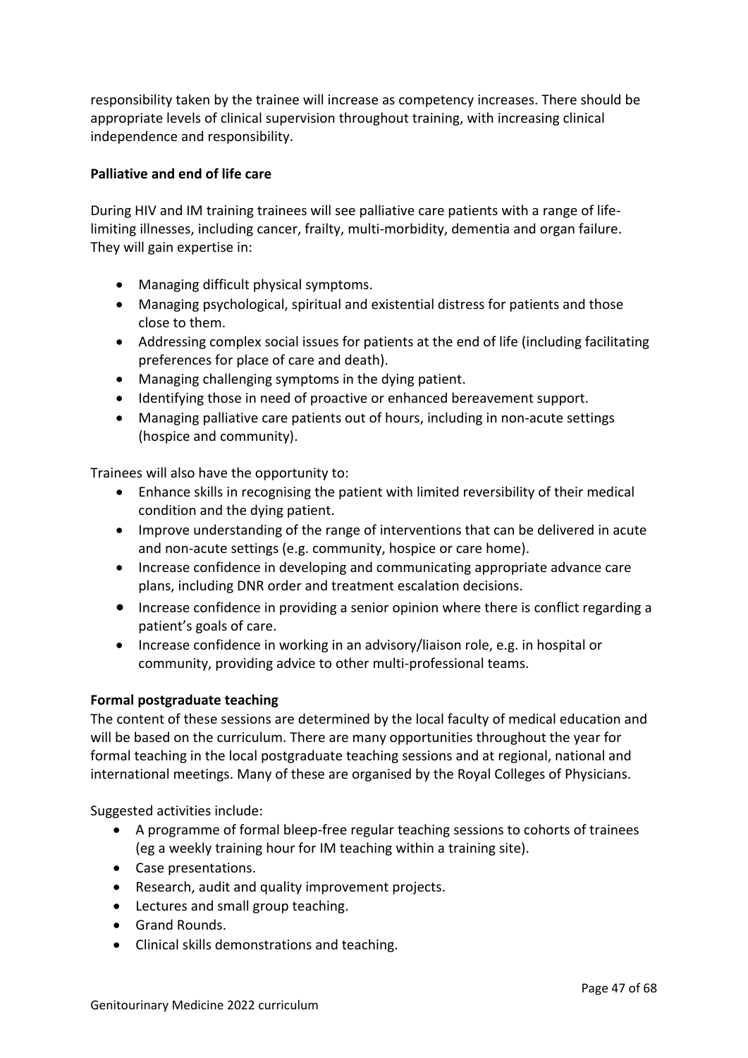responsibility taken by the trainee will increase as competency increases. There should be appropriate levels of clinical supervision throughout training, with increasing clinical independence and responsibility.

#### **Palliative and end of life care**

During HIV and IM training trainees will see palliative care patients with a range of lifelimiting illnesses, including cancer, frailty, multi-morbidity, dementia and organ failure. They will gain expertise in:

- Managing difficult physical symptoms.
- Managing psychological, spiritual and existential distress for patients and those close to them.
- Addressing complex social issues for patients at the end of life (including facilitating preferences for place of care and death).
- Managing challenging symptoms in the dying patient.
- Identifying those in need of proactive or enhanced bereavement support.
- Managing palliative care patients out of hours, including in non-acute settings (hospice and community).

Trainees will also have the opportunity to:

- Enhance skills in recognising the patient with limited reversibility of their medical condition and the dying patient.
- Improve understanding of the range of interventions that can be delivered in acute and non-acute settings (e.g. community, hospice or care home).
- Increase confidence in developing and communicating appropriate advance care plans, including DNR order and treatment escalation decisions.
- Increase confidence in providing a senior opinion where there is conflict regarding a patient's goals of care.
- Increase confidence in working in an advisory/liaison role, e.g. in hospital or community, providing advice to other multi-professional teams.

#### **Formal postgraduate teaching**

The content of these sessions are determined by the local faculty of medical education and will be based on the curriculum. There are many opportunities throughout the year for formal teaching in the local postgraduate teaching sessions and at regional, national and international meetings. Many of these are organised by the Royal Colleges of Physicians.

Suggested activities include:

- A programme of formal bleep-free regular teaching sessions to cohorts of trainees (eg a weekly training hour for IM teaching within a training site).
- Case presentations.
- Research, audit and quality improvement projects.
- Lectures and small group teaching.
- Grand Rounds.
- Clinical skills demonstrations and teaching.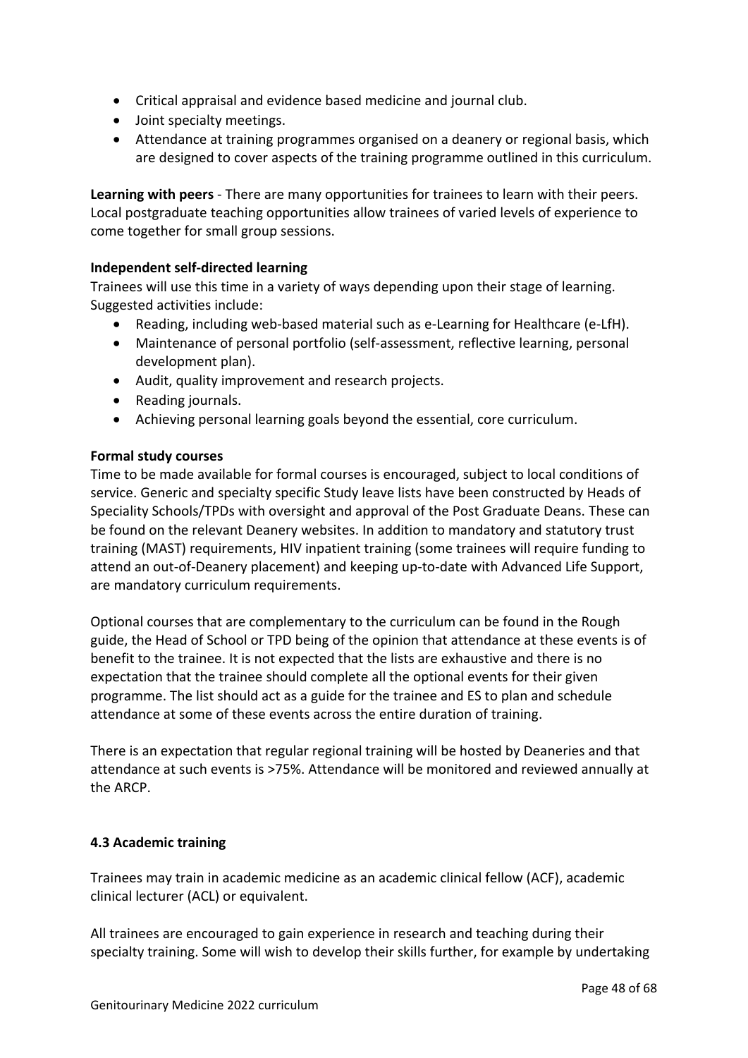- Critical appraisal and evidence based medicine and journal club.
- Joint specialty meetings.
- Attendance at training programmes organised on a deanery or regional basis, which are designed to cover aspects of the training programme outlined in this curriculum.

**Learning with peers** - There are many opportunities for trainees to learn with their peers. Local postgraduate teaching opportunities allow trainees of varied levels of experience to come together for small group sessions.

#### **Independent self-directed learning**

Trainees will use this time in a variety of ways depending upon their stage of learning. Suggested activities include:

- Reading, including web-based material such as e-Learning for Healthcare (e-LfH).
- Maintenance of personal portfolio (self-assessment, reflective learning, personal development plan).
- Audit, quality improvement and research projects.
- Reading journals.
- Achieving personal learning goals beyond the essential, core curriculum.

#### **Formal study courses**

Time to be made available for formal courses is encouraged, subject to local conditions of service. Generic and specialty specific Study leave lists have been constructed by Heads of Speciality Schools/TPDs with oversight and approval of the Post Graduate Deans. These can be found on the relevant Deanery websites. In addition to mandatory and statutory trust training (MAST) requirements, HIV inpatient training (some trainees will require funding to attend an out-of-Deanery placement) and keeping up-to-date with Advanced Life Support, are mandatory curriculum requirements.

Optional courses that are complementary to the curriculum can be found in the Rough guide, the Head of School or TPD being of the opinion that attendance at these events is of benefit to the trainee. It is not expected that the lists are exhaustive and there is no expectation that the trainee should complete all the optional events for their given programme. The list should act as a guide for the trainee and ES to plan and schedule attendance at some of these events across the entire duration of training.

There is an expectation that regular regional training will be hosted by Deaneries and that attendance at such events is >75%. Attendance will be monitored and reviewed annually at the ARCP.

#### <span id="page-47-0"></span>**4.3 Academic training**

Trainees may train in academic medicine as an academic clinical fellow (ACF), academic clinical lecturer (ACL) or equivalent.

All trainees are encouraged to gain experience in research and teaching during their specialty training. Some will wish to develop their skills further, for example by undertaking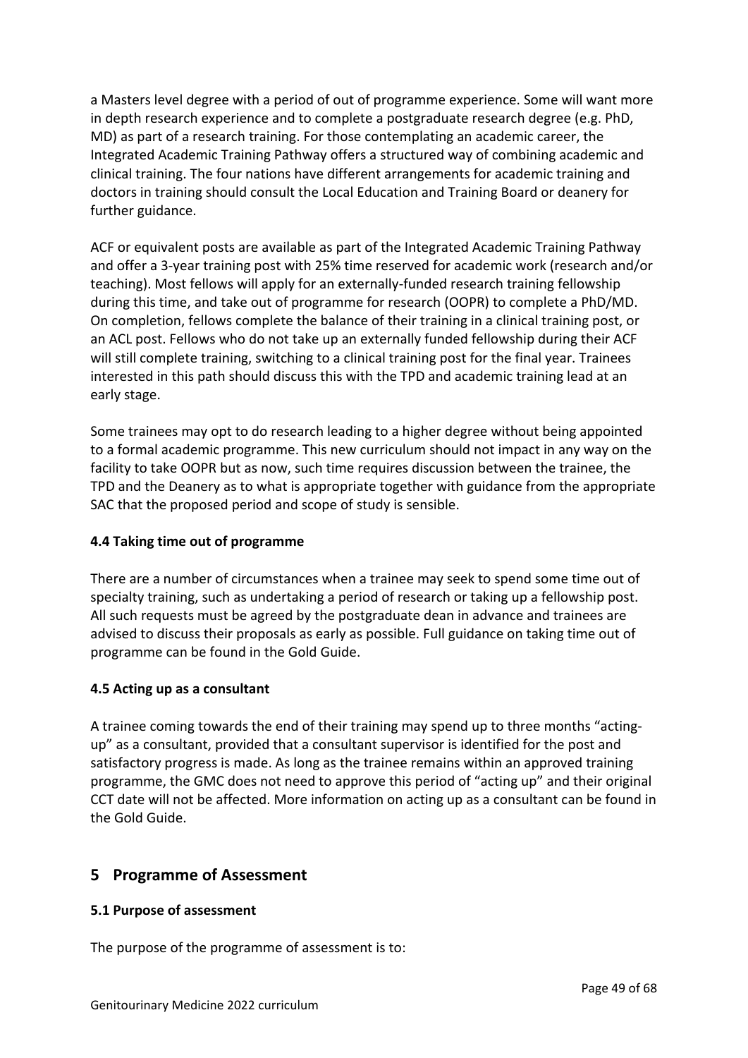a Masters level degree with a period of out of programme experience. Some will want more in depth research experience and to complete a postgraduate research degree (e.g. PhD, MD) as part of a research training. For those contemplating an academic career, the Integrated Academic Training Pathway offers a structured way of combining academic and clinical training. The four nations have different arrangements for academic training and doctors in training should consult the Local Education and Training Board or deanery for further guidance.

ACF or equivalent posts are available as part of the Integrated Academic Training Pathway and offer a 3-year training post with 25% time reserved for academic work (research and/or teaching). Most fellows will apply for an externally-funded research training fellowship during this time, and take out of programme for research (OOPR) to complete a PhD/MD. On completion, fellows complete the balance of their training in a clinical training post, or an ACL post. Fellows who do not take up an externally funded fellowship during their ACF will still complete training, switching to a clinical training post for the final year. Trainees interested in this path should discuss this with the TPD and academic training lead at an early stage.

Some trainees may opt to do research leading to a higher degree without being appointed to a formal academic programme. This new curriculum should not impact in any way on the facility to take OOPR but as now, such time requires discussion between the trainee, the TPD and the Deanery as to what is appropriate together with guidance from the appropriate SAC that the proposed period and scope of study is sensible.

#### <span id="page-48-0"></span>**4.4 Taking time out of programme**

There are a number of circumstances when a trainee may seek to spend some time out of specialty training, such as undertaking a period of research or taking up a fellowship post. All such requests must be agreed by the postgraduate dean in advance and trainees are advised to discuss their proposals as early as possible. Full guidance on taking time out of programme can be found in the Gold Guide.

#### <span id="page-48-1"></span>**4.5 Acting up as a consultant**

A trainee coming towards the end of their training may spend up to three months "actingup" as a consultant, provided that a consultant supervisor is identified for the post and satisfactory progress is made. As long as the trainee remains within an approved training programme, the GMC does not need to approve this period of "acting up" and their original CCT date will not be affected. More information on acting up as a consultant can be found in the Gold Guide.

## <span id="page-48-2"></span>**5 Programme of Assessment**

#### <span id="page-48-3"></span>**5.1 Purpose of assessment**

The purpose of the programme of assessment is to: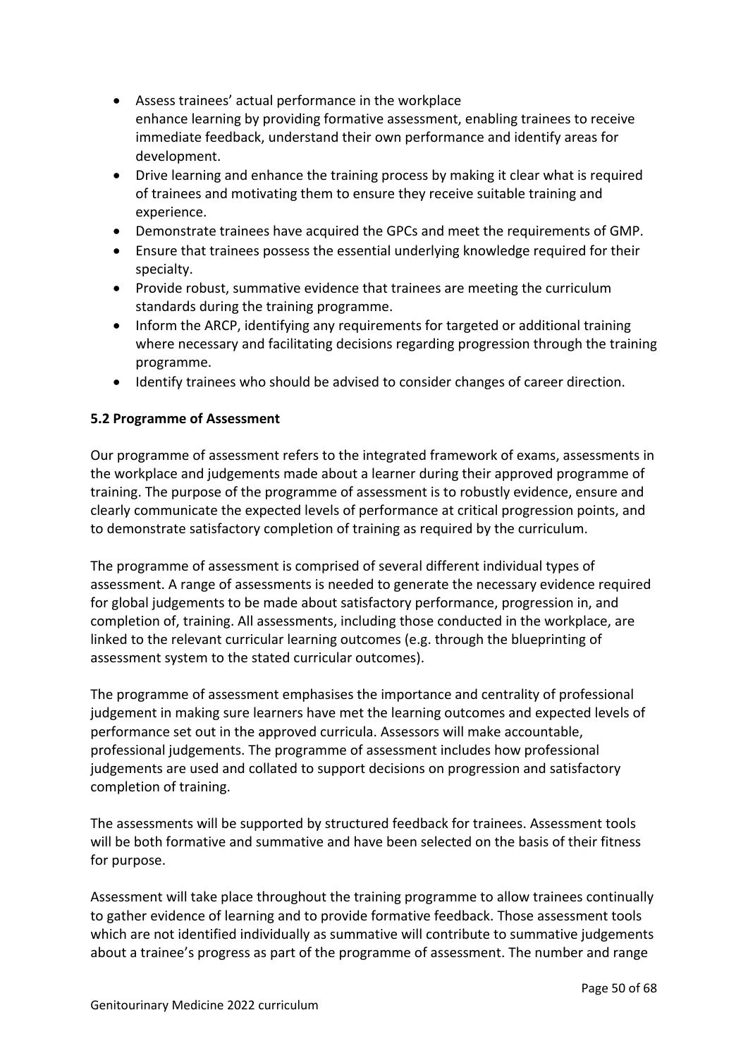- Assess trainees' actual performance in the workplace enhance learning by providing formative assessment, enabling trainees to receive immediate feedback, understand their own performance and identify areas for development.
- Drive learning and enhance the training process by making it clear what is required of trainees and motivating them to ensure they receive suitable training and experience.
- Demonstrate trainees have acquired the GPCs and meet the requirements of GMP.
- Ensure that trainees possess the essential underlying knowledge required for their specialty.
- Provide robust, summative evidence that trainees are meeting the curriculum standards during the training programme.
- Inform the ARCP, identifying any requirements for targeted or additional training where necessary and facilitating decisions regarding progression through the training programme.
- Identify trainees who should be advised to consider changes of career direction.

## <span id="page-49-0"></span>**5.2 Programme of Assessment**

Our programme of assessment refers to the integrated framework of exams, assessments in the workplace and judgements made about a learner during their approved programme of training. The purpose of the programme of assessment is to robustly evidence, ensure and clearly communicate the expected levels of performance at critical progression points, and to demonstrate satisfactory completion of training as required by the curriculum.

The programme of assessment is comprised of several different individual types of assessment. A range of assessments is needed to generate the necessary evidence required for global judgements to be made about satisfactory performance, progression in, and completion of, training. All assessments, including those conducted in the workplace, are linked to the relevant curricular learning outcomes (e.g. through the blueprinting of assessment system to the stated curricular outcomes).

The programme of assessment emphasises the importance and centrality of professional judgement in making sure learners have met the learning outcomes and expected levels of performance set out in the approved curricula. Assessors will make accountable, professional judgements. The programme of assessment includes how professional judgements are used and collated to support decisions on progression and satisfactory completion of training.

The assessments will be supported by structured feedback for trainees. Assessment tools will be both formative and summative and have been selected on the basis of their fitness for purpose.

Assessment will take place throughout the training programme to allow trainees continually to gather evidence of learning and to provide formative feedback. Those assessment tools which are not identified individually as summative will contribute to summative judgements about a trainee's progress as part of the programme of assessment. The number and range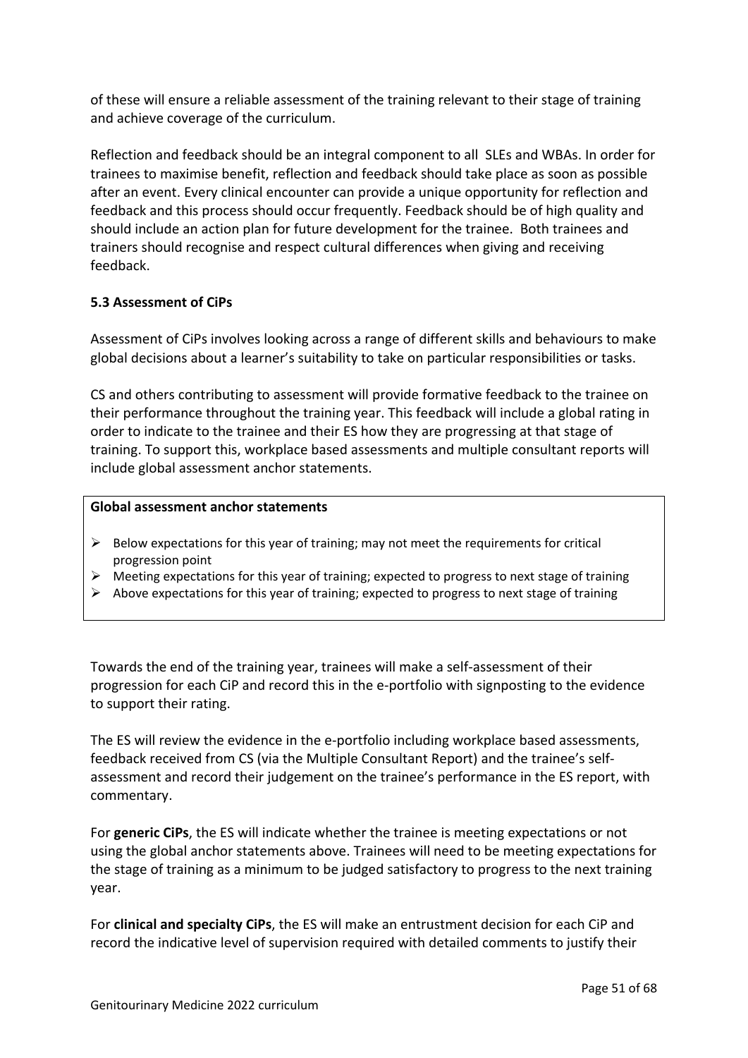of these will ensure a reliable assessment of the training relevant to their stage of training and achieve coverage of the curriculum.

Reflection and feedback should be an integral component to all SLEs and WBAs. In order for trainees to maximise benefit, reflection and feedback should take place as soon as possible after an event. Every clinical encounter can provide a unique opportunity for reflection and feedback and this process should occur frequently. Feedback should be of high quality and should include an action plan for future development for the trainee. Both trainees and trainers should recognise and respect cultural differences when giving and receiving feedback.

## <span id="page-50-0"></span>**5.3 Assessment of CiPs**

Assessment of CiPs involves looking across a range of different skills and behaviours to make global decisions about a learner's suitability to take on particular responsibilities or tasks.

CS and others contributing to assessment will provide formative feedback to the trainee on their performance throughout the training year. This feedback will include a global rating in order to indicate to the trainee and their ES how they are progressing at that stage of training. To support this, workplace based assessments and multiple consultant reports will include global assessment anchor statements.

#### **Global assessment anchor statements**

- $\triangleright$  Below expectations for this year of training; may not meet the requirements for critical progression point
- $\triangleright$  Meeting expectations for this year of training; expected to progress to next stage of training
- $\triangleright$  Above expectations for this year of training; expected to progress to next stage of training

Towards the end of the training year, trainees will make a self-assessment of their progression for each CiP and record this in the e-portfolio with signposting to the evidence to support their rating.

The ES will review the evidence in the e-portfolio including workplace based assessments, feedback received from CS (via the Multiple Consultant Report) and the trainee's selfassessment and record their judgement on the trainee's performance in the ES report, with commentary.

For **generic CiPs**, the ES will indicate whether the trainee is meeting expectations or not using the global anchor statements above. Trainees will need to be meeting expectations for the stage of training as a minimum to be judged satisfactory to progress to the next training year.

For **clinical and specialty CiPs**, the ES will make an entrustment decision for each CiP and record the indicative level of supervision required with detailed comments to justify their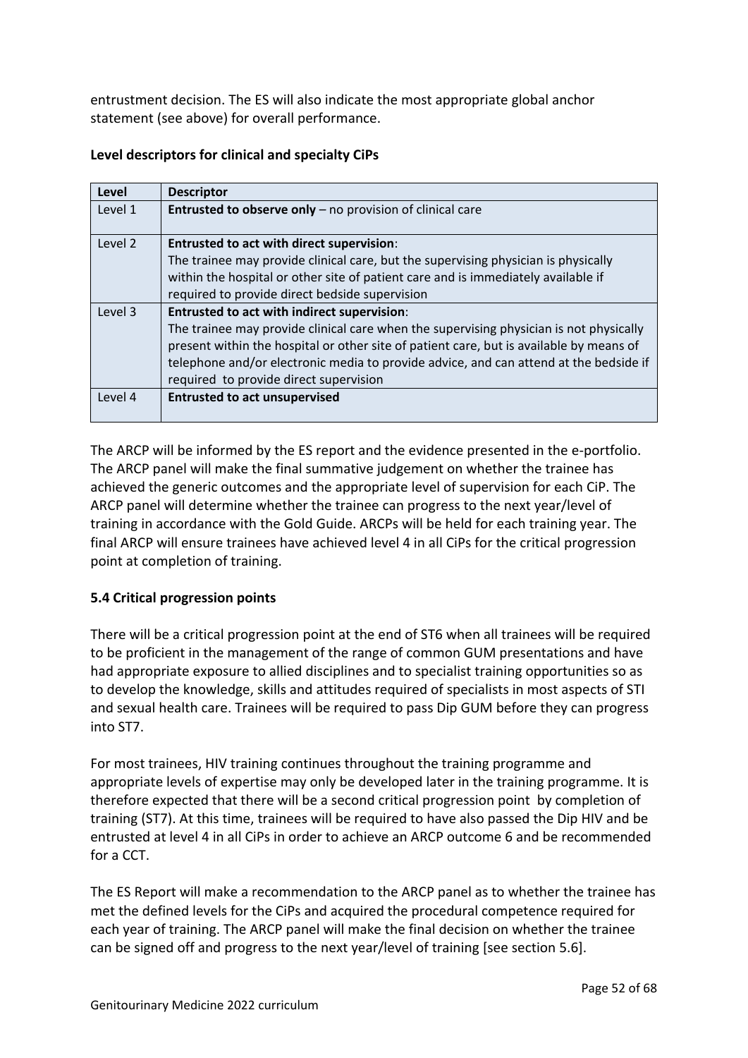entrustment decision. The ES will also indicate the most appropriate global anchor statement (see above) for overall performance.

|  | Level descriptors for clinical and specialty CiPs |  |  |  |  |  |
|--|---------------------------------------------------|--|--|--|--|--|
|--|---------------------------------------------------|--|--|--|--|--|

| Level   | <b>Descriptor</b>                                                                       |
|---------|-----------------------------------------------------------------------------------------|
| Level 1 | Entrusted to observe only - no provision of clinical care                               |
| Level 2 | <b>Entrusted to act with direct supervision:</b>                                        |
|         | The trainee may provide clinical care, but the supervising physician is physically      |
|         | within the hospital or other site of patient care and is immediately available if       |
|         | required to provide direct bedside supervision                                          |
| Level 3 | <b>Entrusted to act with indirect supervision:</b>                                      |
|         | The trainee may provide clinical care when the supervising physician is not physically  |
|         | present within the hospital or other site of patient care, but is available by means of |
|         | telephone and/or electronic media to provide advice, and can attend at the bedside if   |
|         | required to provide direct supervision                                                  |
| Level 4 | <b>Entrusted to act unsupervised</b>                                                    |
|         |                                                                                         |

The ARCP will be informed by the ES report and the evidence presented in the e-portfolio. The ARCP panel will make the final summative judgement on whether the trainee has achieved the generic outcomes and the appropriate level of supervision for each CiP. The ARCP panel will determine whether the trainee can progress to the next year/level of training in accordance with the Gold Guide. ARCPs will be held for each training year. The final ARCP will ensure trainees have achieved level 4 in all CiPs for the critical progression point at completion of training.

## <span id="page-51-0"></span>**5.4 Critical progression points**

There will be a critical progression point at the end of ST6 when all trainees will be required to be proficient in the management of the range of common GUM presentations and have had appropriate exposure to allied disciplines and to specialist training opportunities so as to develop the knowledge, skills and attitudes required of specialists in most aspects of STI and sexual health care. Trainees will be required to pass Dip GUM before they can progress into ST7.

For most trainees, HIV training continues throughout the training programme and appropriate levels of expertise may only be developed later in the training programme. It is therefore expected that there will be a second critical progression point by completion of training (ST7). At this time, trainees will be required to have also passed the Dip HIV and be entrusted at level 4 in all CiPs in order to achieve an ARCP outcome 6 and be recommended for a CCT.

The ES Report will make a recommendation to the ARCP panel as to whether the trainee has met the defined levels for the CiPs and acquired the procedural competence required for each year of training. The ARCP panel will make the final decision on whether the trainee can be signed off and progress to the next year/level of training [see section 5.6].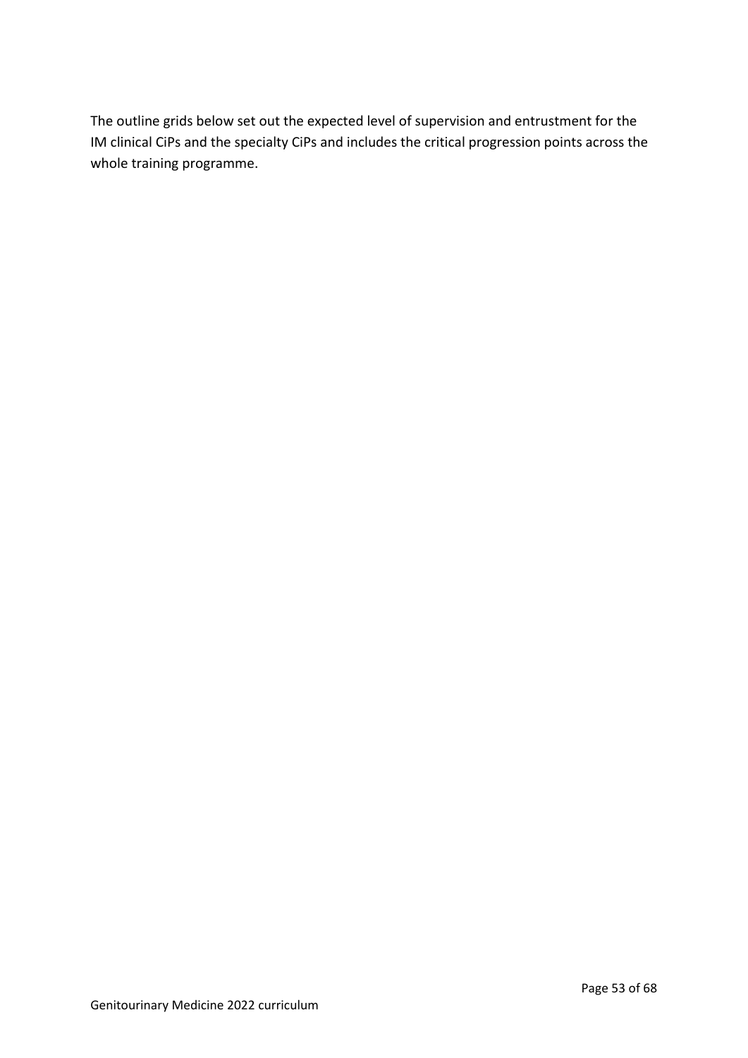The outline grids below set out the expected level of supervision and entrustment for the IM clinical CiPs and the specialty CiPs and includes the critical progression points across the whole training programme.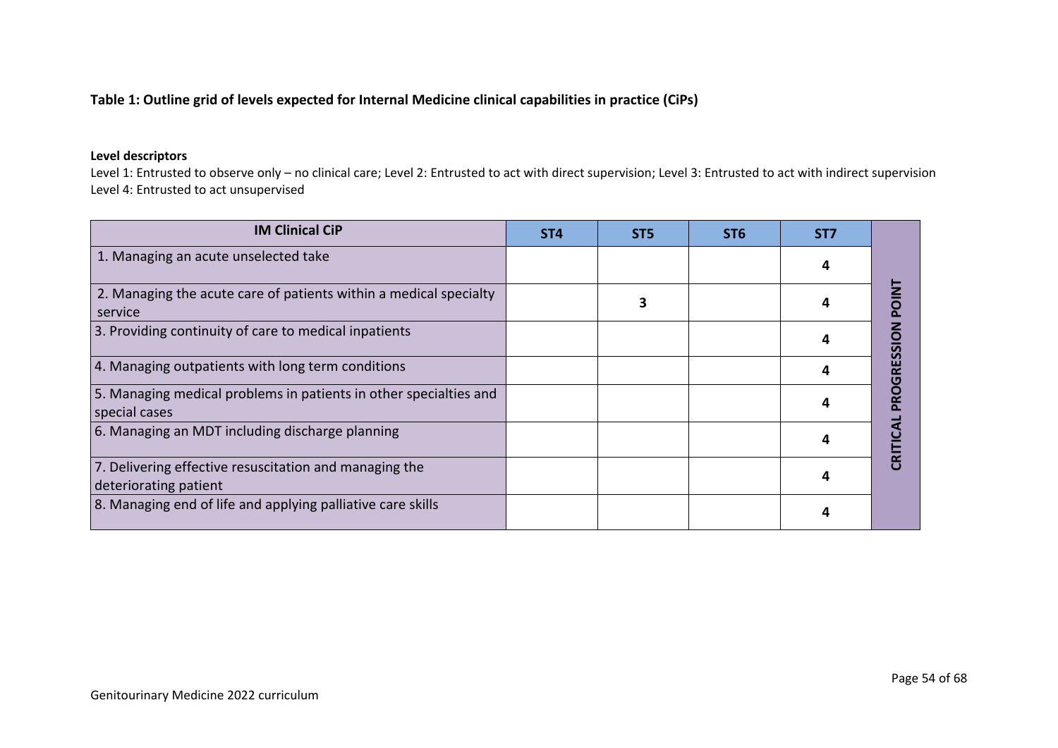## **Table 1: Outline grid of levels expected for Internal Medicine clinical capabilities in practice (CiPs)**

#### **Level descriptors**

Level 1: Entrusted to observe only – no clinical care; Level 2: Entrusted to act with direct supervision; Level 3: Entrusted to act with indirect supervision Level 4: Entrusted to act unsupervised

| <b>IM Clinical CiP</b>                                                             | ST <sub>4</sub> | ST <sub>5</sub> | ST <sub>6</sub> | ST <sub>7</sub> |   |
|------------------------------------------------------------------------------------|-----------------|-----------------|-----------------|-----------------|---|
| 1. Managing an acute unselected take                                               |                 |                 |                 |                 |   |
| 2. Managing the acute care of patients within a medical specialty<br>service       |                 |                 |                 |                 |   |
| 3. Providing continuity of care to medical inpatients                              |                 |                 |                 |                 |   |
| 4. Managing outpatients with long term conditions                                  |                 |                 |                 |                 | ច |
| 5. Managing medical problems in patients in other specialties and<br>special cases |                 |                 |                 |                 |   |
| 6. Managing an MDT including discharge planning                                    |                 |                 |                 |                 |   |
| 7. Delivering effective resuscitation and managing the<br>deteriorating patient    |                 |                 |                 |                 |   |
| 8. Managing end of life and applying palliative care skills                        |                 |                 |                 |                 |   |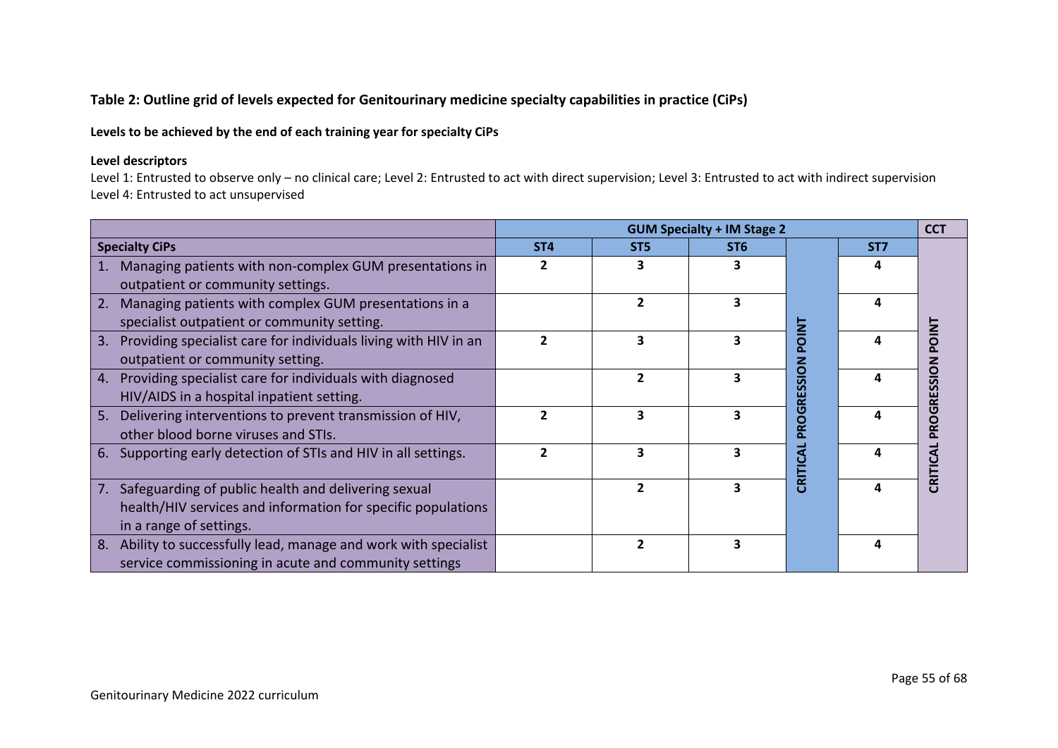## **Table 2: Outline grid of levels expected for Genitourinary medicine specialty capabilities in practice (CiPs)**

## **Levels to be achieved by the end of each training year for specialty CiPs**

#### **Level descriptors**

Level 1: Entrusted to observe only – no clinical care; Level 2: Entrusted to act with direct supervision; Level 3: Entrusted to act with indirect supervision Level 4: Entrusted to act unsupervised

|                                                                       | <b>GUM Specialty + IM Stage 2</b><br><b>CCT</b> |                          |                         |                   |                 |              |  |  |
|-----------------------------------------------------------------------|-------------------------------------------------|--------------------------|-------------------------|-------------------|-----------------|--------------|--|--|
| <b>Specialty CiPs</b>                                                 | ST <sub>4</sub>                                 | ST <sub>5</sub>          | ST <sub>6</sub>         |                   | ST <sub>7</sub> |              |  |  |
| Managing patients with non-complex GUM presentations in               | 2                                               |                          |                         |                   |                 |              |  |  |
| outpatient or community settings.                                     |                                                 |                          |                         |                   |                 |              |  |  |
| Managing patients with complex GUM presentations in a<br>2.           |                                                 | $\overline{\phantom{a}}$ |                         |                   |                 |              |  |  |
| specialist outpatient or community setting.                           |                                                 |                          |                         |                   |                 |              |  |  |
| Providing specialist care for individuals living with HIV in an<br>3. | $\overline{\mathbf{c}}$                         |                          |                         | <b>INIC</b><br>õ. |                 | <b>POINT</b> |  |  |
| outpatient or community setting.                                      |                                                 |                          |                         |                   |                 |              |  |  |
| Providing specialist care for individuals with diagnosed<br>4.        |                                                 | 2                        |                         | <u>gio</u>        |                 | PROGRESSION  |  |  |
| HIV/AIDS in a hospital inpatient setting.                             |                                                 |                          |                         | ហ៊ូ<br>ᇎ          |                 |              |  |  |
| Delivering interventions to prevent transmission of HIV,<br>5.        | $\mathfrak z$                                   | З                        |                         | PROGI             |                 |              |  |  |
| other blood borne viruses and STIs.                                   |                                                 |                          |                         |                   |                 |              |  |  |
| Supporting early detection of STIs and HIV in all settings.<br>6.     | $\overline{\mathbf{c}}$                         | 3                        |                         |                   |                 | CRITICAL     |  |  |
|                                                                       |                                                 |                          |                         | CRITICA           |                 |              |  |  |
| Safeguarding of public health and delivering sexual<br>7.             |                                                 | $\overline{\phantom{a}}$ |                         |                   |                 |              |  |  |
| health/HIV services and information for specific populations          |                                                 |                          |                         |                   |                 |              |  |  |
| in a range of settings.                                               |                                                 |                          |                         |                   |                 |              |  |  |
| Ability to successfully lead, manage and work with specialist<br>8.   |                                                 | $\overline{\phantom{a}}$ | $\overline{\mathbf{3}}$ |                   | 4               |              |  |  |
| service commissioning in acute and community settings                 |                                                 |                          |                         |                   |                 |              |  |  |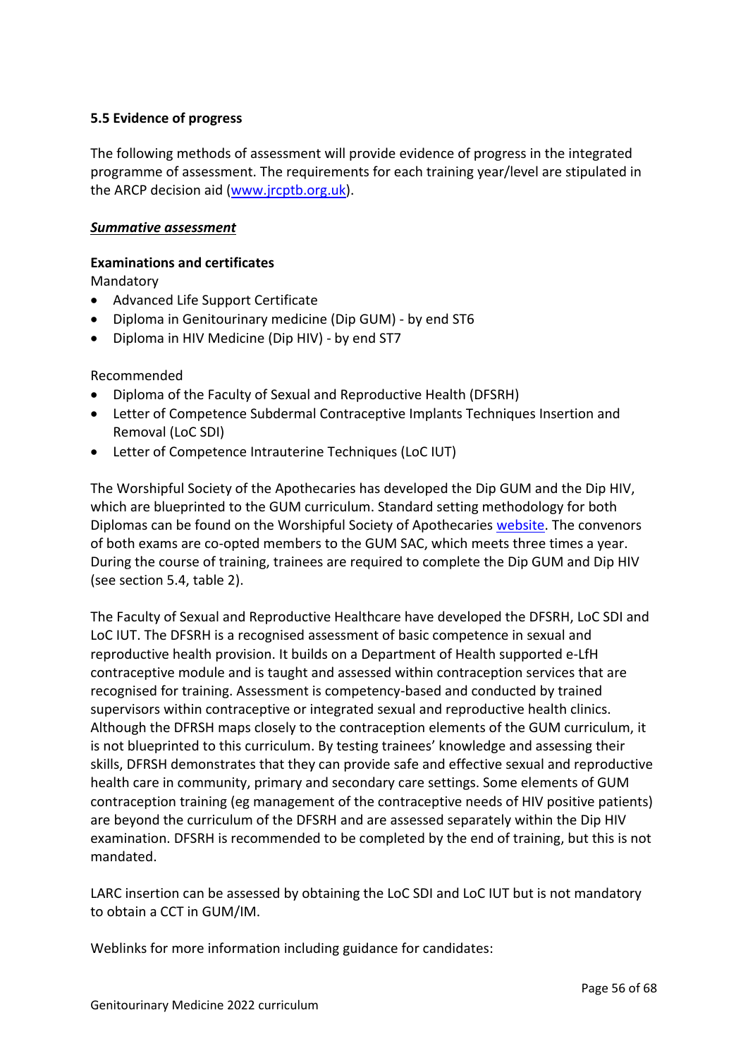## <span id="page-55-0"></span>**5.5 Evidence of progress**

The following methods of assessment will provide evidence of progress in the integrated programme of assessment. The requirements for each training year/level are stipulated in the ARCP decision aid [\(www.jrcptb.org.uk\)](http://www.jrcptb.org.uk/).

#### *Summative assessment*

## **Examinations and certificates**

Mandatory

- Advanced Life Support Certificate
- Diploma in Genitourinary medicine (Dip GUM) by end ST6
- Diploma in HIV Medicine (Dip HIV) by end ST7

Recommended

- Diploma of the Faculty of Sexual and Reproductive Health (DFSRH)
- Letter of Competence Subdermal Contraceptive Implants Techniques Insertion and Removal (LoC SDI)
- Letter of Competence Intrauterine Techniques (LoC IUT)

The Worshipful Society of the Apothecaries has developed the Dip GUM and the Dip HIV, which are blueprinted to the GUM curriculum. Standard setting methodology for both Diplomas can be found on the Worshipful Society of Apothecaries [website.](https://www.apothecaries.org/) The convenors of both exams are co-opted members to the GUM SAC, which meets three times a year. During the course of training, trainees are required to complete the Dip GUM and Dip HIV (see section 5.4, table 2).

The Faculty of Sexual and Reproductive Healthcare have developed the DFSRH, LoC SDI and LoC IUT. The DFSRH is a recognised assessment of basic competence in sexual and reproductive health provision. It builds on a Department of Health supported e-LfH contraceptive module and is taught and assessed within contraception services that are recognised for training. Assessment is competency-based and conducted by trained supervisors within contraceptive or integrated sexual and reproductive health clinics. Although the DFRSH maps closely to the contraception elements of the GUM curriculum, it is not blueprinted to this curriculum. By testing trainees' knowledge and assessing their skills, DFRSH demonstrates that they can provide safe and effective sexual and reproductive health care in community, primary and secondary care settings. Some elements of GUM contraception training (eg management of the contraceptive needs of HIV positive patients) are beyond the curriculum of the DFSRH and are assessed separately within the Dip HIV examination. DFSRH is recommended to be completed by the end of training, but this is not mandated.

LARC insertion can be assessed by obtaining the LoC SDI and LoC IUT but is not mandatory to obtain a CCT in GUM/IM.

Weblinks for more information including guidance for candidates: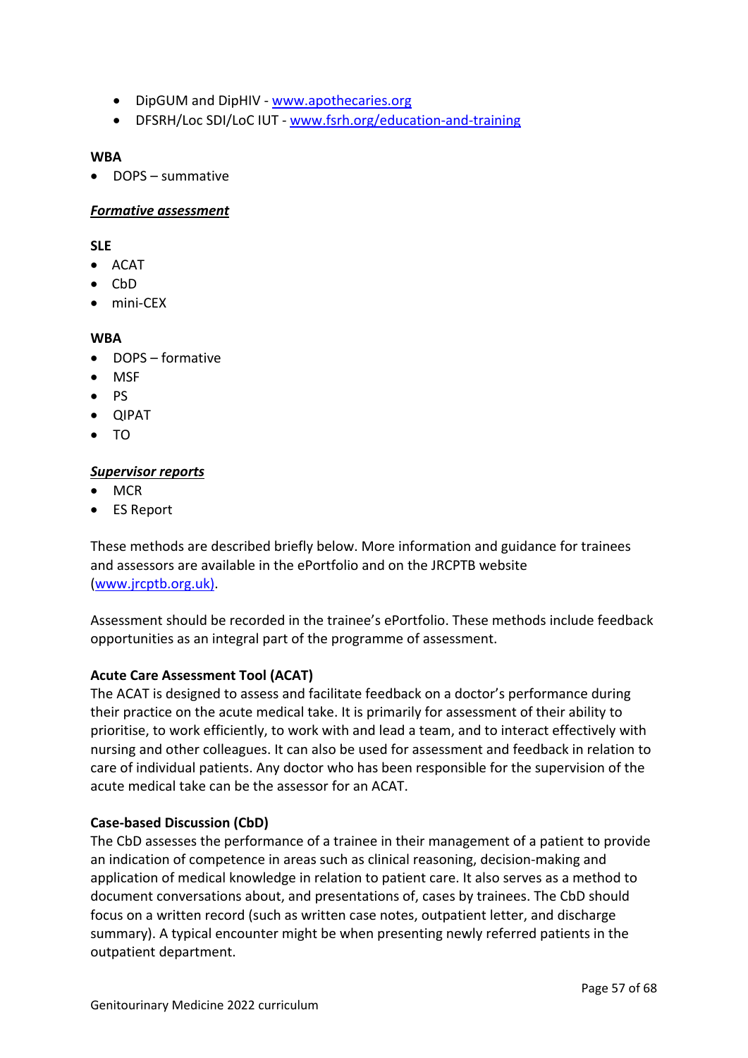- DipGUM and DipHIV [www.apothecaries.org](http://www.apothecaries.org/)
- DFSRH/Loc SDI/LoC IUT [www.fsrh.org/education-and-training](http://www.fsrh.org/education-and-training)

#### **WBA**

• DOPS – summative

#### *Formative assessment*

**SLE**

- ACAT
- CbD
- mini-CEX

#### **WBA**

- DOPS formative
- MSF
- PS
- QIPAT
- TO

#### *Supervisor reports*

- MCR
- ES Report

These methods are described briefly below. More information and guidance for trainees and assessors are available in the ePortfolio and on the JRCPTB website [\(www.jrcptb.org.uk\)](http://www.jrcptb.org.uk/).

Assessment should be recorded in the trainee's ePortfolio. These methods include feedback opportunities as an integral part of the programme of assessment.

#### **Acute Care Assessment Tool (ACAT)**

The ACAT is designed to assess and facilitate feedback on a doctor's performance during their practice on the acute medical take. It is primarily for assessment of their ability to prioritise, to work efficiently, to work with and lead a team, and to interact effectively with nursing and other colleagues. It can also be used for assessment and feedback in relation to care of individual patients. Any doctor who has been responsible for the supervision of the acute medical take can be the assessor for an ACAT.

#### **Case-based Discussion (CbD)**

The CbD assesses the performance of a trainee in their management of a patient to provide an indication of competence in areas such as clinical reasoning, decision-making and application of medical knowledge in relation to patient care. It also serves as a method to document conversations about, and presentations of, cases by trainees. The CbD should focus on a written record (such as written case notes, outpatient letter, and discharge summary). A typical encounter might be when presenting newly referred patients in the outpatient department.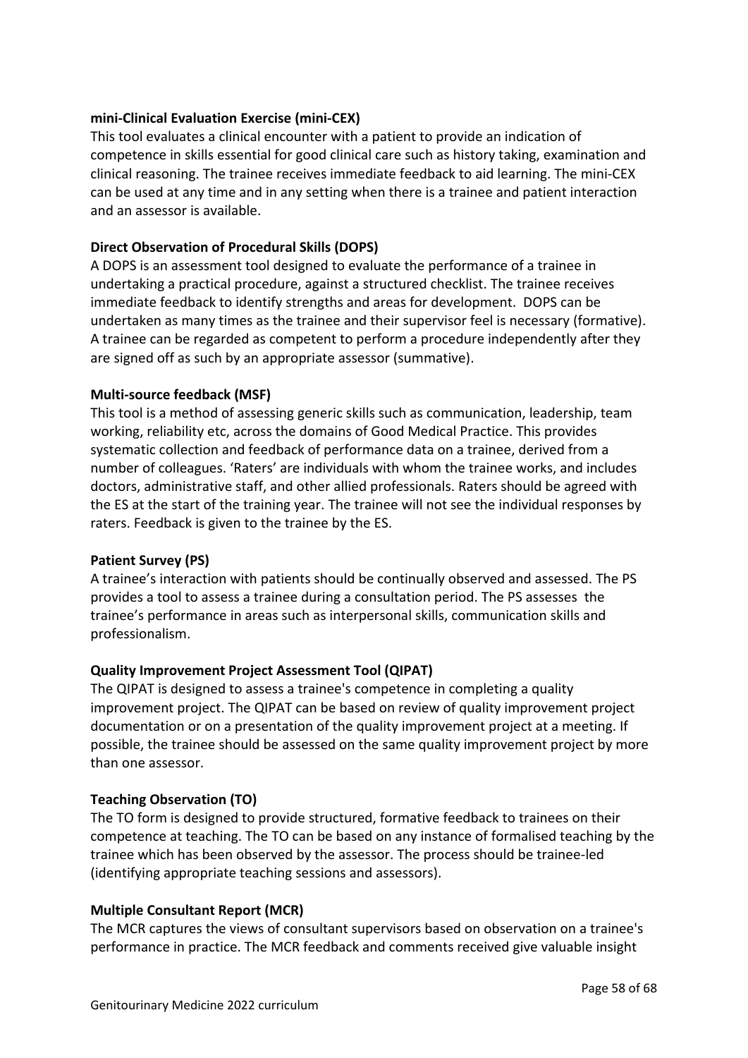#### **mini-Clinical Evaluation Exercise (mini-CEX)**

This tool evaluates a clinical encounter with a patient to provide an indication of competence in skills essential for good clinical care such as history taking, examination and clinical reasoning. The trainee receives immediate feedback to aid learning. The mini-CEX can be used at any time and in any setting when there is a trainee and patient interaction and an assessor is available.

#### **Direct Observation of Procedural Skills (DOPS)**

A DOPS is an assessment tool designed to evaluate the performance of a trainee in undertaking a practical procedure, against a structured checklist. The trainee receives immediate feedback to identify strengths and areas for development. DOPS can be undertaken as many times as the trainee and their supervisor feel is necessary (formative). A trainee can be regarded as competent to perform a procedure independently after they are signed off as such by an appropriate assessor (summative).

#### **Multi-source feedback (MSF)**

This tool is a method of assessing generic skills such as communication, leadership, team working, reliability etc, across the domains of Good Medical Practice. This provides systematic collection and feedback of performance data on a trainee, derived from a number of colleagues. 'Raters' are individuals with whom the trainee works, and includes doctors, administrative staff, and other allied professionals. Raters should be agreed with the ES at the start of the training year. The trainee will not see the individual responses by raters. Feedback is given to the trainee by the ES.

#### **Patient Survey (PS)**

A trainee's interaction with patients should be continually observed and assessed. The PS provides a tool to assess a trainee during a consultation period. The PS assesses the trainee's performance in areas such as interpersonal skills, communication skills and professionalism.

#### **Quality Improvement Project Assessment Tool (QIPAT)**

The QIPAT is designed to assess a trainee's competence in completing a quality improvement project. The QIPAT can be based on review of quality improvement project documentation or on a presentation of the quality improvement project at a meeting. If possible, the trainee should be assessed on the same quality improvement project by more than one assessor.

#### **Teaching Observation (TO)**

The TO form is designed to provide structured, formative feedback to trainees on their competence at teaching. The TO can be based on any instance of formalised teaching by the trainee which has been observed by the assessor. The process should be trainee-led (identifying appropriate teaching sessions and assessors).

#### **Multiple Consultant Report (MCR)**

The MCR captures the views of consultant supervisors based on observation on a trainee's performance in practice. The MCR feedback and comments received give valuable insight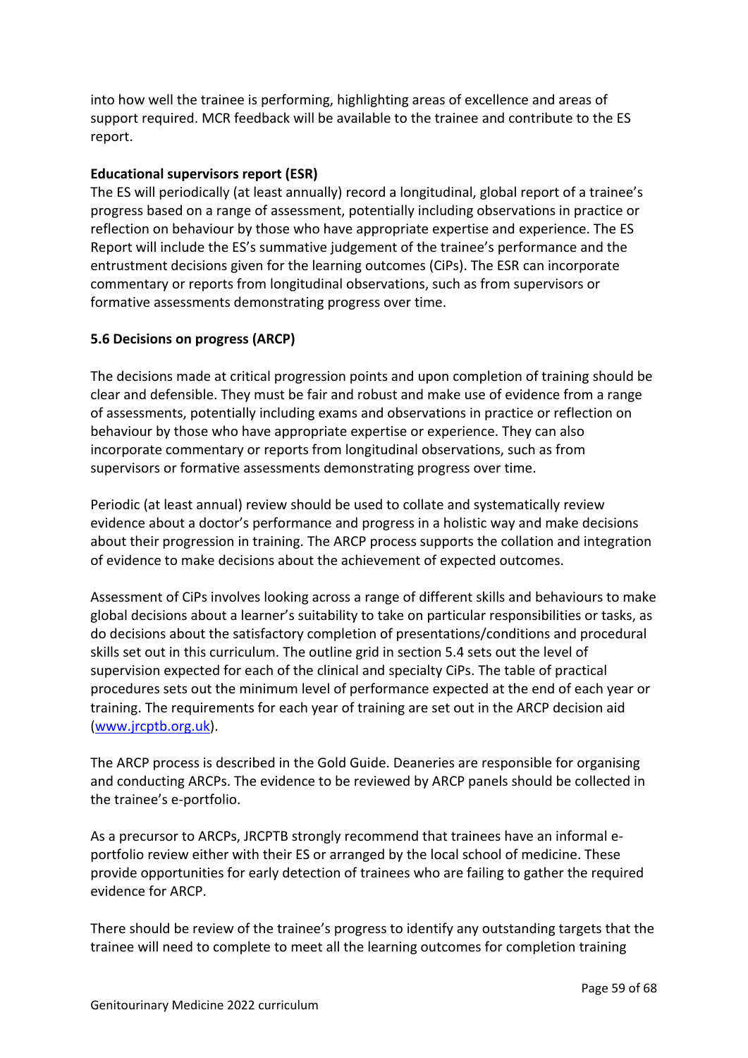into how well the trainee is performing, highlighting areas of excellence and areas of support required. MCR feedback will be available to the trainee and contribute to the ES report.

#### **Educational supervisors report (ESR)**

The ES will periodically (at least annually) record a longitudinal, global report of a trainee's progress based on a range of assessment, potentially including observations in practice or reflection on behaviour by those who have appropriate expertise and experience. The ES Report will include the ES's summative judgement of the trainee's performance and the entrustment decisions given for the learning outcomes (CiPs). The ESR can incorporate commentary or reports from longitudinal observations, such as from supervisors or formative assessments demonstrating progress over time.

## <span id="page-58-0"></span>**5.6 Decisions on progress (ARCP)**

The decisions made at critical progression points and upon completion of training should be clear and defensible. They must be fair and robust and make use of evidence from a range of assessments, potentially including exams and observations in practice or reflection on behaviour by those who have appropriate expertise or experience. They can also incorporate commentary or reports from longitudinal observations, such as from supervisors or formative assessments demonstrating progress over time.

Periodic (at least annual) review should be used to collate and systematically review evidence about a doctor's performance and progress in a holistic way and make decisions about their progression in training. The ARCP process supports the collation and integration of evidence to make decisions about the achievement of expected outcomes.

Assessment of CiPs involves looking across a range of different skills and behaviours to make global decisions about a learner's suitability to take on particular responsibilities or tasks, as do decisions about the satisfactory completion of presentations/conditions and procedural skills set out in this curriculum. The outline grid in section 5.4 sets out the level of supervision expected for each of the clinical and specialty CiPs. The table of practical procedures sets out the minimum level of performance expected at the end of each year or training. The requirements for each year of training are set out in the ARCP decision aid [\(www.jrcptb.org.uk\)](http://www.jrcptb.org.uk/).

The ARCP process is described in the Gold Guide. Deaneries are responsible for organising and conducting ARCPs. The evidence to be reviewed by ARCP panels should be collected in the trainee's e-portfolio.

As a precursor to ARCPs, JRCPTB strongly recommend that trainees have an informal eportfolio review either with their ES or arranged by the local school of medicine. These provide opportunities for early detection of trainees who are failing to gather the required evidence for ARCP.

There should be review of the trainee's progress to identify any outstanding targets that the trainee will need to complete to meet all the learning outcomes for completion training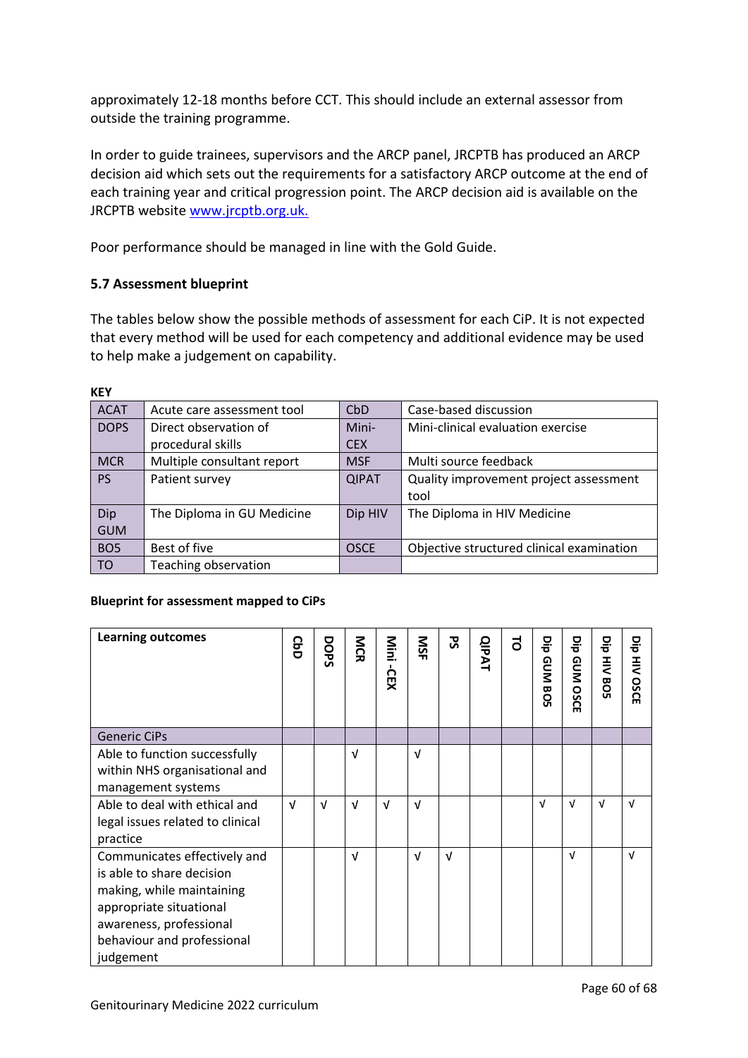approximately 12-18 months before CCT. This should include an external assessor from outside the training programme.

In order to guide trainees, supervisors and the ARCP panel, JRCPTB has produced an ARCP decision aid which sets out the requirements for a satisfactory ARCP outcome at the end of each training year and critical progression point. The ARCP decision aid is available on the JRCPTB website [www.jrcptb.org.uk.](http://www.jrcptb.org.uk/)

Poor performance should be managed in line with the Gold Guide.

## <span id="page-59-0"></span>**5.7 Assessment blueprint**

The tables below show the possible methods of assessment for each CiP. It is not expected that every method will be used for each competency and additional evidence may be used to help make a judgement on capability.

| <b>ACAT</b>     | Acute care assessment tool | <b>CbD</b>   | Case-based discussion                     |
|-----------------|----------------------------|--------------|-------------------------------------------|
| <b>DOPS</b>     | Direct observation of      | Mini-        | Mini-clinical evaluation exercise         |
|                 | procedural skills          | <b>CEX</b>   |                                           |
| <b>MCR</b>      | Multiple consultant report | <b>MSF</b>   | Multi source feedback                     |
| <b>PS</b>       | Patient survey             | <b>QIPAT</b> | Quality improvement project assessment    |
|                 |                            |              | tool                                      |
| Dip             | The Diploma in GU Medicine | Dip HIV      | The Diploma in HIV Medicine               |
| <b>GUM</b>      |                            |              |                                           |
| BO <sub>5</sub> | Best of five               | <b>OSCE</b>  | Objective structured clinical examination |
| <b>TO</b>       | Teaching observation       |              |                                           |

#### **KEY**

#### **Blueprint for assessment mapped to CiPs**

| <b>Learning outcomes</b>                                                                                                                                                                | <b>GoD</b> | DOPS       | <b>NCR</b> | Mini<br><b>CEX</b> | <b>NSF</b> | <u>ჯ</u>   | <b>QIPAT</b> | $\vec{a}$ | 믕<br>GUM<br><b>BO</b><br>Lп | 믕<br>GUM<br>SO<br>Ò<br>m | 믕<br>$rac{1}{5}$<br><b>BO</b> | 믕<br>⋛<br>OSCI<br>ш |
|-----------------------------------------------------------------------------------------------------------------------------------------------------------------------------------------|------------|------------|------------|--------------------|------------|------------|--------------|-----------|-----------------------------|--------------------------|-------------------------------|---------------------|
| <b>Generic CiPs</b>                                                                                                                                                                     |            |            |            |                    |            |            |              |           |                             |                          |                               |                     |
| Able to function successfully<br>within NHS organisational and<br>management systems                                                                                                    |            |            | $\sqrt{ }$ |                    | $\sqrt{ }$ |            |              |           |                             |                          |                               |                     |
| Able to deal with ethical and<br>legal issues related to clinical<br>practice                                                                                                           | $\sqrt{ }$ | $\sqrt{ }$ | $\sqrt{ }$ | $\sqrt{ }$         | $\sqrt{ }$ |            |              |           | v                           | $\sqrt{ }$               | $\sqrt{ }$                    | v                   |
| Communicates effectively and<br>is able to share decision<br>making, while maintaining<br>appropriate situational<br>awareness, professional<br>behaviour and professional<br>judgement |            |            | $\sqrt{ }$ |                    | $\sqrt{ }$ | $\sqrt{ }$ |              |           |                             | $\sqrt{ }$               |                               | v                   |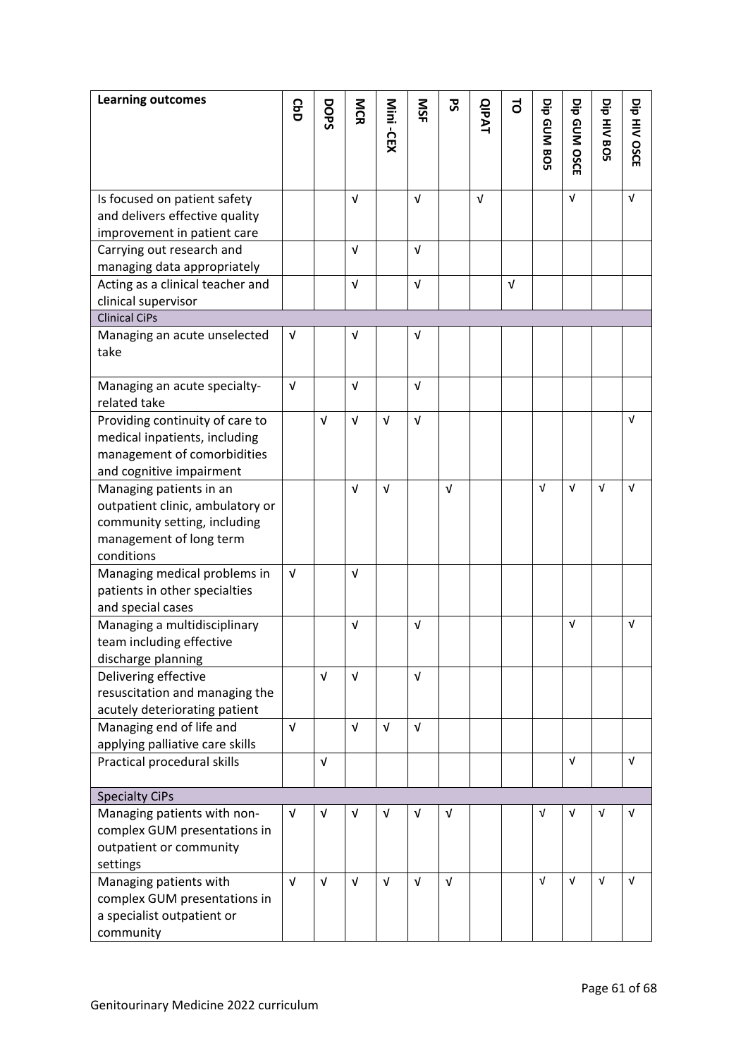| <b>Learning outcomes</b>                                 | <b>GbD</b> | DOPS       | MCR        | Mini -CEX  | <b>NSF</b> | 52         | <b>QIPAT</b> | $\vec{c}$  | 믕          | 믕          | 믕          | 믕        |
|----------------------------------------------------------|------------|------------|------------|------------|------------|------------|--------------|------------|------------|------------|------------|----------|
|                                                          |            |            |            |            |            |            |              |            | GUMBOS     | GUM OSCE   | HIV BOS    | HIV OSCE |
| Is focused on patient safety                             |            |            | V          |            | $\sqrt{ }$ |            | $\sqrt{ }$   |            |            | $\sqrt{ }$ |            | V        |
| and delivers effective quality                           |            |            |            |            |            |            |              |            |            |            |            |          |
| improvement in patient care<br>Carrying out research and |            |            | $\sqrt{ }$ |            | $\sqrt{ }$ |            |              |            |            |            |            |          |
| managing data appropriately                              |            |            |            |            |            |            |              |            |            |            |            |          |
| Acting as a clinical teacher and                         |            |            | $\sqrt{ }$ |            | $\sqrt{ }$ |            |              | $\sqrt{ }$ |            |            |            |          |
| clinical supervisor                                      |            |            |            |            |            |            |              |            |            |            |            |          |
| <b>Clinical CiPs</b>                                     |            |            |            |            |            |            |              |            |            |            |            |          |
| Managing an acute unselected                             | $\sqrt{ }$ |            | v          |            | $\sqrt{ }$ |            |              |            |            |            |            |          |
| take                                                     |            |            |            |            |            |            |              |            |            |            |            |          |
|                                                          |            |            |            |            |            |            |              |            |            |            |            |          |
| Managing an acute specialty-                             | $\sqrt{ }$ |            | $\sqrt{ }$ |            | $\sqrt{ }$ |            |              |            |            |            |            |          |
| related take                                             |            |            |            |            |            |            |              |            |            |            |            |          |
| Providing continuity of care to                          |            | V          | $\sqrt{ }$ | $\sqrt{ }$ | $\sqrt{ }$ |            |              |            |            |            |            | V        |
| medical inpatients, including                            |            |            |            |            |            |            |              |            |            |            |            |          |
| management of comorbidities                              |            |            |            |            |            |            |              |            |            |            |            |          |
| and cognitive impairment                                 |            |            |            |            |            |            |              |            |            |            |            |          |
| Managing patients in an                                  |            |            | $\sqrt{ }$ | $\sqrt{ }$ |            | $\sqrt{ }$ |              |            | $\sqrt{ }$ | $\sqrt{ }$ | $\sqrt{ }$ | v        |
| outpatient clinic, ambulatory or                         |            |            |            |            |            |            |              |            |            |            |            |          |
| community setting, including                             |            |            |            |            |            |            |              |            |            |            |            |          |
| management of long term                                  |            |            |            |            |            |            |              |            |            |            |            |          |
| conditions                                               |            |            |            |            |            |            |              |            |            |            |            |          |
| Managing medical problems in                             | $\sqrt{ }$ |            | $\sqrt{ }$ |            |            |            |              |            |            |            |            |          |
| patients in other specialties<br>and special cases       |            |            |            |            |            |            |              |            |            |            |            |          |
| Managing a multidisciplinary                             |            |            | $\sqrt{ }$ |            | v          |            |              |            |            | $\sqrt{ }$ |            | v        |
| team including effective                                 |            |            |            |            |            |            |              |            |            |            |            |          |
| discharge planning                                       |            |            |            |            |            |            |              |            |            |            |            |          |
| Delivering effective                                     |            | $\sqrt{ }$ | $\sqrt{ }$ |            | $\sqrt{ }$ |            |              |            |            |            |            |          |
| resuscitation and managing the                           |            |            |            |            |            |            |              |            |            |            |            |          |
| acutely deteriorating patient                            |            |            |            |            |            |            |              |            |            |            |            |          |
| Managing end of life and                                 | $\sqrt{ }$ |            | V          | $\sqrt{ }$ | $\sqrt{ }$ |            |              |            |            |            |            |          |
| applying palliative care skills                          |            |            |            |            |            |            |              |            |            |            |            |          |
| Practical procedural skills                              |            | $\sqrt{ }$ |            |            |            |            |              |            |            | $\sqrt{ }$ |            | V        |
|                                                          |            |            |            |            |            |            |              |            |            |            |            |          |
| <b>Specialty CiPs</b>                                    |            |            |            |            |            |            |              |            |            |            |            |          |
| Managing patients with non-                              | $\sqrt{ }$ | $\sqrt{ }$ | $\sqrt{ }$ | V          | v          | $\sqrt{ }$ |              |            | $\sqrt{ }$ | $\sqrt{ }$ | $\sqrt{ }$ | V        |
| complex GUM presentations in                             |            |            |            |            |            |            |              |            |            |            |            |          |
| outpatient or community                                  |            |            |            |            |            |            |              |            |            |            |            |          |
| settings                                                 |            |            |            |            |            |            |              |            |            |            |            |          |
| Managing patients with                                   | $\sqrt{ }$ | $\sqrt{ }$ | $\sqrt{ }$ | $\sqrt{ }$ | $\sqrt{ }$ | $\sqrt{ }$ |              |            | $\sqrt{ }$ | $\sqrt{ }$ | V          | V        |
| complex GUM presentations in                             |            |            |            |            |            |            |              |            |            |            |            |          |
| a specialist outpatient or                               |            |            |            |            |            |            |              |            |            |            |            |          |
| community                                                |            |            |            |            |            |            |              |            |            |            |            |          |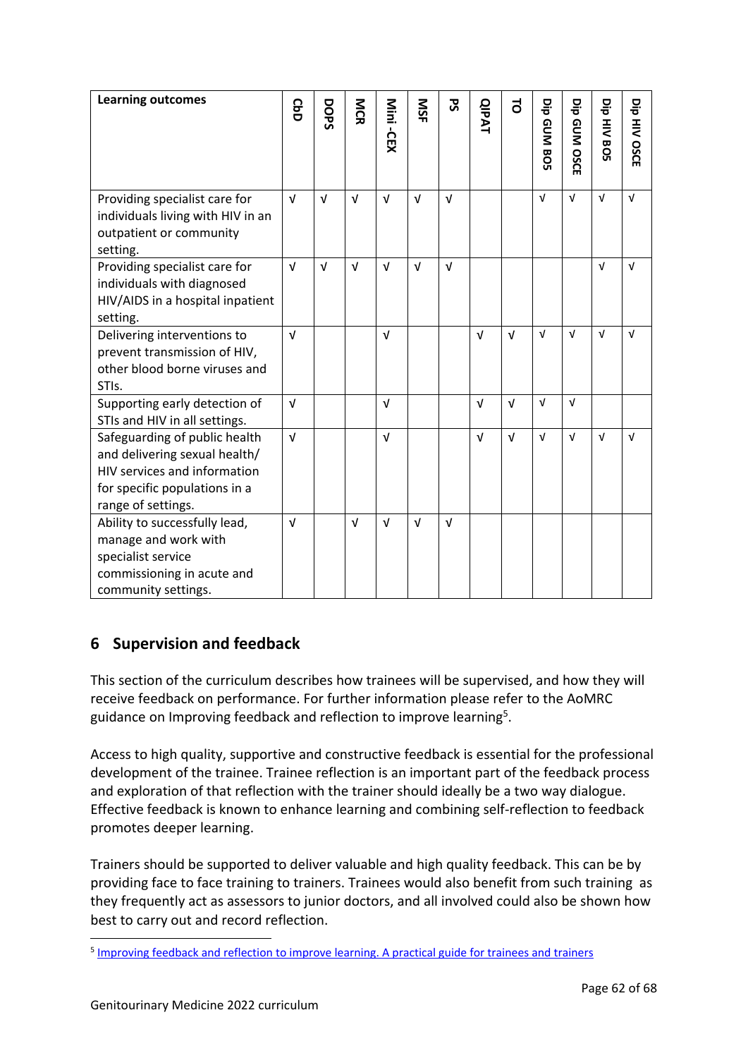| <b>Learning outcomes</b>                                                                                                                              | <b>GbD</b> | DOPS       | <b>NGR</b> | Mini -CEX  | SN         | 59         | <b>QIPAT</b> | 5          | 믕<br>GUMBOS | 믕<br>GUM OSCE | 믕<br>HIV BOS | 믕<br>HIV OSCE |
|-------------------------------------------------------------------------------------------------------------------------------------------------------|------------|------------|------------|------------|------------|------------|--------------|------------|-------------|---------------|--------------|---------------|
| Providing specialist care for<br>individuals living with HIV in an<br>outpatient or community<br>setting.                                             | $\sqrt{ }$ | $\sqrt{ }$ | $\sqrt{ }$ | $\sqrt{ }$ | $\sqrt{ }$ | $\sqrt{ }$ |              |            | $\sqrt{ }$  | $\sqrt{ }$    | $\sqrt{ }$   | $\sqrt{ }$    |
| Providing specialist care for<br>individuals with diagnosed<br>HIV/AIDS in a hospital inpatient<br>setting.                                           | $\sqrt{ }$ | $\sqrt{ }$ | $\sqrt{ }$ | $\sqrt{ }$ | $\sqrt{ }$ | $\sqrt{ }$ |              |            |             |               | $\sqrt{ }$   | v             |
| Delivering interventions to<br>prevent transmission of HIV,<br>other blood borne viruses and<br>STIs.                                                 | $\sqrt{ }$ |            |            | $\sqrt{ }$ |            |            | $\sqrt{ }$   | $\sqrt{ }$ | $\sqrt{ }$  | $\sqrt{ }$    | $\sqrt{ }$   | $\sqrt{ }$    |
| Supporting early detection of<br>STIs and HIV in all settings.                                                                                        | $\sqrt{ }$ |            |            | $\sqrt{ }$ |            |            | $\sqrt{ }$   | $\sqrt{ }$ | $\sqrt{ }$  | $\sqrt{ }$    |              |               |
| Safeguarding of public health<br>and delivering sexual health/<br>HIV services and information<br>for specific populations in a<br>range of settings. | $\sqrt{ }$ |            |            | $\sqrt{ }$ |            |            | $\sqrt{ }$   | V          | $\sqrt{ }$  | $\sqrt{ }$    | $\sqrt{ }$   | $\sqrt{ }$    |
| Ability to successfully lead,<br>manage and work with<br>specialist service<br>commissioning in acute and<br>community settings.                      | $\sqrt{ }$ |            | $\sqrt{ }$ | $\sqrt{ }$ | $\sqrt{ }$ | $\sqrt{ }$ |              |            |             |               |              |               |

# <span id="page-61-0"></span>**6 Supervision and feedback**

This section of the curriculum describes how trainees will be supervised, and how they will receive feedback on performance. For further information please refer to the AoMRC guidance on Improving feedback and reflection to improve learning<sup>5</sup>.

Access to high quality, supportive and constructive feedback is essential for the professional development of the trainee. Trainee reflection is an important part of the feedback process and exploration of that reflection with the trainer should ideally be a two way dialogue. Effective feedback is known to enhance learning and combining self-reflection to feedback promotes deeper learning.

Trainers should be supported to deliver valuable and high quality feedback. This can be by providing face to face training to trainers. Trainees would also benefit from such training as they frequently act as assessors to junior doctors, and all involved could also be shown how best to carry out and record reflection.

<sup>&</sup>lt;sup>5</sup> [Improving feedback and reflection to improve learning. A practical guide for trainees and trainers](http://www.aomrc.org.uk/publications/reports-guidance/improving-feedback-reflection-improve-learning-practical-guide-trainees-trainers/)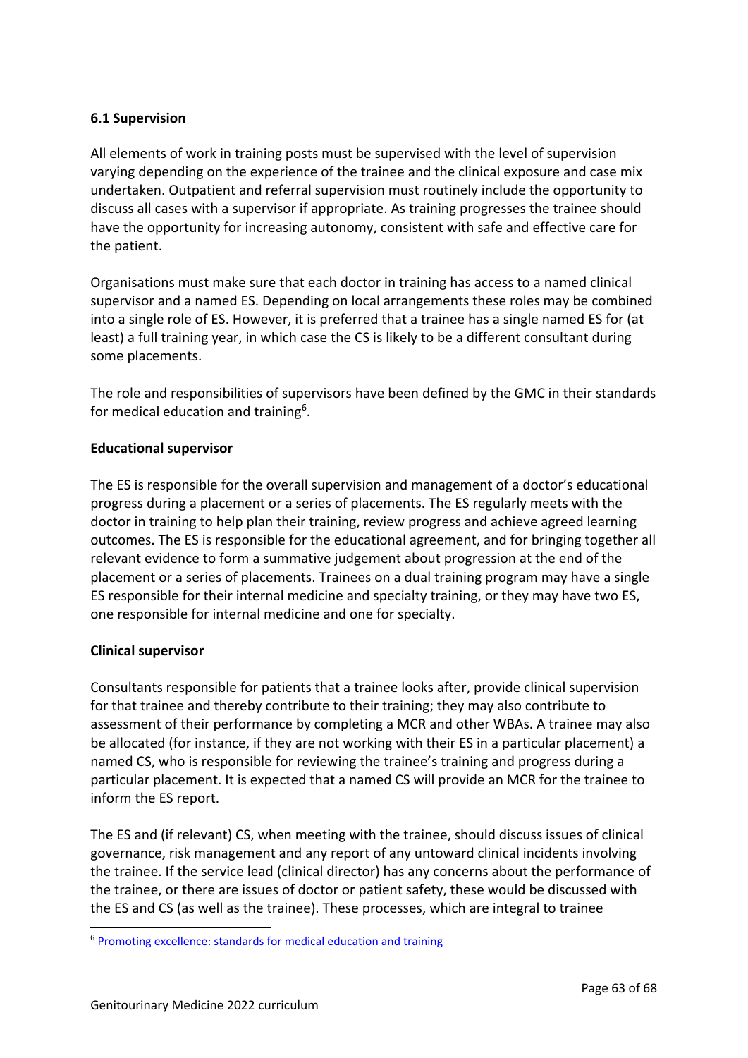## <span id="page-62-0"></span>**6.1 Supervision**

All elements of work in training posts must be supervised with the level of supervision varying depending on the experience of the trainee and the clinical exposure and case mix undertaken. Outpatient and referral supervision must routinely include the opportunity to discuss all cases with a supervisor if appropriate. As training progresses the trainee should have the opportunity for increasing autonomy, consistent with safe and effective care for the patient.

Organisations must make sure that each doctor in training has access to a named clinical supervisor and a named ES. Depending on local arrangements these roles may be combined into a single role of ES. However, it is preferred that a trainee has a single named ES for (at least) a full training year, in which case the CS is likely to be a different consultant during some placements.

The role and responsibilities of supervisors have been defined by the GMC in their standards for medical education and training<sup>6</sup>.

#### **Educational supervisor**

The ES is responsible for the overall supervision and management of a doctor's educational progress during a placement or a series of placements. The ES regularly meets with the doctor in training to help plan their training, review progress and achieve agreed learning outcomes. The ES is responsible for the educational agreement, and for bringing together all relevant evidence to form a summative judgement about progression at the end of the placement or a series of placements. Trainees on a dual training program may have a single ES responsible for their internal medicine and specialty training, or they may have two ES, one responsible for internal medicine and one for specialty.

#### **Clinical supervisor**

Consultants responsible for patients that a trainee looks after, provide clinical supervision for that trainee and thereby contribute to their training; they may also contribute to assessment of their performance by completing a MCR and other WBAs. A trainee may also be allocated (for instance, if they are not working with their ES in a particular placement) a named CS, who is responsible for reviewing the trainee's training and progress during a particular placement. It is expected that a named CS will provide an MCR for the trainee to inform the ES report.

The ES and (if relevant) CS, when meeting with the trainee, should discuss issues of clinical governance, risk management and any report of any untoward clinical incidents involving the trainee. If the service lead (clinical director) has any concerns about the performance of the trainee, or there are issues of doctor or patient safety, these would be discussed with the ES and CS (as well as the trainee). These processes, which are integral to trainee

<sup>6</sup> [Promoting excellence: standards for medical education and training](http://www.gmc-uk.org/education/standards.asp)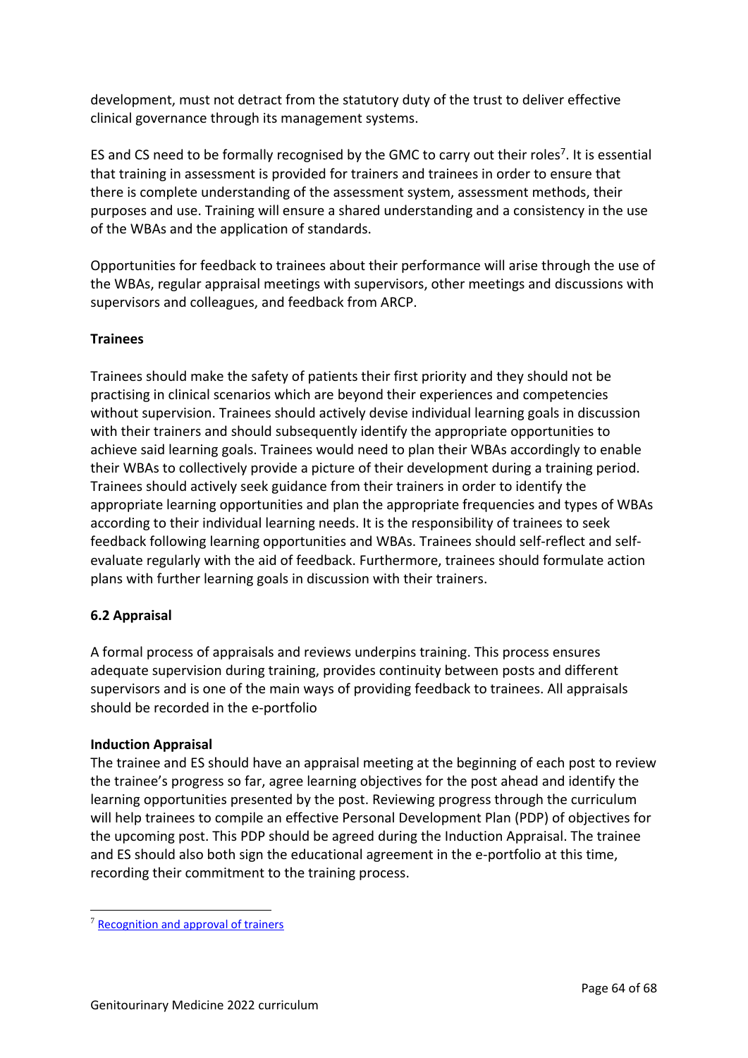development, must not detract from the statutory duty of the trust to deliver effective clinical governance through its management systems.

ES and CS need to be formally recognised by the GMC to carry out their roles<sup>7</sup>. It is essential that training in assessment is provided for trainers and trainees in order to ensure that there is complete understanding of the assessment system, assessment methods, their purposes and use. Training will ensure a shared understanding and a consistency in the use of the WBAs and the application of standards.

Opportunities for feedback to trainees about their performance will arise through the use of the WBAs, regular appraisal meetings with supervisors, other meetings and discussions with supervisors and colleagues, and feedback from ARCP.

#### **Trainees**

Trainees should make the safety of patients their first priority and they should not be practising in clinical scenarios which are beyond their experiences and competencies without supervision. Trainees should actively devise individual learning goals in discussion with their trainers and should subsequently identify the appropriate opportunities to achieve said learning goals. Trainees would need to plan their WBAs accordingly to enable their WBAs to collectively provide a picture of their development during a training period. Trainees should actively seek guidance from their trainers in order to identify the appropriate learning opportunities and plan the appropriate frequencies and types of WBAs according to their individual learning needs. It is the responsibility of trainees to seek feedback following learning opportunities and WBAs. Trainees should self-reflect and selfevaluate regularly with the aid of feedback. Furthermore, trainees should formulate action plans with further learning goals in discussion with their trainers.

#### <span id="page-63-0"></span>**6.2 Appraisal**

A formal process of appraisals and reviews underpins training. This process ensures adequate supervision during training, provides continuity between posts and different supervisors and is one of the main ways of providing feedback to trainees. All appraisals should be recorded in the e-portfolio

#### **Induction Appraisal**

The trainee and ES should have an appraisal meeting at the beginning of each post to review the trainee's progress so far, agree learning objectives for the post ahead and identify the learning opportunities presented by the post. Reviewing progress through the curriculum will help trainees to compile an effective Personal Development Plan (PDP) of objectives for the upcoming post. This PDP should be agreed during the Induction Appraisal. The trainee and ES should also both sign the educational agreement in the e-portfolio at this time, recording their commitment to the training process.

<sup>7</sup> [Recognition and approval of trainers](http://www.gmc-uk.org/education/10264.asp)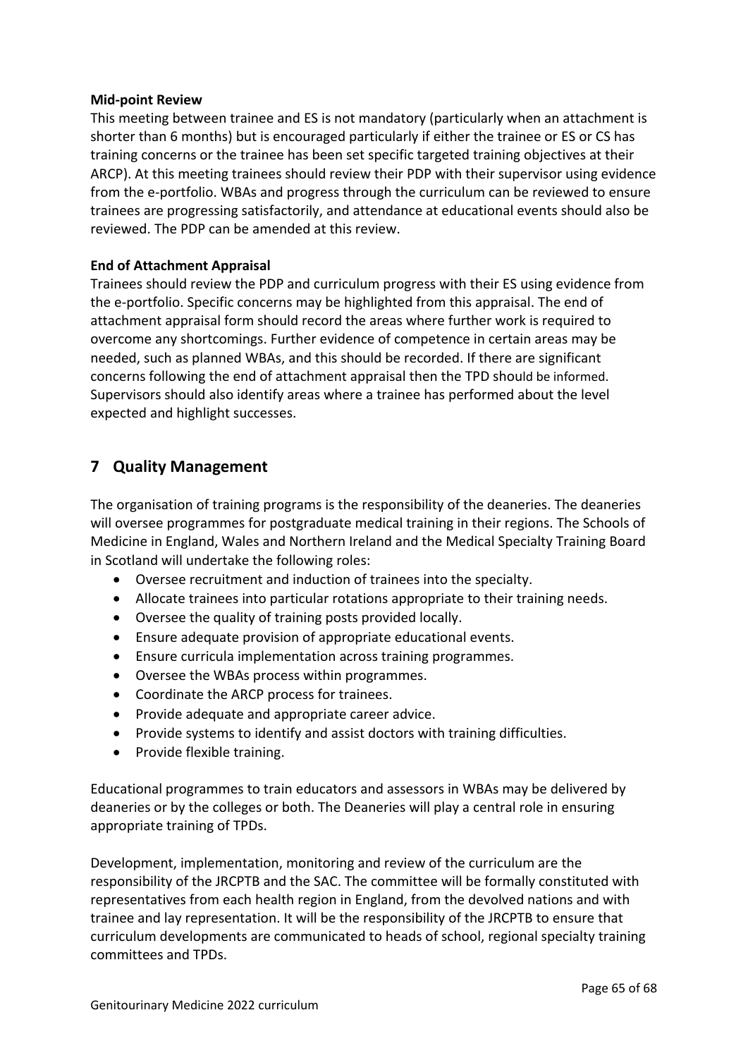#### **Mid-point Review**

This meeting between trainee and ES is not mandatory (particularly when an attachment is shorter than 6 months) but is encouraged particularly if either the trainee or ES or CS has training concerns or the trainee has been set specific targeted training objectives at their ARCP). At this meeting trainees should review their PDP with their supervisor using evidence from the e-portfolio. WBAs and progress through the curriculum can be reviewed to ensure trainees are progressing satisfactorily, and attendance at educational events should also be reviewed. The PDP can be amended at this review.

#### **End of Attachment Appraisal**

Trainees should review the PDP and curriculum progress with their ES using evidence from the e-portfolio. Specific concerns may be highlighted from this appraisal. The end of attachment appraisal form should record the areas where further work is required to overcome any shortcomings. Further evidence of competence in certain areas may be needed, such as planned WBAs, and this should be recorded. If there are significant concerns following the end of attachment appraisal then the TPD should be informed. Supervisors should also identify areas where a trainee has performed about the level expected and highlight successes.

## <span id="page-64-0"></span>**7 Quality Management**

The organisation of training programs is the responsibility of the deaneries. The deaneries will oversee programmes for postgraduate medical training in their regions. The Schools of Medicine in England, Wales and Northern Ireland and the Medical Specialty Training Board in Scotland will undertake the following roles:

- Oversee recruitment and induction of trainees into the specialty.
- Allocate trainees into particular rotations appropriate to their training needs.
- Oversee the quality of training posts provided locally.
- Ensure adequate provision of appropriate educational events.
- Ensure curricula implementation across training programmes.
- Oversee the WBAs process within programmes.
- Coordinate the ARCP process for trainees.
- Provide adequate and appropriate career advice.
- Provide systems to identify and assist doctors with training difficulties.
- Provide flexible training.

Educational programmes to train educators and assessors in WBAs may be delivered by deaneries or by the colleges or both. The Deaneries will play a central role in ensuring appropriate training of TPDs.

Development, implementation, monitoring and review of the curriculum are the responsibility of the JRCPTB and the SAC. The committee will be formally constituted with representatives from each health region in England, from the devolved nations and with trainee and lay representation. It will be the responsibility of the JRCPTB to ensure that curriculum developments are communicated to heads of school, regional specialty training committees and TPDs.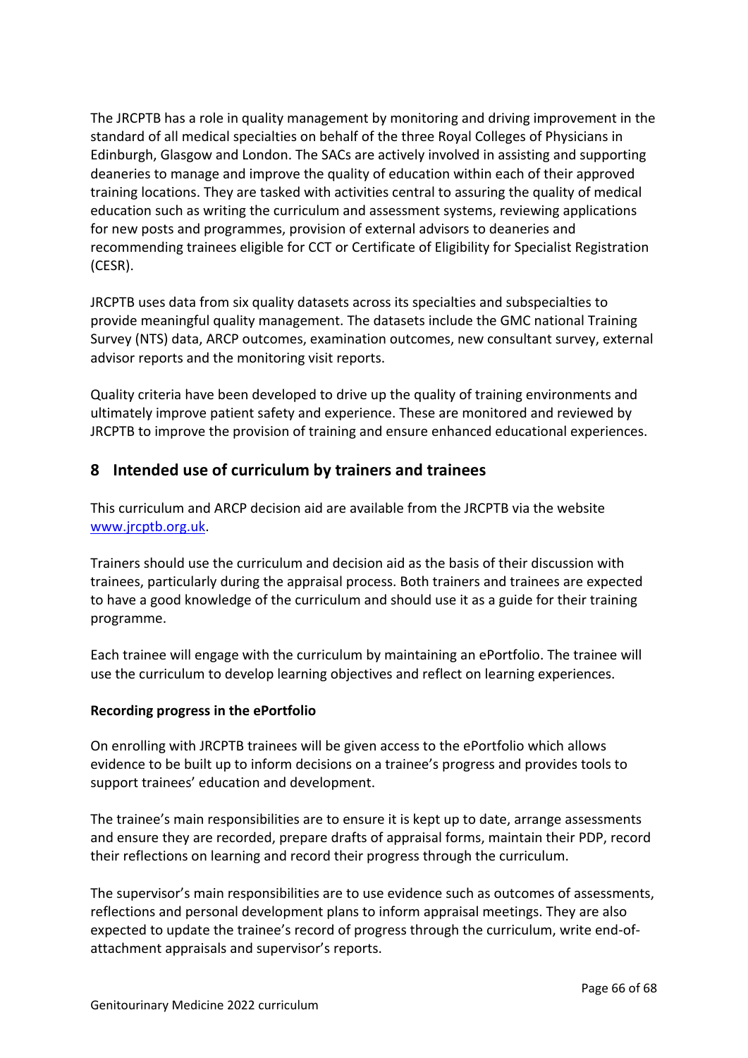The JRCPTB has a role in quality management by monitoring and driving improvement in the standard of all medical specialties on behalf of the three Royal Colleges of Physicians in Edinburgh, Glasgow and London. The SACs are actively involved in assisting and supporting deaneries to manage and improve the quality of education within each of their approved training locations. They are tasked with activities central to assuring the quality of medical education such as writing the curriculum and assessment systems, reviewing applications for new posts and programmes, provision of external advisors to deaneries and recommending trainees eligible for CCT or Certificate of Eligibility for Specialist Registration (CESR).

JRCPTB uses data from six quality datasets across its specialties and subspecialties to provide meaningful quality management. The datasets include the GMC national Training Survey (NTS) data, ARCP outcomes, examination outcomes, new consultant survey, external advisor reports and the monitoring visit reports.

Quality criteria have been developed to drive up the quality of training environments and ultimately improve patient safety and experience. These are monitored and reviewed by JRCPTB to improve the provision of training and ensure enhanced educational experiences.

## <span id="page-65-0"></span>**8 Intended use of curriculum by trainers and trainees**

This curriculum and ARCP decision aid are available from the JRCPTB via the website [www.jrcptb.org.uk.](http://www.jrcptb.org.uk/)

Trainers should use the curriculum and decision aid as the basis of their discussion with trainees, particularly during the appraisal process. Both trainers and trainees are expected to have a good knowledge of the curriculum and should use it as a guide for their training programme.

Each trainee will engage with the curriculum by maintaining an ePortfolio. The trainee will use the curriculum to develop learning objectives and reflect on learning experiences.

#### **Recording progress in the ePortfolio**

On enrolling with JRCPTB trainees will be given access to the ePortfolio which allows evidence to be built up to inform decisions on a trainee's progress and provides tools to support trainees' education and development.

The trainee's main responsibilities are to ensure it is kept up to date, arrange assessments and ensure they are recorded, prepare drafts of appraisal forms, maintain their PDP, record their reflections on learning and record their progress through the curriculum.

The supervisor's main responsibilities are to use evidence such as outcomes of assessments, reflections and personal development plans to inform appraisal meetings. They are also expected to update the trainee's record of progress through the curriculum, write end-ofattachment appraisals and supervisor's reports.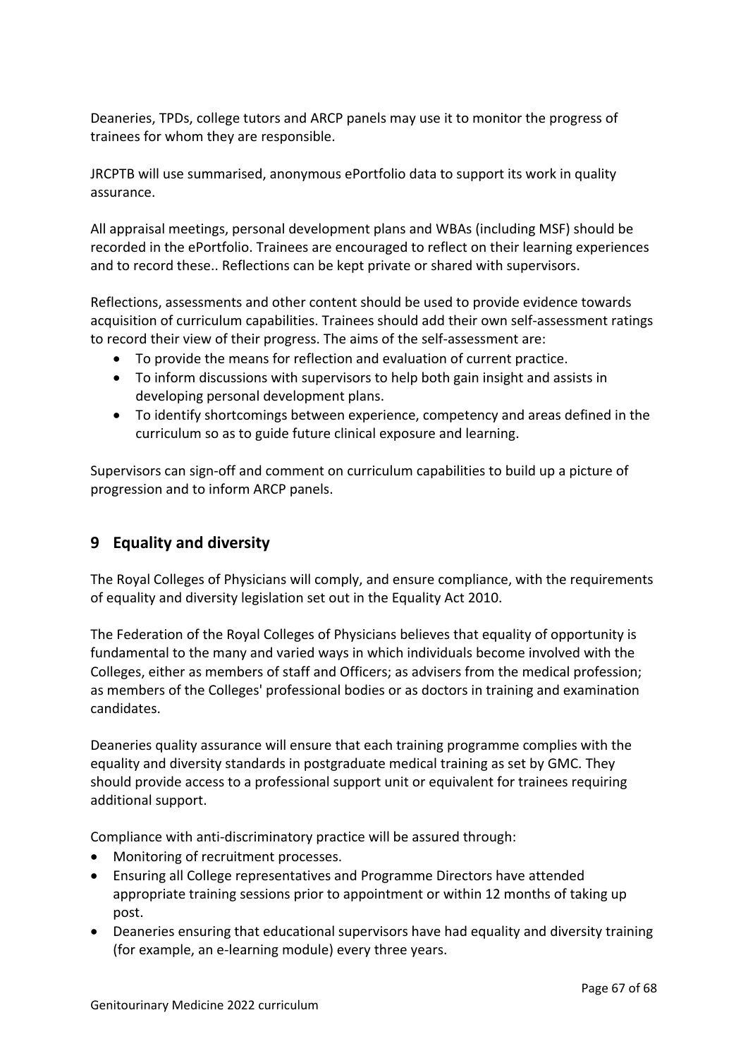Deaneries, TPDs, college tutors and ARCP panels may use it to monitor the progress of trainees for whom they are responsible.

JRCPTB will use summarised, anonymous ePortfolio data to support its work in quality assurance.

All appraisal meetings, personal development plans and WBAs (including MSF) should be recorded in the ePortfolio. Trainees are encouraged to reflect on their learning experiences and to record these.. Reflections can be kept private or shared with supervisors.

Reflections, assessments and other content should be used to provide evidence towards acquisition of curriculum capabilities. Trainees should add their own self-assessment ratings to record their view of their progress. The aims of the self-assessment are:

- To provide the means for reflection and evaluation of current practice.
- To inform discussions with supervisors to help both gain insight and assists in developing personal development plans.
- To identify shortcomings between experience, competency and areas defined in the curriculum so as to guide future clinical exposure and learning.

Supervisors can sign-off and comment on curriculum capabilities to build up a picture of progression and to inform ARCP panels.

# <span id="page-66-0"></span>**9 Equality and diversity**

The Royal Colleges of Physicians will comply, and ensure compliance, with the requirements of equality and diversity legislation set out in the Equality Act 2010.

The Federation of the Royal Colleges of Physicians believes that equality of opportunity is fundamental to the many and varied ways in which individuals become involved with the Colleges, either as members of staff and Officers; as advisers from the medical profession; as members of the Colleges' professional bodies or as doctors in training and examination candidates.

Deaneries quality assurance will ensure that each training programme complies with the equality and diversity standards in postgraduate medical training as set by GMC. They should provide access to a professional support unit or equivalent for trainees requiring additional support.

Compliance with anti-discriminatory practice will be assured through:

- Monitoring of recruitment processes.
- Ensuring all College representatives and Programme Directors have attended appropriate training sessions prior to appointment or within 12 months of taking up post.
- Deaneries ensuring that educational supervisors have had equality and diversity training (for example, an e-learning module) every three years.